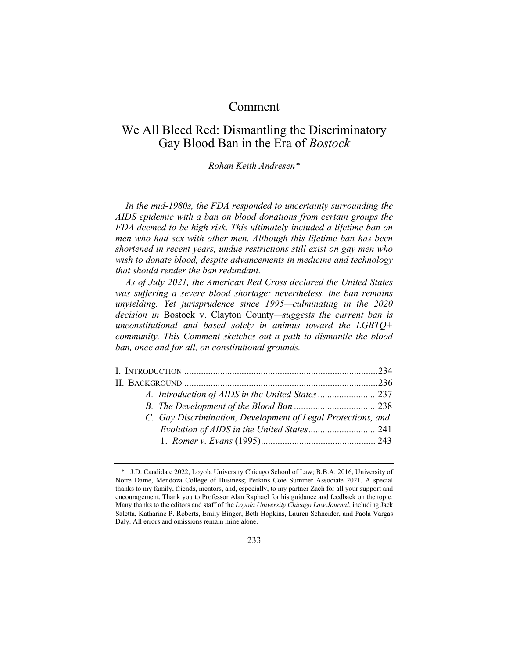# Comment

# We All Bleed Red: Dismantling the Discriminatory Gay Blood Ban in the Era of Bostock

# Rohan Keith Andresen\*

In the mid-1980s, the FDA responded to uncertainty surrounding the AIDS epidemic with a ban on blood donations from certain groups the FDA deemed to be high-risk. This ultimately included a lifetime ban on men who had sex with other men. Although this lifetime ban has been shortened in recent years, undue restrictions still exist on gay men who wish to donate blood, despite advancements in medicine and technology that should render the ban redundant.

As of July 2021, the American Red Cross declared the United States was suffering a severe blood shortage; nevertheless, the ban remains unyielding. Yet jurisprudence since 1995—culminating in the 2020 decision in Bostock v. Clayton County—suggests the current ban is unconstitutional and based solely in animus toward the  $LGBTO+$ community. This Comment sketches out a path to dismantle the blood ban, once and for all, on constitutional grounds.

| C. Gay Discrimination, Development of Legal Protections, and |  |
|--------------------------------------------------------------|--|
|                                                              |  |
|                                                              |  |
|                                                              |  |

<sup>\*</sup> J.D. Candidate 2022, Loyola University Chicago School of Law; B.B.A. 2016, University of Notre Dame, Mendoza College of Business; Perkins Coie Summer Associate 2021. A special thanks to my family, friends, mentors, and, especially, to my partner Zach for all your support and encouragement. Thank you to Professor Alan Raphael for his guidance and feedback on the topic. Many thanks to the editors and staff of the Loyola University Chicago Law Journal, including Jack Saletta, Katharine P. Roberts, Emily Binger, Beth Hopkins, Lauren Schneider, and Paola Vargas Daly. All errors and omissions remain mine alone.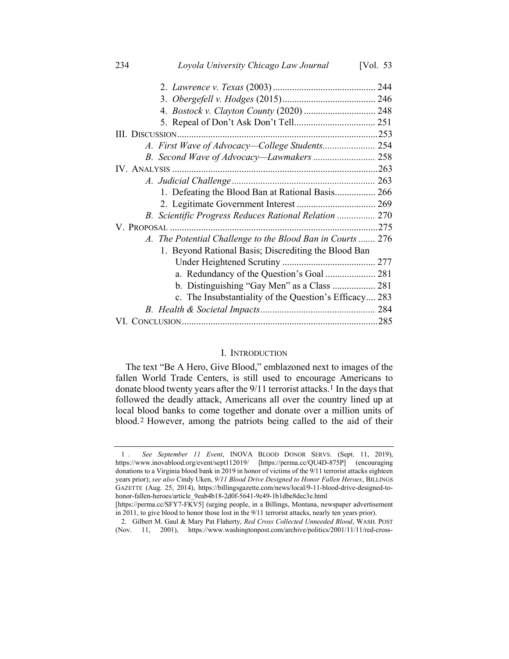| 234                                                  | Loyola University Chicago Law Journal                      | [Vol. $53$ |  |
|------------------------------------------------------|------------------------------------------------------------|------------|--|
|                                                      |                                                            |            |  |
|                                                      |                                                            |            |  |
|                                                      |                                                            |            |  |
|                                                      |                                                            |            |  |
|                                                      |                                                            |            |  |
|                                                      |                                                            |            |  |
|                                                      |                                                            |            |  |
|                                                      |                                                            |            |  |
|                                                      |                                                            |            |  |
|                                                      | 1. Defeating the Blood Ban at Rational Basis 266           |            |  |
|                                                      |                                                            |            |  |
|                                                      | B. Scientific Progress Reduces Rational Relation  270      |            |  |
|                                                      |                                                            |            |  |
|                                                      | A. The Potential Challenge to the Blood Ban in Courts  276 |            |  |
| 1. Beyond Rational Basis; Discrediting the Blood Ban |                                                            |            |  |
|                                                      |                                                            |            |  |
|                                                      |                                                            |            |  |
|                                                      | b. Distinguishing "Gay Men" as a Class  281                |            |  |
|                                                      | c. The Insubstantiality of the Question's Efficacy 283     |            |  |
|                                                      |                                                            |            |  |
|                                                      |                                                            |            |  |

#### I. INTRODUCTION

The text "Be A Hero, Give Blood," emblazoned next to images of the fallen World Trade Centers, is still used to encourage Americans to donate blood twenty years after the 9/11 terrorist attacks.<sup>1</sup> In the days that followed the deadly attack, Americans all over the country lined up at local blood banks to come together and donate over a million units of blood.2 However, among the patriots being called to the aid of their

<sup>1 .</sup> See September 11 Event, INOVA BLOOD DONOR SERVS. (Sept. 11, 2019), https://www.inovablood.org/event/sept112019/ [https://perma.cc/QU4D-875P] (encouraging donations to a Virginia blood bank in 2019 in honor of victims of the 9/11 terrorist attacks eighteen years prior); see also Cindy Uken, 9/11 Blood Drive Designed to Honor Fallen Heroes, BILLINGS GAZETTE (Aug. 25, 2014), https://billingsgazette.com/news/local/9-11-blood-drive-designed-tohonor-fallen-heroes/article\_9eab4b18-2d0f-5641-9c49-1b1dbe8dec3e.html

<sup>[</sup>https://perma.cc/SFY7-FKV5] (urging people, in a Billings, Montana, newspaper advertisement in 2011, to give blood to honor those lost in the 9/11 terrorist attacks, nearly ten years prior).

<sup>2.</sup> Gilbert M. Gaul & Mary Pat Flaherty, Red Cross Collected Unneeded Blood, WASH. POST (Nov. 11, 2001), https://www.washingtonpost.com/archive/politics/2001/11/11/red-cross-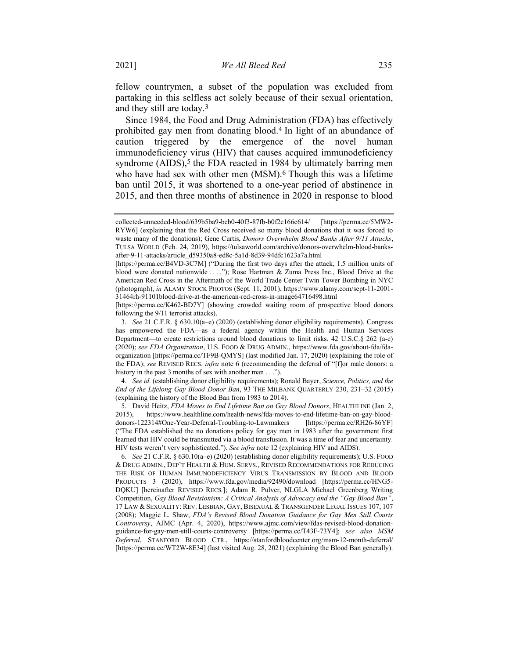fellow countrymen, a subset of the population was excluded from partaking in this selfless act solely because of their sexual orientation, and they still are today.3

Since 1984, the Food and Drug Administration (FDA) has effectively prohibited gay men from donating blood.4 In light of an abundance of caution triggered by the emergence of the novel human immunodeficiency virus (HIV) that causes acquired immunodeficiency syndrome  $(AIDS)$ ,<sup>5</sup> the FDA reacted in 1984 by ultimately barring men who have had sex with other men (MSM).<sup>6</sup> Though this was a lifetime ban until 2015, it was shortened to a one-year period of abstinence in 2015, and then three months of abstinence in 2020 in response to blood

collected-unneeded-blood/639b5ba9-bcb0-40f3-87fb-b0f2c166c614/ [https://perma.cc/5MW2- RYW6] (explaining that the Red Cross received so many blood donations that it was forced to waste many of the donations); Gene Curtis, Donors Overwhelm Blood Banks After 9/11 Attacks, TULSA WORLD (Feb. 24, 2019), https://tulsaworld.com/archive/donors-overwhelm-blood-banksafter-9-11-attacks/article\_d59350a8-ed8c-5a1d-8d39-94dfc1623a7a.html

<sup>[</sup>https://perma.cc/B4VD-3C7M] ("During the first two days after the attack, 1.5 million units of blood were donated nationwide . . . ."); Rose Hartman & Zuma Press Inc., Blood Drive at the American Red Cross in the Aftermath of the World Trade Center Twin Tower Bombing in NYC (photograph), in ALAMY STOCK PHOTOS (Sept. 11, 2001), https://www.alamy.com/sept-11-2001- 31464rh-91101blood-drive-at-the-american-red-cross-in-image64716498.html

<sup>[</sup>https://perma.cc/K462-BD7Y] (showing crowded waiting room of prospective blood donors following the 9/11 terrorist attacks).

<sup>3.</sup> See 21 C.F.R. § 630.10(a–e) (2020) (establishing donor eligibility requirements). Congress has empowered the FDA—as a federal agency within the Health and Human Services Department—to create restrictions around blood donations to limit risks. 42 U.S.C.§ 262 (a-c) (2020); see FDA Organization, U.S. FOOD & DRUG ADMIN., https://www.fda.gov/about-fda/fdaorganization [https://perma.cc/TF9B-QMYS] (last modified Jan. 17, 2020) (explaining the role of the FDA); see REVISED RECS. infra note 6 (recommending the deferral of "[f]or male donors: a history in the past 3 months of sex with another man . . .").

<sup>4.</sup> See id. (establishing donor eligibility requirements); Ronald Bayer, Science, Politics, and the End of the Lifelong Gay Blood Donor Ban, 93 THE MILBANK QUARTERLY 230, 231–32 (2015) (explaining the history of the Blood Ban from 1983 to 2014).

<sup>5.</sup> David Heitz, FDA Moves to End Lifetime Ban on Gay Blood Donors, HEALTHLINE (Jan. 2, 2015), https://www.healthline.com/health-news/fda-moves-to-end-lifetime-ban-on-gay-blooddonors-122314#One-Year-Deferral-Troubling-to-Lawmakers [https://perma.cc/RH26-86YF] ("The FDA established the no donations policy for gay men in 1983 after the government first learned that HIV could be transmitted via a blood transfusion. It was a time of fear and uncertainty. HIV tests weren't very sophisticated."). See infra note 12 (explaining HIV and AIDS).

<sup>6.</sup> See 21 C.F.R. § 630.10(a–e) (2020) (establishing donor eligibility requirements); U.S. FOOD & DRUG ADMIN., DEP'T HEALTH & HUM. SERVS., REVISED RECOMMENDATIONS FOR REDUCING THE RISK OF HUMAN IMMUNODEFICIENCY VIRUS TRANSMISSION BY BLOOD AND BLOOD PRODUCTS 3 (2020), https://www.fda.gov/media/92490/download [https://perma.cc/HNG5- DQKU] [hereinafter REVISED RECS.]; Adam R. Pulver, NLGLA Michael Greenberg Writing Competition, Gay Blood Revisionism: A Critical Analysis of Advocacy and the "Gay Blood Ban", 17 LAW & SEXUALITY: REV. LESBIAN, GAY, BISEXUAL & TRANSGENDER LEGAL ISSUES 107, 107 (2008); Maggie L. Shaw, FDA's Revised Blood Donation Guidance for Gay Men Still Courts Controversy, AJMC (Apr. 4, 2020), https://www.ajmc.com/view/fdas-revised-blood-donationguidance-for-gay-men-still-courts-controversy [https://perma.cc/T43F-73Y4]; see also MSM Deferral, STANFORD BLOOD CTR., https://stanfordbloodcenter.org/msm-12-month-deferral/ [https://perma.cc/WT2W-8E34] (last visited Aug. 28, 2021) (explaining the Blood Ban generally).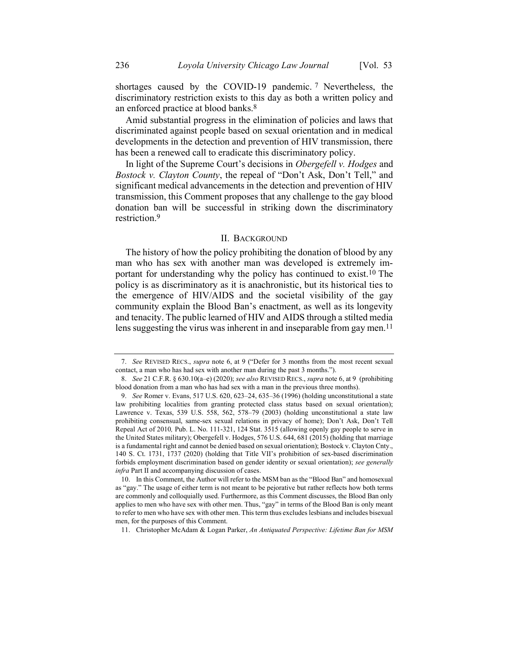shortages caused by the COVID-19 pandemic. 7 Nevertheless, the discriminatory restriction exists to this day as both a written policy and an enforced practice at blood banks.8

Amid substantial progress in the elimination of policies and laws that discriminated against people based on sexual orientation and in medical developments in the detection and prevention of HIV transmission, there has been a renewed call to eradicate this discriminatory policy.

In light of the Supreme Court's decisions in *Obergefell v. Hodges* and Bostock v. Clayton County, the repeal of "Don't Ask, Don't Tell," and significant medical advancements in the detection and prevention of HIV transmission, this Comment proposes that any challenge to the gay blood donation ban will be successful in striking down the discriminatory restriction.9

#### II. BACKGROUND

The history of how the policy prohibiting the donation of blood by any man who has sex with another man was developed is extremely important for understanding why the policy has continued to exist.10 The policy is as discriminatory as it is anachronistic, but its historical ties to the emergence of HIV/AIDS and the societal visibility of the gay community explain the Blood Ban's enactment, as well as its longevity and tenacity. The public learned of HIV and AIDS through a stilted media lens suggesting the virus was inherent in and inseparable from gay men.<sup>11</sup>

11. Christopher McAdam & Logan Parker, An Antiquated Perspective: Lifetime Ban for MSM

<sup>7.</sup> See REVISED RECS., supra note 6, at 9 ("Defer for 3 months from the most recent sexual contact, a man who has had sex with another man during the past 3 months.").

<sup>8.</sup> See 21 C.F.R. § 630.10(a-e) (2020); see also REVISED RECS., supra note 6, at 9 (prohibiting blood donation from a man who has had sex with a man in the previous three months).

<sup>9.</sup> See Romer v. Evans, 517 U.S. 620, 623–24, 635–36 (1996) (holding unconstitutional a state law prohibiting localities from granting protected class status based on sexual orientation); Lawrence v. Texas, 539 U.S. 558, 562, 578–79 (2003) (holding unconstitutional a state law prohibiting consensual, same-sex sexual relations in privacy of home); Don't Ask, Don't Tell Repeal Act of 2010, Pub. L. No. 111-321, 124 Stat. 3515 (allowing openly gay people to serve in the United States military); Obergefell v. Hodges, 576 U.S. 644, 681 (2015) (holding that marriage is a fundamental right and cannot be denied based on sexual orientation); Bostock v. Clayton Cnty., 140 S. Ct. 1731, 1737 (2020) (holding that Title VII's prohibition of sex-based discrimination forbids employment discrimination based on gender identity or sexual orientation); see generally infra Part II and accompanying discussion of cases.

<sup>10.</sup> In this Comment, the Author will refer to the MSM ban as the "Blood Ban" and homosexual as "gay." The usage of either term is not meant to be pejorative but rather reflects how both terms are commonly and colloquially used. Furthermore, as this Comment discusses, the Blood Ban only applies to men who have sex with other men. Thus, "gay" in terms of the Blood Ban is only meant to refer to men who have sex with other men. This term thus excludes lesbians and includes bisexual men, for the purposes of this Comment.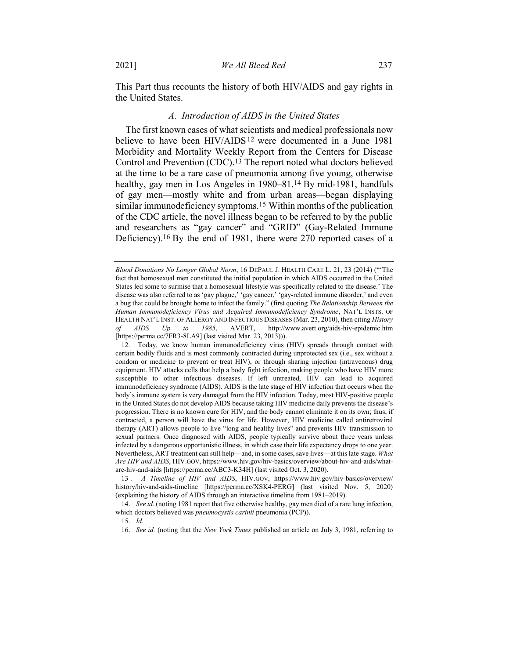This Part thus recounts the history of both HIV/AIDS and gay rights in the United States.

#### A. Introduction of AIDS in the United States

The first known cases of what scientists and medical professionals now believe to have been HIV/AIDS<sup>12</sup> were documented in a June 1981 Morbidity and Mortality Weekly Report from the Centers for Disease Control and Prevention (CDC).13 The report noted what doctors believed at the time to be a rare case of pneumonia among five young, otherwise healthy, gay men in Los Angeles in 1980–81.<sup>14</sup> By mid-1981, handfuls of gay men—mostly white and from urban areas—began displaying similar immunodeficiency symptoms.<sup>15</sup> Within months of the publication of the CDC article, the novel illness began to be referred to by the public and researchers as "gay cancer" and "GRID" (Gay-Related Immune Deficiency).16 By the end of 1981, there were 270 reported cases of a

13 . A Timeline of HIV and AIDS, HIV.GOV, https://www.hiv.gov/hiv-basics/overview/ history/hiv-and-aids-timeline [https://perma.cc/XSK4-PERG] (last visited Nov. 5, 2020) (explaining the history of AIDS through an interactive timeline from 1981–2019).

14. See id. (noting 1981 report that five otherwise healthy, gay men died of a rare lung infection, which doctors believed was *pneumocystis carinii* pneumonia (PCP)).

15. Id.

Blood Donations No Longer Global Norm, 16 DEPAUL J. HEALTH CARE L. 21, 23 (2014) ("'The fact that homosexual men constituted the initial population in which AIDS occurred in the United States led some to surmise that a homosexual lifestyle was specifically related to the disease.' The disease was also referred to as 'gay plague,' 'gay cancer,' 'gay-related immune disorder,' and even a bug that could be brought home to infect the family." (first quoting The Relationship Between the Human Immunodeficiency Virus and Acquired Immunodeficiency Syndrome, NAT'L INSTS. OF HEALTH NAT'L INST. OF ALLERGY AND INFECTIOUS DISEASES (Mar. 23, 2010), then citing History of AIDS Up to 1985, AVERT, http://www.avert.org/aids-hiv-epidemic.htm [https://perma.cc/7FR3-8LA9] (last visited Mar. 23, 2013))).

<sup>12.</sup> Today, we know human immunodeficiency virus (HIV) spreads through contact with certain bodily fluids and is most commonly contracted during unprotected sex (i.e., sex without a condom or medicine to prevent or treat HIV), or through sharing injection (intravenous) drug equipment. HIV attacks cells that help a body fight infection, making people who have HIV more susceptible to other infectious diseases. If left untreated, HIV can lead to acquired immunodeficiency syndrome (AIDS). AIDS is the late stage of HIV infection that occurs when the body's immune system is very damaged from the HIV infection. Today, most HIV-positive people in the United States do not develop AIDS because taking HIV medicine daily prevents the disease's progression. There is no known cure for HIV, and the body cannot eliminate it on its own; thus, if contracted, a person will have the virus for life. However, HIV medicine called antiretroviral therapy (ART) allows people to live "long and healthy lives" and prevents HIV transmission to sexual partners. Once diagnosed with AIDS, people typically survive about three years unless infected by a dangerous opportunistic illness, in which case their life expectancy drops to one year. Nevertheless, ART treatment can still help—and, in some cases, save lives—at this late stage. What Are HIV and AIDS, HIV.GOV, https://www.hiv.gov/hiv-basics/overview/about-hiv-and-aids/whatare-hiv-and-aids [https://perma.cc/ABC3-K34H] (last visited Oct. 3, 2020).

<sup>16.</sup> See id. (noting that the New York Times published an article on July 3, 1981, referring to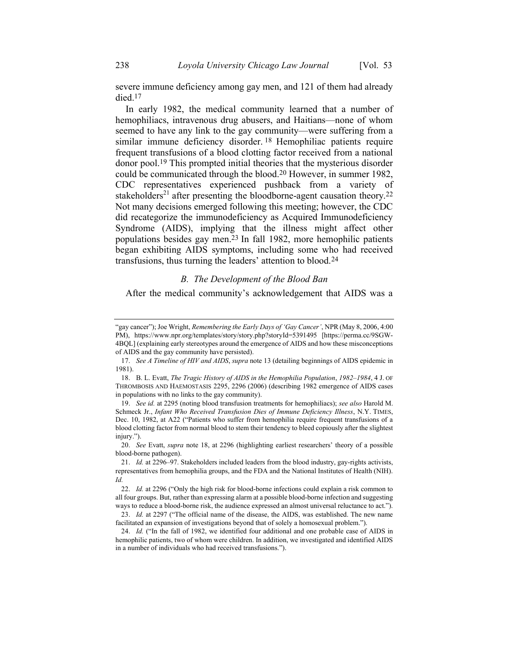severe immune deficiency among gay men, and 121 of them had already died.17

In early 1982, the medical community learned that a number of hemophiliacs, intravenous drug abusers, and Haitians—none of whom seemed to have any link to the gay community—were suffering from a similar immune deficiency disorder. 18 Hemophiliac patients require frequent transfusions of a blood clotting factor received from a national donor pool.19 This prompted initial theories that the mysterious disorder could be communicated through the blood.20 However, in summer 1982, CDC representatives experienced pushback from a variety of stakeholders<sup>21</sup> after presenting the bloodborne-agent causation theory.<sup>22</sup> Not many decisions emerged following this meeting; however, the CDC did recategorize the immunodeficiency as Acquired Immunodeficiency Syndrome (AIDS), implying that the illness might affect other populations besides gay men.23 In fall 1982, more hemophilic patients began exhibiting AIDS symptoms, including some who had received transfusions, thus turning the leaders' attention to blood.24

## B. The Development of the Blood Ban

After the medical community's acknowledgement that AIDS was a

<sup>&</sup>quot;gay cancer"); Joe Wright, Remembering the Early Days of 'Gay Cancer', NPR (May 8, 2006, 4:00) PM), https://www.npr.org/templates/story/story.php?storyId=5391495 [https://perma.cc/9SGW-4BQL] (explaining early stereotypes around the emergence of AIDS and how these misconceptions of AIDS and the gay community have persisted).

<sup>17.</sup> See A Timeline of HIV and AIDS, supra note 13 (detailing beginnings of AIDS epidemic in 1981).

<sup>18.</sup> B. L. Evatt, The Tragic History of AIDS in the Hemophilia Population, 1982–1984, 4 J. OF THROMBOSIS AND HAEMOSTASIS 2295, 2296 (2006) (describing 1982 emergence of AIDS cases in populations with no links to the gay community).

<sup>19.</sup> See id. at 2295 (noting blood transfusion treatments for hemophiliacs); see also Harold M. Schmeck Jr., Infant Who Received Transfusion Dies of Immune Deficiency Illness, N.Y. TIMES, Dec. 10, 1982, at A22 ("Patients who suffer from hemophilia require frequent transfusions of a blood clotting factor from normal blood to stem their tendency to bleed copiously after the slightest injury.").

<sup>20.</sup> See Evatt, supra note 18, at 2296 (highlighting earliest researchers' theory of a possible blood-borne pathogen).

<sup>21.</sup> Id. at 2296–97. Stakeholders included leaders from the blood industry, gay-rights activists, representatives from hemophilia groups, and the FDA and the National Institutes of Health (NIH). Id.

<sup>22.</sup> Id. at 2296 ("Only the high risk for blood-borne infections could explain a risk common to all four groups. But, rather than expressing alarm at a possible blood-borne infection and suggesting ways to reduce a blood-borne risk, the audience expressed an almost universal reluctance to act.").

<sup>23.</sup> Id. at 2297 ("The official name of the disease, the AIDS, was established. The new name facilitated an expansion of investigations beyond that of solely a homosexual problem.").

<sup>24.</sup> Id. ("In the fall of 1982, we identified four additional and one probable case of AIDS in hemophilic patients, two of whom were children. In addition, we investigated and identified AIDS in a number of individuals who had received transfusions.").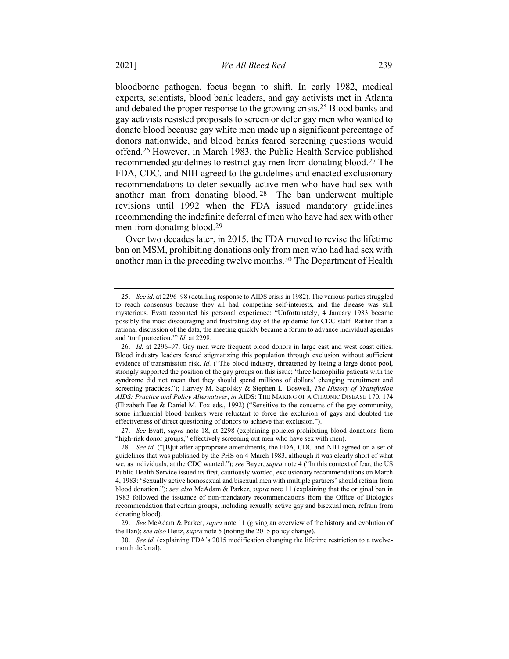bloodborne pathogen, focus began to shift. In early 1982, medical experts, scientists, blood bank leaders, and gay activists met in Atlanta and debated the proper response to the growing crisis.25 Blood banks and gay activists resisted proposals to screen or defer gay men who wanted to donate blood because gay white men made up a significant percentage of donors nationwide, and blood banks feared screening questions would offend.26 However, in March 1983, the Public Health Service published recommended guidelines to restrict gay men from donating blood.27 The FDA, CDC, and NIH agreed to the guidelines and enacted exclusionary recommendations to deter sexually active men who have had sex with another man from donating blood. 28 The ban underwent multiple revisions until 1992 when the FDA issued mandatory guidelines recommending the indefinite deferral of men who have had sex with other men from donating blood.29

Over two decades later, in 2015, the FDA moved to revise the lifetime ban on MSM, prohibiting donations only from men who had had sex with another man in the preceding twelve months.30 The Department of Health

27. See Evatt, supra note 18, at 2298 (explaining policies prohibiting blood donations from "high-risk donor groups," effectively screening out men who have sex with men).

<sup>25.</sup> See id. at 2296–98 (detailing response to AIDS crisis in 1982). The various parties struggled to reach consensus because they all had competing self-interests, and the disease was still mysterious. Evatt recounted his personal experience: "Unfortunately, 4 January 1983 became possibly the most discouraging and frustrating day of the epidemic for CDC staff. Rather than a rational discussion of the data, the meeting quickly became a forum to advance individual agendas and 'turf protection.'" Id. at 2298.

<sup>26.</sup> Id. at 2296–97. Gay men were frequent blood donors in large east and west coast cities. Blood industry leaders feared stigmatizing this population through exclusion without sufficient evidence of transmission risk. Id. ("The blood industry, threatened by losing a large donor pool, strongly supported the position of the gay groups on this issue; 'three hemophilia patients with the syndrome did not mean that they should spend millions of dollars' changing recruitment and screening practices."); Harvey M. Sapolsky & Stephen L. Boswell, The History of Transfusion AIDS: Practice and Policy Alternatives, in AIDS: THE MAKING OF A CHRONIC DISEASE 170, 174 (Elizabeth Fee & Daniel M. Fox eds., 1992) ("Sensitive to the concerns of the gay community, some influential blood bankers were reluctant to force the exclusion of gays and doubted the effectiveness of direct questioning of donors to achieve that exclusion.").

<sup>28.</sup> See id. ("[B]ut after appropriate amendments, the FDA, CDC and NIH agreed on a set of guidelines that was published by the PHS on 4 March 1983, although it was clearly short of what we, as individuals, at the CDC wanted."); see Bayer, supra note 4 ("In this context of fear, the US Public Health Service issued its first, cautiously worded, exclusionary recommendations on March 4, 1983: 'Sexually active homosexual and bisexual men with multiple partners' should refrain from blood donation."); see also McAdam & Parker, supra note 11 (explaining that the original ban in 1983 followed the issuance of non-mandatory recommendations from the Office of Biologics recommendation that certain groups, including sexually active gay and bisexual men, refrain from donating blood).

<sup>29.</sup> See McAdam & Parker, supra note 11 (giving an overview of the history and evolution of the Ban); see also Heitz, supra note 5 (noting the 2015 policy change).

<sup>30.</sup> See id. (explaining FDA's 2015 modification changing the lifetime restriction to a twelvemonth deferral).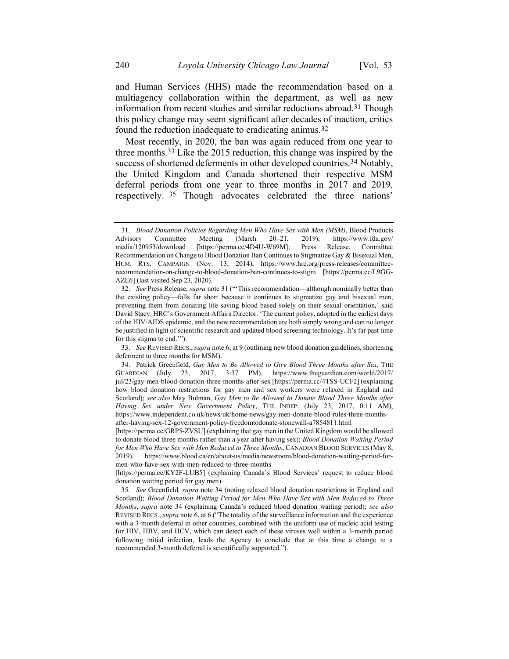and Human Services (HHS) made the recommendation based on a multiagency collaboration within the department, as well as new information from recent studies and similar reductions abroad.31 Though this policy change may seem significant after decades of inaction, critics found the reduction inadequate to eradicating animus.32

Most recently, in 2020, the ban was again reduced from one year to three months.33 Like the 2015 reduction, this change was inspired by the success of shortened deferments in other developed countries.<sup>34</sup> Notably, the United Kingdom and Canada shortened their respective MSM deferral periods from one year to three months in 2017 and 2019, respectively. 35 Though advocates celebrated the three nations'

33. See REVISED RECS., supra note 6, at 9 (outlining new blood donation guidelines, shortening deferment to three months for MSM).

<sup>31.</sup> Blood Donation Policies Regarding Men Who Have Sex with Men (MSM), Blood Products Advisory Committee Meeting (March 20–21, 2019), https://www.fda.gov/<br>media/120953/download [https://perma.cc/4D4U-W69M]; Press Release, Committee media/120953/download [https://perma.cc/4D4U-W69M]; Press Release, Committee Recommendation on Change to Blood Donation Ban Continues to Stigmatize Gay & Bisexual Men, HUM. RTS. CAMPAIGN (Nov. 13, 2014), https://www.hrc.org/press-releases/committeerecommendation-on-change-to-blood-donation-ban-continues-to-stigm [https://perma.cc/L9GG-AZE6] (last visited Sep 23, 2020).

<sup>32.</sup> See Press Release, supra note 31 ("'This recommendation—although nominally better than the existing policy—falls far short because it continues to stigmatize gay and bisexual men, preventing them from donating life-saving blood based solely on their sexual orientation,' said David Stacy, HRC's Government Affairs Director. 'The current policy, adopted in the earliest days of the HIV/AIDS epidemic, and the new recommendation are both simply wrong and can no longer be justified in light of scientific research and updated blood screening technology. It's far past time for this stigma to end.'").

<sup>34.</sup> Patrick Greenfield, Gay Men to Be Allowed to Give Blood Three Months after Sex, THE GUARDIAN (July 23, 2017, 3:37 PM), https://www.theguardian.com/world/2017/ jul/23/gay-men-blood-donation-three-months-after-sex [https://perma.cc/4TSS-UCF2] (explaining how blood donation restrictions for gay men and sex workers were relaxed in England and Scotland); see also May Bulman, Gay Men to Be Allowed to Donate Blood Three Months after Having Sex under New Government Policy, THE INDEP. (July 23, 2017, 0:11 AM), https://www.independent.co.uk/news/uk/home-news/gay-men-donate-blood-rules-three-monthsafter-having-sex-12-government-policy-freedomtodonate-stonewall-a7854811.html

<sup>[</sup>https://perma.cc/GRP5-ZVSU] (explaining that gay men in the United Kingdom would be allowed to donate blood three months rather than a year after having sex); Blood Donation Waiting Period for Men Who Have Sex with Men Reduced to Three Months, CANADIAN BLOOD SERVICES (May 8, 2019), https://www.blood.ca/en/about-us/media/newsroom/blood-donation-waiting-period-formen-who-have-sex-with-men-reduced-to-three-months

<sup>[</sup>https://perma.cc/KY2F-LUB5] (explaining Canada's Blood Services' request to reduce blood donation waiting period for gay men).

<sup>35</sup>. See Greenfield, supra note 34 (noting relaxed blood donation restrictions in England and Scotland); Blood Donation Waiting Period for Men Who Have Sex with Men Reduced to Three Months, supra note 34 (explaining Canada's reduced blood donation waiting period); see also REVISED RECS., supra note 6, at 6 ("The totality of the surveillance information and the experience with a 3-month deferral in other countries, combined with the uniform use of nucleic acid testing for HIV, HBV, and HCV, which can detect each of these viruses well within a 3-month period following initial infection, leads the Agency to conclude that at this time a change to a recommended 3-month deferral is scientifically supported.").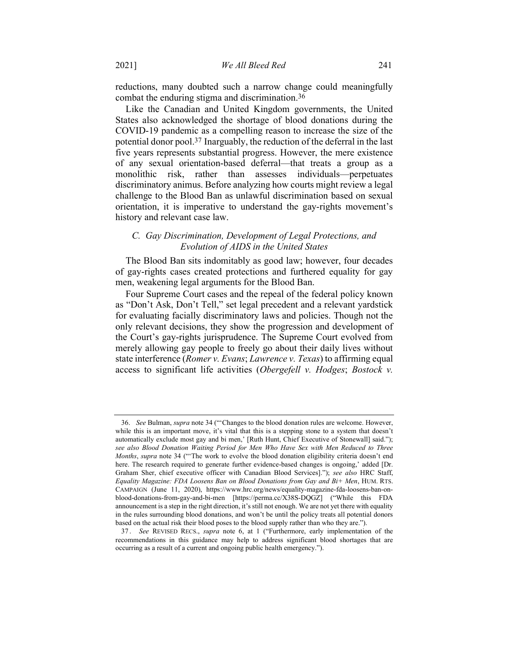reductions, many doubted such a narrow change could meaningfully combat the enduring stigma and discrimination.36

Like the Canadian and United Kingdom governments, the United States also acknowledged the shortage of blood donations during the COVID-19 pandemic as a compelling reason to increase the size of the potential donor pool.37 Inarguably, the reduction of the deferral in the last five years represents substantial progress. However, the mere existence of any sexual orientation-based deferral—that treats a group as a monolithic risk, rather than assesses individuals—perpetuates discriminatory animus. Before analyzing how courts might review a legal challenge to the Blood Ban as unlawful discrimination based on sexual orientation, it is imperative to understand the gay-rights movement's history and relevant case law.

## C. Gay Discrimination, Development of Legal Protections, and Evolution of AIDS in the United States

The Blood Ban sits indomitably as good law; however, four decades of gay-rights cases created protections and furthered equality for gay men, weakening legal arguments for the Blood Ban.

Four Supreme Court cases and the repeal of the federal policy known as "Don't Ask, Don't Tell," set legal precedent and a relevant yardstick for evaluating facially discriminatory laws and policies. Though not the only relevant decisions, they show the progression and development of the Court's gay-rights jurisprudence. The Supreme Court evolved from merely allowing gay people to freely go about their daily lives without state interference (Romer v. Evans; Lawrence v. Texas) to affirming equal access to significant life activities (Obergefell v. Hodges; Bostock v.

<sup>36.</sup> See Bulman, supra note 34 ("'Changes to the blood donation rules are welcome. However, while this is an important move, it's vital that this is a stepping stone to a system that doesn't automatically exclude most gay and bi men,' [Ruth Hunt, Chief Executive of Stonewall] said."); see also Blood Donation Waiting Period for Men Who Have Sex with Men Reduced to Three Months, supra note 34 ("'The work to evolve the blood donation eligibility criteria doesn't end here. The research required to generate further evidence-based changes is ongoing,' added [Dr. Graham Sher, chief executive officer with Canadian Blood Services]."); see also HRC Staff, Equality Magazine: FDA Loosens Ban on Blood Donations from Gay and Bi+ Men, HUM. RTS. CAMPAIGN (June 11, 2020), https://www.hrc.org/news/equality-magazine-fda-loosens-ban-onblood-donations-from-gay-and-bi-men [https://perma.cc/X38S-DQGZ] ("While this FDA announcement is a step in the right direction, it's still not enough. We are not yet there with equality in the rules surrounding blood donations, and won't be until the policy treats all potential donors based on the actual risk their blood poses to the blood supply rather than who they are.").

<sup>37 .</sup> See REVISED RECS., supra note 6, at 1 ("Furthermore, early implementation of the recommendations in this guidance may help to address significant blood shortages that are occurring as a result of a current and ongoing public health emergency.").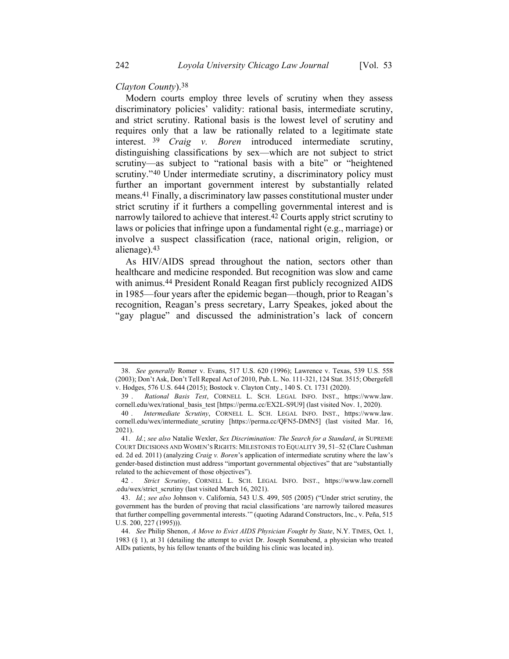#### Clayton County).38

Modern courts employ three levels of scrutiny when they assess discriminatory policies' validity: rational basis, intermediate scrutiny, and strict scrutiny. Rational basis is the lowest level of scrutiny and requires only that a law be rationally related to a legitimate state interest. 39 Craig v. Boren introduced intermediate scrutiny, distinguishing classifications by sex—which are not subject to strict scrutiny—as subject to "rational basis with a bite" or "heightened scrutiny."<sup>40</sup> Under intermediate scrutiny, a discriminatory policy must further an important government interest by substantially related means.41 Finally, a discriminatory law passes constitutional muster under strict scrutiny if it furthers a compelling governmental interest and is narrowly tailored to achieve that interest.<sup>42</sup> Courts apply strict scrutiny to laws or policies that infringe upon a fundamental right (e.g., marriage) or involve a suspect classification (race, national origin, religion, or alienage).43

As HIV/AIDS spread throughout the nation, sectors other than healthcare and medicine responded. But recognition was slow and came with animus.<sup>44</sup> President Ronald Reagan first publicly recognized AIDS in 1985—four years after the epidemic began—though, prior to Reagan's recognition, Reagan's press secretary, Larry Speakes, joked about the "gay plague" and discussed the administration's lack of concern

<sup>38.</sup> See generally Romer v. Evans, 517 U.S. 620 (1996); Lawrence v. Texas, 539 U.S. 558 (2003); Don't Ask, Don't Tell Repeal Act of 2010, Pub. L. No. 111-321, 124 Stat. 3515; Obergefell v. Hodges, 576 U.S. 644 (2015); Bostock v. Clayton Cnty., 140 S. Ct. 1731 (2020).

<sup>39 .</sup> Rational Basis Test, CORNELL L. SCH. LEGAL INFO. INST., https://www.law. cornell.edu/wex/rational\_basis\_test [https://perma.cc/EX2L-S9U9] (last visited Nov. 1, 2020).

<sup>40 .</sup> Intermediate Scrutiny, CORNELL L. SCH. LEGAL INFO. INST., https://www.law. cornell.edu/wex/intermediate\_scrutiny [https://perma.cc/QFN5-DMN5] (last visited Mar. 16, 2021).

<sup>41.</sup> Id.; see also Natalie Wexler, Sex Discrimination: The Search for a Standard, in SUPREME COURT DECISIONS AND WOMEN'S RIGHTS: MILESTONES TO EQUALITY 39, 51–52 (Clare Cushman ed. 2d ed. 2011) (analyzing Craig v. Boren's application of intermediate scrutiny where the law's gender-based distinction must address "important governmental objectives" that are "substantially related to the achievement of those objectives").

<sup>42 .</sup> Strict Scrutiny, CORNELL L. SCH. LEGAL INFO. INST., https://www.law.cornell .edu/wex/strict\_scrutiny (last visited March 16, 2021).

<sup>43.</sup> Id.; see also Johnson v. California, 543 U.S. 499, 505 (2005) ("Under strict scrutiny, the government has the burden of proving that racial classifications 'are narrowly tailored measures that further compelling governmental interests.'" (quoting Adarand Constructors, Inc., v. Peña, 515 U.S. 200, 227 (1995))).

<sup>44.</sup> See Philip Shenon, A Move to Evict AIDS Physician Fought by State, N.Y. TIMES, Oct. 1, 1983 (§ 1), at 31 (detailing the attempt to evict Dr. Joseph Sonnabend, a physician who treated AIDs patients, by his fellow tenants of the building his clinic was located in).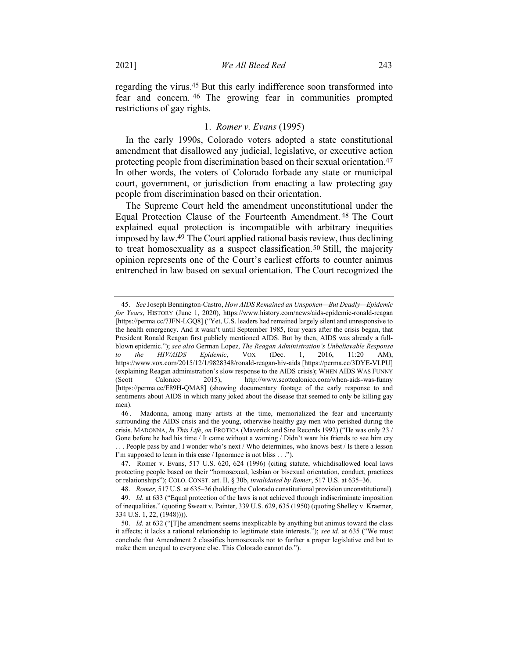regarding the virus.45 But this early indifference soon transformed into fear and concern. 46 The growing fear in communities prompted restrictions of gay rights.

#### 1. Romer v. Evans (1995)

In the early 1990s, Colorado voters adopted a state constitutional amendment that disallowed any judicial, legislative, or executive action protecting people from discrimination based on their sexual orientation.47 In other words, the voters of Colorado forbade any state or municipal court, government, or jurisdiction from enacting a law protecting gay people from discrimination based on their orientation.

The Supreme Court held the amendment unconstitutional under the Equal Protection Clause of the Fourteenth Amendment. 48 The Court explained equal protection is incompatible with arbitrary inequities imposed by law.49 The Court applied rational basis review, thus declining to treat homosexuality as a suspect classification.<sup>50</sup> Still, the majority opinion represents one of the Court's earliest efforts to counter animus entrenched in law based on sexual orientation. The Court recognized the

<sup>45.</sup> See Joseph Bennington-Castro, How AIDS Remained an Unspoken—But Deadly—Epidemic for Years, HISTORY (June 1, 2020), https://www.history.com/news/aids-epidemic-ronald-reagan [https://perma.cc/7JFN-LGQ8] ("Yet, U.S. leaders had remained largely silent and unresponsive to the health emergency. And it wasn't until September 1985, four years after the crisis began, that President Ronald Reagan first publicly mentioned AIDS. But by then, AIDS was already a fullblown epidemic."); see also German Lopez, The Reagan Administration's Unbelievable Response to the  $HIV/ALDS$  Epidemic, VOX (Dec. 1, 2016, 11:20 AM), https://www.vox.com/2015/12/1/9828348/ronald-reagan-hiv-aids [https://perma.cc/3DYE-VLPU] (explaining Reagan administration's slow response to the AIDS crisis); WHEN AIDS WAS FUNNY (Scott Calonico 2015), http://www.scottcalonico.com/when-aids-was-funny [https://perma.cc/E89H-QMA8] (showing documentary footage of the early response to and sentiments about AIDS in which many joked about the disease that seemed to only be killing gay men).

<sup>46 .</sup> Madonna, among many artists at the time, memorialized the fear and uncertainty surrounding the AIDS crisis and the young, otherwise healthy gay men who perished during the crisis. MADONNA, In This Life, on EROTICA (Maverick and Sire Records 1992) ("He was only 23 / Gone before he had his time / It came without a warning / Didn't want his friends to see him cry . . . People pass by and I wonder who's next / Who determines, who knows best / Is there a lesson I'm supposed to learn in this case / Ignorance is not bliss . . .").

<sup>47.</sup> Romer v. Evans, 517 U.S. 620, 624 (1996) (citing statute, whichdisallowed local laws protecting people based on their "homosexual, lesbian or bisexual orientation, conduct, practices or relationships"); COLO. CONST. art. II, § 30b, invalidated by Romer, 517 U.S. at 635–36.

<sup>48.</sup> Romer, 517 U.S. at 635–36 (holding the Colorado constitutional provision unconstitutional).

<sup>49.</sup> Id. at 633 ("Equal protection of the laws is not achieved through indiscriminate imposition of inequalities." (quoting Sweatt v. Painter, 339 U.S. 629, 635 (1950) (quoting Shelley v. Kraemer, 334 U.S. 1, 22, (1948)))).

<sup>50.</sup> Id. at 632 ("[T]he amendment seems inexplicable by anything but animus toward the class it affects; it lacks a rational relationship to legitimate state interests."); see id. at 635 ("We must conclude that Amendment 2 classifies homosexuals not to further a proper legislative end but to make them unequal to everyone else. This Colorado cannot do.").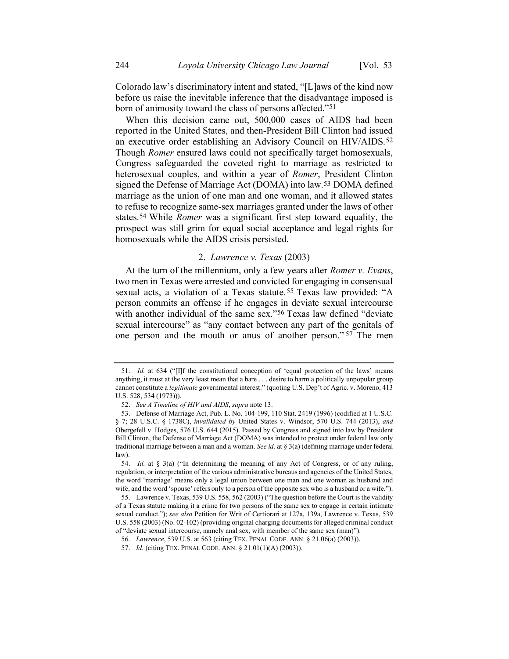Colorado law's discriminatory intent and stated, "[L]aws of the kind now before us raise the inevitable inference that the disadvantage imposed is born of animosity toward the class of persons affected."51

When this decision came out, 500,000 cases of AIDS had been reported in the United States, and then-President Bill Clinton had issued an executive order establishing an Advisory Council on HIV/AIDS.52 Though Romer ensured laws could not specifically target homosexuals, Congress safeguarded the coveted right to marriage as restricted to heterosexual couples, and within a year of Romer, President Clinton signed the Defense of Marriage Act (DOMA) into law.53 DOMA defined marriage as the union of one man and one woman, and it allowed states to refuse to recognize same-sex marriages granted under the laws of other states.54 While Romer was a significant first step toward equality, the prospect was still grim for equal social acceptance and legal rights for homosexuals while the AIDS crisis persisted.

### 2. Lawrence v. Texas (2003)

At the turn of the millennium, only a few years after *Romer v. Evans*, two men in Texas were arrested and convicted for engaging in consensual sexual acts, a violation of a Texas statute.<sup>55</sup> Texas law provided: "A person commits an offense if he engages in deviate sexual intercourse with another individual of the same sex."<sup>56</sup> Texas law defined "deviate sexual intercourse" as "any contact between any part of the genitals of one person and the mouth or anus of another person." 57 The men

<sup>51.</sup> Id. at 634 ("[I]f the constitutional conception of 'equal protection of the laws' means anything, it must at the very least mean that a bare . . . desire to harm a politically unpopular group cannot constitute a legitimate governmental interest." (quoting U.S. Dep't of Agric. v. Moreno, 413 U.S. 528, 534 (1973))).

<sup>52.</sup> See A Timeline of HIV and AIDS, supra note 13.

<sup>53.</sup> Defense of Marriage Act, Pub. L. No. 104-199, 110 Stat. 2419 (1996) (codified at 1 U.S.C. § 7; 28 U.S.C. § 1738C), invalidated by United States v. Windsor, 570 U.S. 744 (2013), and Obergefell v. Hodges, 576 U.S. 644 (2015). Passed by Congress and signed into law by President Bill Clinton, the Defense of Marriage Act (DOMA) was intended to protect under federal law only traditional marriage between a man and a woman. See id. at  $\S$  3(a) (defining marriage under federal law).

<sup>54.</sup> Id. at  $\S$  3(a) ("In determining the meaning of any Act of Congress, or of any ruling, regulation, or interpretation of the various administrative bureaus and agencies of the United States, the word 'marriage' means only a legal union between one man and one woman as husband and wife, and the word 'spouse' refers only to a person of the opposite sex who is a husband or a wife.").

<sup>55.</sup> Lawrence v. Texas, 539 U.S. 558, 562 (2003) ("The question before the Court is the validity of a Texas statute making it a crime for two persons of the same sex to engage in certain intimate sexual conduct."); see also Petition for Writ of Certiorari at 127a, 139a, Lawrence v. Texas, 539 U.S. 558 (2003) (No. 02-102) (providing original charging documents for alleged criminal conduct of "deviate sexual intercourse, namely anal sex, with member of the same sex (man)").

<sup>56.</sup> Lawrence, 539 U.S. at 563 (citing TEX. PENAL CODE. ANN. § 21.06(a) (2003)).

<sup>57.</sup> Id. (citing TEX. PENAL CODE. ANN. § 21.01(1)(A) (2003)).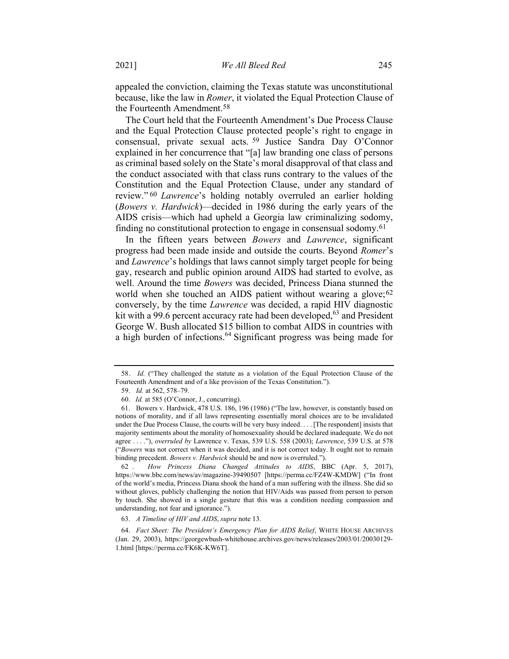appealed the conviction, claiming the Texas statute was unconstitutional because, like the law in Romer, it violated the Equal Protection Clause of the Fourteenth Amendment.58

The Court held that the Fourteenth Amendment's Due Process Clause and the Equal Protection Clause protected people's right to engage in consensual, private sexual acts. 59 Justice Sandra Day O'Connor explained in her concurrence that "[a] law branding one class of persons as criminal based solely on the State's moral disapproval of that class and the conduct associated with that class runs contrary to the values of the Constitution and the Equal Protection Clause, under any standard of review."<sup>60</sup> Lawrence's holding notably overruled an earlier holding (Bowers v. Hardwick)—decided in 1986 during the early years of the AIDS crisis—which had upheld a Georgia law criminalizing sodomy, finding no constitutional protection to engage in consensual sodomy.61

In the fifteen years between Bowers and Lawrence, significant progress had been made inside and outside the courts. Beyond Romer's and Lawrence's holdings that laws cannot simply target people for being gay, research and public opinion around AIDS had started to evolve, as well. Around the time *Bowers* was decided, Princess Diana stunned the world when she touched an AIDS patient without wearing a glove;<sup>62</sup> conversely, by the time Lawrence was decided, a rapid HIV diagnostic kit with a 99.6 percent accuracy rate had been developed,  $63$  and President George W. Bush allocated \$15 billion to combat AIDS in countries with a high burden of infections.<sup>64</sup> Significant progress was being made for

63. A Timeline of HIV and AIDS, supra note 13.

64. Fact Sheet: The President's Emergency Plan for AIDS Relief, WHITE HOUSE ARCHIVES (Jan. 29, 2003), https://georgewbush-whitehouse.archives.gov/news/releases/2003/01/20030129- 1.html [https://perma.cc/FK6K-KW6T].

<sup>58.</sup> Id. ("They challenged the statute as a violation of the Equal Protection Clause of the Fourteenth Amendment and of a like provision of the Texas Constitution.").

<sup>59.</sup> Id. at 562, 578–79.

<sup>60.</sup> Id. at 585 (O'Connor, J., concurring).

<sup>61.</sup> Bowers v. Hardwick, 478 U.S. 186, 196 (1986) ("The law, however, is constantly based on notions of morality, and if all laws representing essentially moral choices are to be invalidated under the Due Process Clause, the courts will be very busy indeed. . . . [The respondent] insists that majority sentiments about the morality of homosexuality should be declared inadequate. We do not agree . . . ."), overruled by Lawrence v. Texas, 539 U.S. 558 (2003); Lawrence, 539 U.S. at 578 ("Bowers was not correct when it was decided, and it is not correct today. It ought not to remain binding precedent. Bowers v. Hardwick should be and now is overruled.").

<sup>62 .</sup> How Princess Diana Changed Attitudes to AIDS, BBC (Apr. 5, 2017), https://www.bbc.com/news/av/magazine-39490507 [https://perma.cc/FZ4W-KMDW] ("In front of the world's media, Princess Diana shook the hand of a man suffering with the illness. She did so without gloves, publicly challenging the notion that HIV/Aids was passed from person to person by touch. She showed in a single gesture that this was a condition needing compassion and understanding, not fear and ignorance.").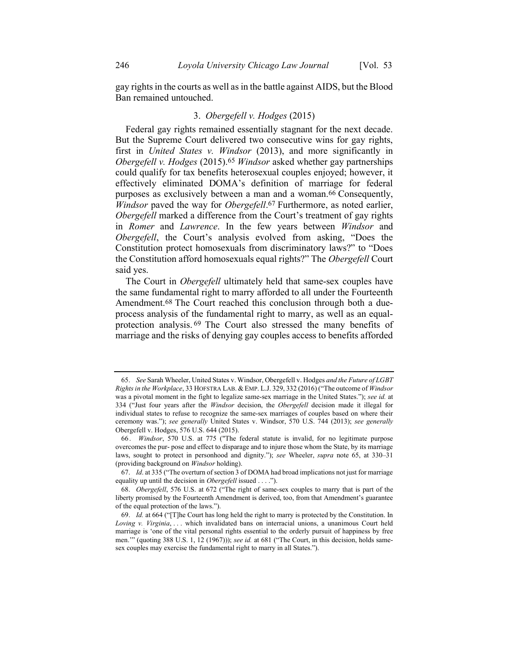gay rights in the courts as well as in the battle against AIDS, but the Blood Ban remained untouched.

# 3. Obergefell v. Hodges (2015)

Federal gay rights remained essentially stagnant for the next decade. But the Supreme Court delivered two consecutive wins for gay rights, first in United States v. Windsor (2013), and more significantly in Obergefell v. Hodges (2015).<sup>65</sup> Windsor asked whether gay partnerships could qualify for tax benefits heterosexual couples enjoyed; however, it effectively eliminated DOMA's definition of marriage for federal purposes as exclusively between a man and a woman.66 Consequently, Windsor paved the way for *Obergefell*.<sup>67</sup> Furthermore, as noted earlier, Obergefell marked a difference from the Court's treatment of gay rights in Romer and Lawrence. In the few years between Windsor and Obergefell, the Court's analysis evolved from asking, "Does the Constitution protect homosexuals from discriminatory laws?" to "Does the Constitution afford homosexuals equal rights?" The Obergefell Court said yes.

The Court in *Obergefell* ultimately held that same-sex couples have the same fundamental right to marry afforded to all under the Fourteenth Amendment.68 The Court reached this conclusion through both a dueprocess analysis of the fundamental right to marry, as well as an equalprotection analysis. 69 The Court also stressed the many benefits of marriage and the risks of denying gay couples access to benefits afforded

<sup>65.</sup> See Sarah Wheeler, United States v. Windsor, Obergefell v. Hodges and the Future of LGBT Rights in the Workplace, 33 HOFSTRA LAB. & EMP. L.J. 329, 332 (2016) ("The outcome of Windsor was a pivotal moment in the fight to legalize same-sex marriage in the United States."); see id. at 334 ("Just four years after the Windsor decision, the Obergefell decision made it illegal for individual states to refuse to recognize the same-sex marriages of couples based on where their ceremony was."); see generally United States v. Windsor, 570 U.S. 744 (2013); see generally Obergefell v. Hodges, 576 U.S. 644 (2015).

<sup>66.</sup> Windsor, 570 U.S. at 775 ("The federal statute is invalid, for no legitimate purpose overcomes the pur- pose and effect to disparage and to injure those whom the State, by its marriage laws, sought to protect in personhood and dignity."); see Wheeler, supra note 65, at 330–31 (providing background on Windsor holding).

<sup>67.</sup> Id. at 335 ("The overturn of section 3 of DOMA had broad implications not just for marriage equality up until the decision in *Obergefell* issued . . . .").

<sup>68.</sup> Obergefell, 576 U.S. at 672 ("The right of same-sex couples to marry that is part of the liberty promised by the Fourteenth Amendment is derived, too, from that Amendment's guarantee of the equal protection of the laws.").

<sup>69.</sup> Id. at 664 ("[T]he Court has long held the right to marry is protected by the Constitution. In Loving v. Virginia,  $\dots$  which invalidated bans on interracial unions, a unanimous Court held marriage is 'one of the vital personal rights essential to the orderly pursuit of happiness by free men."" (quoting 388 U.S. 1, 12 (1967))); see id. at 681 ("The Court, in this decision, holds samesex couples may exercise the fundamental right to marry in all States.").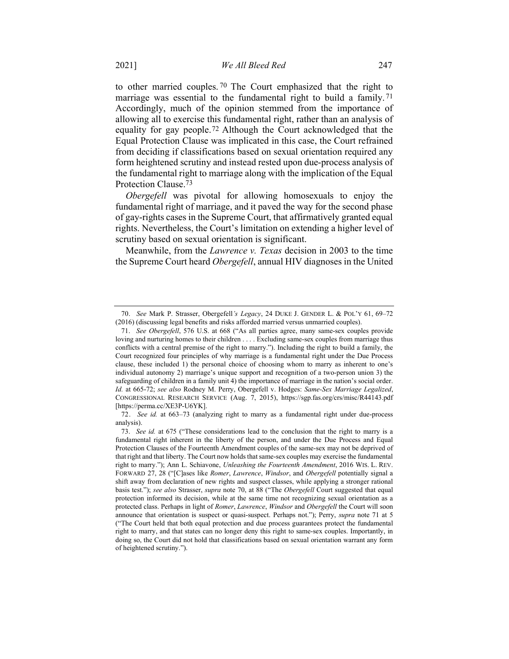to other married couples. 70 The Court emphasized that the right to marriage was essential to the fundamental right to build a family.<sup>71</sup> Accordingly, much of the opinion stemmed from the importance of allowing all to exercise this fundamental right, rather than an analysis of equality for gay people.72 Although the Court acknowledged that the Equal Protection Clause was implicated in this case, the Court refrained from deciding if classifications based on sexual orientation required any form heightened scrutiny and instead rested upon due-process analysis of the fundamental right to marriage along with the implication of the Equal Protection Clause.73

Obergefell was pivotal for allowing homosexuals to enjoy the fundamental right of marriage, and it paved the way for the second phase of gay-rights cases in the Supreme Court, that affirmatively granted equal rights. Nevertheless, the Court's limitation on extending a higher level of scrutiny based on sexual orientation is significant.

Meanwhile, from the Lawrence v. Texas decision in 2003 to the time the Supreme Court heard Obergefell, annual HIV diagnoses in the United

<sup>70.</sup> See Mark P. Strasser, Obergefell's Legacy, 24 DUKE J. GENDER L. & POL'Y 61, 69-72 (2016) (discussing legal benefits and risks afforded married versus unmarried couples).

<sup>71.</sup> See Obergefell, 576 U.S. at 668 ("As all parties agree, many same-sex couples provide loving and nurturing homes to their children . . . . Excluding same-sex couples from marriage thus conflicts with a central premise of the right to marry."). Including the right to build a family, the Court recognized four principles of why marriage is a fundamental right under the Due Process clause, these included 1) the personal choice of choosing whom to marry as inherent to one's individual autonomy 2) marriage's unique support and recognition of a two-person union 3) the safeguarding of children in a family unit 4) the importance of marriage in the nation's social order. Id. at 665-72; see also Rodney M. Perry, Obergefell v. Hodges: Same-Sex Marriage Legalized, CONGRESSIONAL RESEARCH SERVICE (Aug. 7, 2015), https://sgp.fas.org/crs/misc/R44143.pdf [https://perma.cc/XE3P-U6YK].

<sup>72.</sup> See id. at 663–73 (analyzing right to marry as a fundamental right under due-process analysis).

<sup>73.</sup> See id. at 675 ("These considerations lead to the conclusion that the right to marry is a fundamental right inherent in the liberty of the person, and under the Due Process and Equal Protection Clauses of the Fourteenth Amendment couples of the same-sex may not be deprived of that right and that liberty. The Court now holds that same-sex couples may exercise the fundamental right to marry."); Ann L. Schiavone, Unleashing the Fourteenth Amendment, 2016 WIS. L. REV. FORWARD 27, 28 ("[C]ases like Romer, Lawrence, Windsor, and Obergefell potentially signal a shift away from declaration of new rights and suspect classes, while applying a stronger rational basis test."); see also Strasser, supra note 70, at 88 ("The Obergefell Court suggested that equal protection informed its decision, while at the same time not recognizing sexual orientation as a protected class. Perhaps in light of Romer, Lawrence, Windsor and Obergefell the Court will soon announce that orientation is suspect or quasi-suspect. Perhaps not."); Perry, *supra* note 71 at 5 ("The Court held that both equal protection and due process guarantees protect the fundamental right to marry, and that states can no longer deny this right to same-sex couples. Importantly, in doing so, the Court did not hold that classifications based on sexual orientation warrant any form of heightened scrutiny.").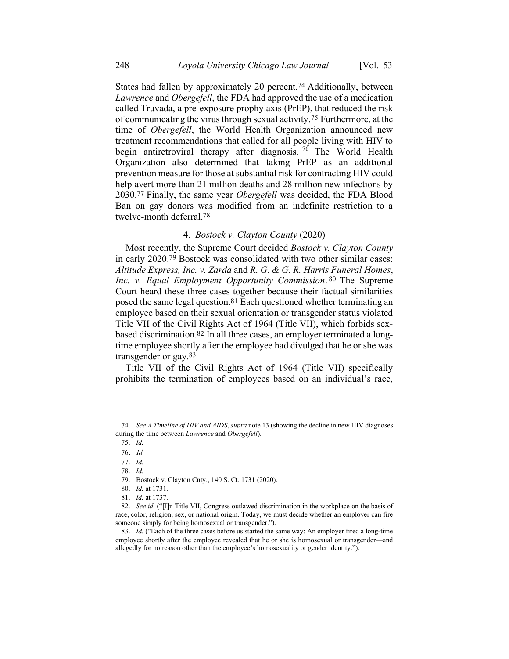States had fallen by approximately 20 percent.74 Additionally, between Lawrence and Obergefell, the FDA had approved the use of a medication called Truvada, a pre-exposure prophylaxis (PrEP), that reduced the risk of communicating the virus through sexual activity.75 Furthermore, at the time of *Obergefell*, the World Health Organization announced new treatment recommendations that called for all people living with HIV to begin antiretroviral therapy after diagnosis.  $^{76}$  The World Health Organization also determined that taking PrEP as an additional prevention measure for those at substantial risk for contracting HIV could help avert more than 21 million deaths and 28 million new infections by 2030.<sup>77</sup> Finally, the same year *Obergefell* was decided, the FDA Blood Ban on gay donors was modified from an indefinite restriction to a twelve-month deferral.78

## 4. Bostock v. Clayton County (2020)

Most recently, the Supreme Court decided Bostock v. Clayton County in early 2020.79 Bostock was consolidated with two other similar cases: Altitude Express, Inc. v. Zarda and R. G. & G. R. Harris Funeral Homes, Inc. v. Equal Employment Opportunity Commission.<sup>80</sup> The Supreme Court heard these three cases together because their factual similarities posed the same legal question.81 Each questioned whether terminating an employee based on their sexual orientation or transgender status violated Title VII of the Civil Rights Act of 1964 (Title VII), which forbids sexbased discrimination.82 In all three cases, an employer terminated a longtime employee shortly after the employee had divulged that he or she was transgender or gay.83

Title VII of the Civil Rights Act of 1964 (Title VII) specifically prohibits the termination of employees based on an individual's race,

<sup>74.</sup> See A Timeline of HIV and AIDS, supra note 13 (showing the decline in new HIV diagnoses during the time between Lawrence and Obergefell).

<sup>75.</sup> Id.

<sup>76</sup>. Id.

<sup>77.</sup> Id.

<sup>78.</sup> Id.

<sup>79.</sup> Bostock v. Clayton Cnty., 140 S. Ct. 1731 (2020).

<sup>80.</sup> Id. at 1731.

<sup>81.</sup> Id. at 1737.

<sup>82.</sup> See id. ("[I]n Title VII, Congress outlawed discrimination in the workplace on the basis of race, color, religion, sex, or national origin. Today, we must decide whether an employer can fire someone simply for being homosexual or transgender.").

<sup>83.</sup> Id. ("Each of the three cases before us started the same way: An employer fired a long-time employee shortly after the employee revealed that he or she is homosexual or transgender—and allegedly for no reason other than the employee's homosexuality or gender identity.").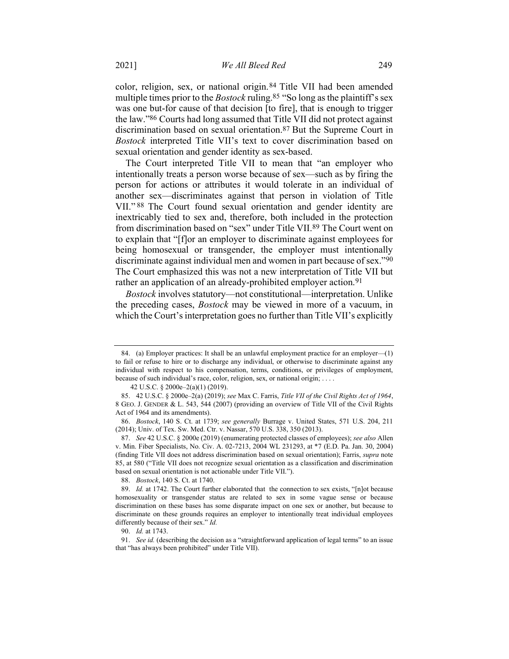color, religion, sex, or national origin.84 Title VII had been amended multiple times prior to the *Bostock* ruling.<sup>85</sup> "So long as the plaintiff's sex was one but-for cause of that decision [to fire], that is enough to trigger the law."86 Courts had long assumed that Title VII did not protect against discrimination based on sexual orientation.87 But the Supreme Court in Bostock interpreted Title VII's text to cover discrimination based on sexual orientation and gender identity as sex-based.

The Court interpreted Title VII to mean that "an employer who intentionally treats a person worse because of sex—such as by firing the person for actions or attributes it would tolerate in an individual of another sex—discriminates against that person in violation of Title VII." 88 The Court found sexual orientation and gender identity are inextricably tied to sex and, therefore, both included in the protection from discrimination based on "sex" under Title VII.89 The Court went on to explain that "[f]or an employer to discriminate against employees for being homosexual or transgender, the employer must intentionally discriminate against individual men and women in part because of sex."90 The Court emphasized this was not a new interpretation of Title VII but rather an application of an already-prohibited employer action.<sup>91</sup>

Bostock involves statutory—not constitutional—interpretation. Unlike the preceding cases, Bostock may be viewed in more of a vacuum, in which the Court's interpretation goes no further than Title VII's explicitly

42 U.S.C. § 2000e–2(a)(1) (2019).

88. Bostock, 140 S. Ct. at 1740.

90. Id. at 1743.

<sup>84. (</sup>a) Employer practices: It shall be an unlawful employment practice for an employer—(1) to fail or refuse to hire or to discharge any individual, or otherwise to discriminate against any individual with respect to his compensation, terms, conditions, or privileges of employment, because of such individual's race, color, religion, sex, or national origin; . . . .

<sup>85. 42</sup> U.S.C. § 2000e–2(a) (2019); see Max C. Farris, Title VII of the Civil Rights Act of 1964, 8 GEO. J. GENDER & L. 543, 544 (2007) (providing an overview of Title VII of the Civil Rights Act of 1964 and its amendments).

<sup>86.</sup> Bostock, 140 S. Ct. at 1739; see generally Burrage v. United States, 571 U.S. 204, 211 (2014); Univ. of Tex. Sw. Med. Ctr. v. Nassar, 570 U.S. 338, 350 (2013).

<sup>87.</sup> See 42 U.S.C. § 2000e (2019) (enumerating protected classes of employees); see also Allen v. Min. Fiber Specialists, No. Civ. A. 02-7213, 2004 WL 231293, at \*7 (E.D. Pa. Jan. 30, 2004) (finding Title VII does not address discrimination based on sexual orientation); Farris, supra note 85, at 580 ("Title VII does not recognize sexual orientation as a classification and discrimination based on sexual orientation is not actionable under Title VII.").

<sup>89.</sup> Id. at 1742. The Court further elaborated that the connection to sex exists, "[n]ot because homosexuality or transgender status are related to sex in some vague sense or because discrimination on these bases has some disparate impact on one sex or another, but because to discriminate on these grounds requires an employer to intentionally treat individual employees differently because of their sex." Id.

<sup>91.</sup> See id. (describing the decision as a "straightforward application of legal terms" to an issue that "has always been prohibited" under Title VII).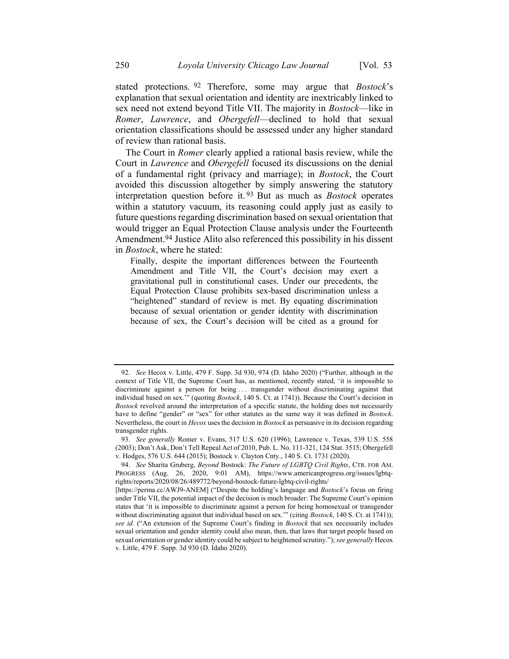stated protections. <sup>92</sup> Therefore, some may argue that *Bostock*'s explanation that sexual orientation and identity are inextricably linked to sex need not extend beyond Title VII. The majority in *Bostock*—like in Romer, Lawrence, and Obergefell-declined to hold that sexual orientation classifications should be assessed under any higher standard of review than rational basis.

The Court in *Romer* clearly applied a rational basis review, while the Court in Lawrence and Obergefell focused its discussions on the denial of a fundamental right (privacy and marriage); in Bostock, the Court avoided this discussion altogether by simply answering the statutory interpretation question before it. 93 But as much as Bostock operates within a statutory vacuum, its reasoning could apply just as easily to future questions regarding discrimination based on sexual orientation that would trigger an Equal Protection Clause analysis under the Fourteenth Amendment.94 Justice Alito also referenced this possibility in his dissent in Bostock, where he stated:

Finally, despite the important differences between the Fourteenth Amendment and Title VII, the Court's decision may exert a gravitational pull in constitutional cases. Under our precedents, the Equal Protection Clause prohibits sex-based discrimination unless a "heightened" standard of review is met. By equating discrimination because of sexual orientation or gender identity with discrimination because of sex, the Court's decision will be cited as a ground for

<sup>92.</sup> See Hecox v. Little, 479 F. Supp. 3d 930, 974 (D. Idaho 2020) ("Further, although in the context of Title VII, the Supreme Court has, as mentioned, recently stated, 'it is impossible to discriminate against a person for being . . . transgender without discriminating against that individual based on sex." (quoting *Bostock*, 140 S. Ct. at 1741)). Because the Court's decision in Bostock revolved around the interpretation of a specific statute, the holding does not necessarily have to define "gender" or "sex" for other statutes as the same way it was defined in Bostock. Nevertheless, the court in *Hecox* uses the decision in *Bostock* as persuasive in its decision regarding transgender rights.

<sup>93.</sup> See generally Romer v. Evans, 517 U.S. 620 (1996); Lawrence v. Texas, 539 U.S. 558 (2003); Don't Ask, Don't Tell Repeal Act of 2010, Pub. L. No. 111-321, 124 Stat. 3515; Obergefell v. Hodges, 576 U.S. 644 (2015); Bostock v. Clayton Cnty., 140 S. Ct. 1731 (2020).

<sup>94.</sup> See Sharita Gruberg, Beyond Bostock: The Future of LGBTO Civil Rights, CTR. FOR AM. PROGRESS (Aug. 26, 2020, 9:01 AM), https://www.americanprogress.org/issues/lgbtqrights/reports/2020/08/26/489772/beyond-bostock-future-lgbtq-civil-rights/

<sup>[</sup>https://perma.cc/AWJ9-ANEM] ("Despite the holding's language and Bostock's focus on firing under Title VII, the potential impact of the decision is much broader: The Supreme Court's opinion states that 'it is impossible to discriminate against a person for being homosexual or transgender without discriminating against that individual based on sex." (citing  $\textit{Bostock}, 140 \text{ S}$ . Ct. at 1741)); see id. ("An extension of the Supreme Court's finding in *Bostock* that sex necessarily includes sexual orientation and gender identity could also mean, then, that laws that target people based on sexual orientation or gender identity could be subject to heightened scrutiny."); see generally Hecox v. Little, 479 F. Supp. 3d 930 (D. Idaho 2020).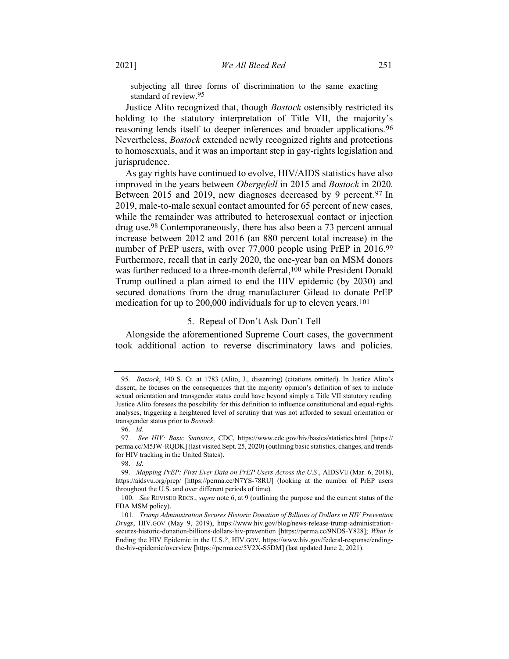subjecting all three forms of discrimination to the same exacting standard of review.95

Justice Alito recognized that, though Bostock ostensibly restricted its holding to the statutory interpretation of Title VII, the majority's reasoning lends itself to deeper inferences and broader applications.<sup>96</sup> Nevertheless, Bostock extended newly recognized rights and protections to homosexuals, and it was an important step in gay-rights legislation and jurisprudence.

As gay rights have continued to evolve, HIV/AIDS statistics have also improved in the years between Obergefell in 2015 and Bostock in 2020. Between 2015 and 2019, new diagnoses decreased by 9 percent. 97 In 2019, male-to-male sexual contact amounted for 65 percent of new cases, while the remainder was attributed to heterosexual contact or injection drug use.98 Contemporaneously, there has also been a 73 percent annual increase between 2012 and 2016 (an 880 percent total increase) in the number of PrEP users, with over 77,000 people using PrEP in 2016.99 Furthermore, recall that in early 2020, the one-year ban on MSM donors was further reduced to a three-month deferral,100 while President Donald Trump outlined a plan aimed to end the HIV epidemic (by 2030) and secured donations from the drug manufacturer Gilead to donate PrEP medication for up to 200,000 individuals for up to eleven years.<sup>101</sup>

### 5. Repeal of Don't Ask Don't Tell

Alongside the aforementioned Supreme Court cases, the government took additional action to reverse discriminatory laws and policies.

<sup>95.</sup> Bostock, 140 S. Ct. at 1783 (Alito, J., dissenting) (citations omitted). In Justice Alito's dissent, he focuses on the consequences that the majority opinion's definition of sex to include sexual orientation and transgender status could have beyond simply a Title VII statutory reading. Justice Alito foresees the possibility for this definition to influence constitutional and equal-rights analyses, triggering a heightened level of scrutiny that was not afforded to sexual orientation or transgender status prior to Bostock.

<sup>96.</sup> Id.

<sup>97.</sup> See HIV: Basic Statistics, CDC, https://www.cdc.gov/hiv/basics/statistics.html [https:// perma.cc/M5JW-RQDK] (last visited Sept. 25, 2020) (outlining basic statistics, changes, and trends for HIV tracking in the United States).

<sup>98.</sup> Id.

<sup>99.</sup> Mapping PrEP: First Ever Data on PrEP Users Across the U.S., AIDSVU (Mar. 6, 2018), https://aidsvu.org/prep/ [https://perma.cc/N7YS-78RU] (looking at the number of PrEP users throughout the U.S. and over different periods of time).

<sup>100.</sup> See REVISED RECS., *supra* note 6, at 9 (outlining the purpose and the current status of the FDA MSM policy).

<sup>101.</sup> Trump Administration Secures Historic Donation of Billions of Dollars in HIV Prevention Drugs, HIV.GOV (May 9, 2019), https://www.hiv.gov/blog/news-release-trump-administrationsecures-historic-donation-billions-dollars-hiv-prevention [https://perma.cc/9NDS-Y828]; What Is Ending the HIV Epidemic in the U.S.?, HIV.GOV, https://www.hiv.gov/federal-response/endingthe-hiv-epidemic/overview [https://perma.cc/5V2X-S5DM] (last updated June 2, 2021).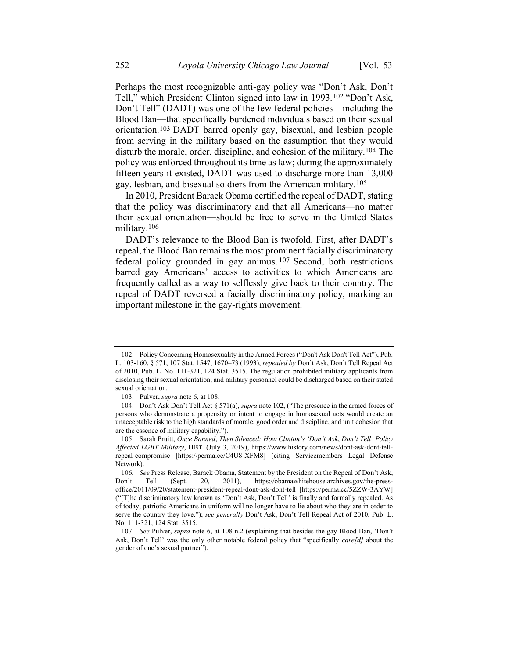Perhaps the most recognizable anti-gay policy was "Don't Ask, Don't Tell," which President Clinton signed into law in 1993.102 "Don't Ask, Don't Tell" (DADT) was one of the few federal policies—including the Blood Ban—that specifically burdened individuals based on their sexual orientation.103 DADT barred openly gay, bisexual, and lesbian people from serving in the military based on the assumption that they would disturb the morale, order, discipline, and cohesion of the military.104 The policy was enforced throughout its time as law; during the approximately fifteen years it existed, DADT was used to discharge more than 13,000 gay, lesbian, and bisexual soldiers from the American military.105

In 2010, President Barack Obama certified the repeal of DADT, stating that the policy was discriminatory and that all Americans—no matter their sexual orientation—should be free to serve in the United States military.106

DADT's relevance to the Blood Ban is twofold. First, after DADT's repeal, the Blood Ban remains the most prominent facially discriminatory federal policy grounded in gay animus. 107 Second, both restrictions barred gay Americans' access to activities to which Americans are frequently called as a way to selflessly give back to their country. The repeal of DADT reversed a facially discriminatory policy, marking an important milestone in the gay-rights movement.

<sup>102.</sup> Policy Concerning Homosexuality in the Armed Forces ("Don't Ask Don't Tell Act"), Pub. L. 103-160, § 571, 107 Stat. 1547, 1670–73 (1993), repealed by Don't Ask, Don't Tell Repeal Act of 2010, Pub. L. No. 111-321, 124 Stat. 3515. The regulation prohibited military applicants from disclosing their sexual orientation, and military personnel could be discharged based on their stated sexual orientation.

<sup>103.</sup> Pulver, supra note 6, at 108.

<sup>104.</sup> Don't Ask Don't Tell Act § 571(a), supra note 102, ("The presence in the armed forces of persons who demonstrate a propensity or intent to engage in homosexual acts would create an unacceptable risk to the high standards of morale, good order and discipline, and unit cohesion that are the essence of military capability.").

<sup>105.</sup> Sarah Pruitt, Once Banned, Then Silenced: How Clinton's 'Don't Ask, Don't Tell' Policy Affected LGBT Military, HIST. (July 3, 2019), https://www.history.com/news/dont-ask-dont-tellrepeal-compromise [https://perma.cc/C4U8-XFM8] (citing Servicemembers Legal Defense Network).

<sup>106</sup>. See Press Release, Barack Obama, Statement by the President on the Repeal of Don't Ask, Don't Tell (Sept. 20, 2011), https://obamawhitehouse.archives.gov/the-pressoffice/2011/09/20/statement-president-repeal-dont-ask-dont-tell [https://perma.cc/5ZZW-3AYW] ("[T]he discriminatory law known as 'Don't Ask, Don't Tell' is finally and formally repealed. As of today, patriotic Americans in uniform will no longer have to lie about who they are in order to serve the country they love."); see generally Don't Ask, Don't Tell Repeal Act of 2010, Pub. L. No. 111-321, 124 Stat. 3515.

<sup>107.</sup> See Pulver, supra note 6, at 108 n.2 (explaining that besides the gay Blood Ban, 'Don't Ask, Don't Tell' was the only other notable federal policy that "specifically carefdl about the gender of one's sexual partner").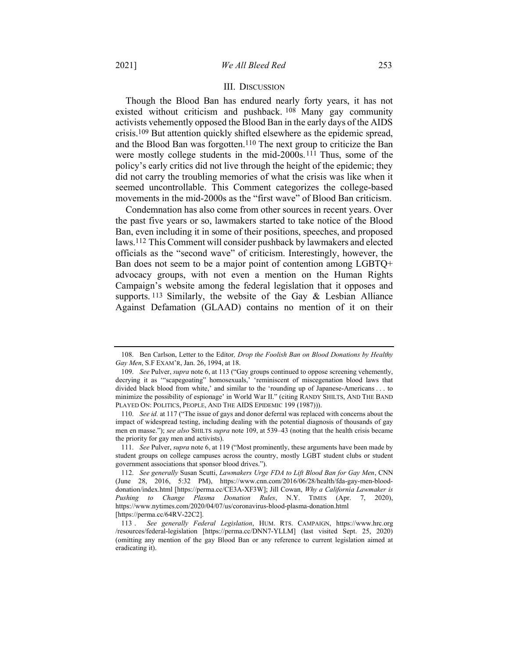### III. DISCUSSION

Though the Blood Ban has endured nearly forty years, it has not existed without criticism and pushback. <sup>108</sup> Many gay community activists vehemently opposed the Blood Ban in the early days of the AIDS crisis.109 But attention quickly shifted elsewhere as the epidemic spread, and the Blood Ban was forgotten.110 The next group to criticize the Ban were mostly college students in the mid-2000s.111 Thus, some of the policy's early critics did not live through the height of the epidemic; they did not carry the troubling memories of what the crisis was like when it seemed uncontrollable. This Comment categorizes the college-based movements in the mid-2000s as the "first wave" of Blood Ban criticism.

Condemnation has also come from other sources in recent years. Over the past five years or so, lawmakers started to take notice of the Blood Ban, even including it in some of their positions, speeches, and proposed laws.112 This Comment will consider pushback by lawmakers and elected officials as the "second wave" of criticism. Interestingly, however, the Ban does not seem to be a major point of contention among LGBTQ+ advocacy groups, with not even a mention on the Human Rights Campaign's website among the federal legislation that it opposes and supports.  $113$  Similarly, the website of the Gay & Lesbian Alliance Against Defamation (GLAAD) contains no mention of it on their

<sup>108.</sup> Ben Carlson, Letter to the Editor, Drop the Foolish Ban on Blood Donations by Healthy Gay Men, S.F EXAM'R, Jan. 26, 1994, at 18.

<sup>109.</sup> See Pulver, *supra* note 6, at 113 ("Gay groups continued to oppose screening vehemently, decrying it as '"scapegoating" homosexuals,' 'reminiscent of miscegenation blood laws that divided black blood from white,' and similar to the 'rounding up of Japanese-Americans . . . to minimize the possibility of espionage' in World War II." (citing RANDY SHILTS, AND THE BAND PLAYED ON: POLITICS, PEOPLE, AND THE AIDS EPIDEMIC 199 (1987))).

<sup>110.</sup> See id. at 117 ("The issue of gays and donor deferral was replaced with concerns about the impact of widespread testing, including dealing with the potential diagnosis of thousands of gay men en masse."); see also SHILTS supra note 109, at 539–43 (noting that the health crisis became the priority for gay men and activists).

<sup>111.</sup> See Pulver, supra note 6, at 119 ("Most prominently, these arguments have been made by student groups on college campuses across the country, mostly LGBT student clubs or student government associations that sponsor blood drives.").

<sup>112.</sup> See generally Susan Scutti, Lawmakers Urge FDA to Lift Blood Ban for Gay Men, CNN (June 28, 2016, 5:32 PM), https://www.cnn.com/2016/06/28/health/fda-gay-men-blooddonation/index.html [https://perma.cc/CE3A-XF3W]; Jill Cowan, Why a California Lawmaker is Pushing to Change Plasma Donation Rules, N.Y. TIMES (Apr. 7, 2020), https://www.nytimes.com/2020/04/07/us/coronavirus-blood-plasma-donation.html [https://perma.cc/64RV-22C2].

<sup>113 .</sup> See generally Federal Legislation, HUM. RTS. CAMPAIGN, https://www.hrc.org /resources/federal-legislation [https://perma.cc/DNN7-YLLM] (last visited Sept. 25, 2020) (omitting any mention of the gay Blood Ban or any reference to current legislation aimed at eradicating it).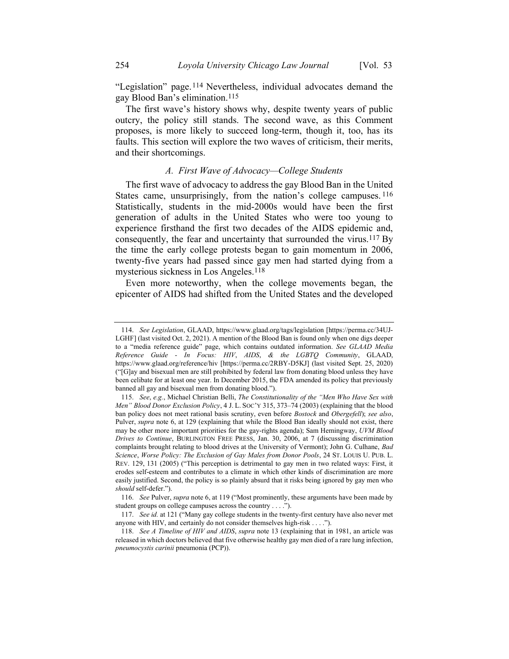"Legislation" page.114 Nevertheless, individual advocates demand the gay Blood Ban's elimination.115

The first wave's history shows why, despite twenty years of public outcry, the policy still stands. The second wave, as this Comment proposes, is more likely to succeed long-term, though it, too, has its faults. This section will explore the two waves of criticism, their merits, and their shortcomings.

## A. First Wave of Advocacy—College Students

The first wave of advocacy to address the gay Blood Ban in the United States came, unsurprisingly, from the nation's college campuses. 116 Statistically, students in the mid-2000s would have been the first generation of adults in the United States who were too young to experience firsthand the first two decades of the AIDS epidemic and, consequently, the fear and uncertainty that surrounded the virus.117 By the time the early college protests began to gain momentum in 2006, twenty-five years had passed since gay men had started dying from a mysterious sickness in Los Angeles.118

Even more noteworthy, when the college movements began, the epicenter of AIDS had shifted from the United States and the developed

<sup>114.</sup> See Legislation, GLAAD, https://www.glaad.org/tags/legislation [https://perma.cc/34UJ-LGHF] (last visited Oct. 2, 2021). A mention of the Blood Ban is found only when one digs deeper to a "media reference guide" page, which contains outdated information. See GLAAD Media Reference Guide - In Focus: HIV, AIDS, & the LGBTQ Community, GLAAD, https://www.glaad.org/reference/hiv [https://perma.cc/2RBY-D5KJ] (last visited Sept. 25, 2020) ("[G]ay and bisexual men are still prohibited by federal law from donating blood unless they have been celibate for at least one year. In December 2015, the FDA amended its policy that previously banned all gay and bisexual men from donating blood.").

<sup>115.</sup> See, e.g., Michael Christian Belli, The Constitutionality of the "Men Who Have Sex with Men" Blood Donor Exclusion Policy, 4 J. L. SOC'Y 315, 373-74 (2003) (explaining that the blood ban policy does not meet rational basis scrutiny, even before Bostock and Obergefell); see also, Pulver, supra note 6, at 129 (explaining that while the Blood Ban ideally should not exist, there may be other more important priorities for the gay-rights agenda); Sam Hemingway, UVM Blood Drives to Continue, BURLINGTON FREE PRESS, Jan. 30, 2006, at 7 (discussing discrimination complaints brought relating to blood drives at the University of Vermont); John G. Culhane, Bad Science, Worse Policy: The Exclusion of Gay Males from Donor Pools, 24 ST. LOUIS U. PUB. L. REV. 129, 131 (2005) ("This perception is detrimental to gay men in two related ways: First, it erodes self-esteem and contributes to a climate in which other kinds of discrimination are more easily justified. Second, the policy is so plainly absurd that it risks being ignored by gay men who should self-defer.").

<sup>116.</sup> See Pulver, supra note 6, at 119 ("Most prominently, these arguments have been made by student groups on college campuses across the country . . . .").

<sup>117.</sup> See id. at 121 ("Many gay college students in the twenty-first century have also never met anyone with HIV, and certainly do not consider themselves high-risk . . . .").

<sup>118.</sup> See A Timeline of HIV and AIDS, supra note 13 (explaining that in 1981, an article was released in which doctors believed that five otherwise healthy gay men died of a rare lung infection, pneumocystis carinii pneumonia (PCP)).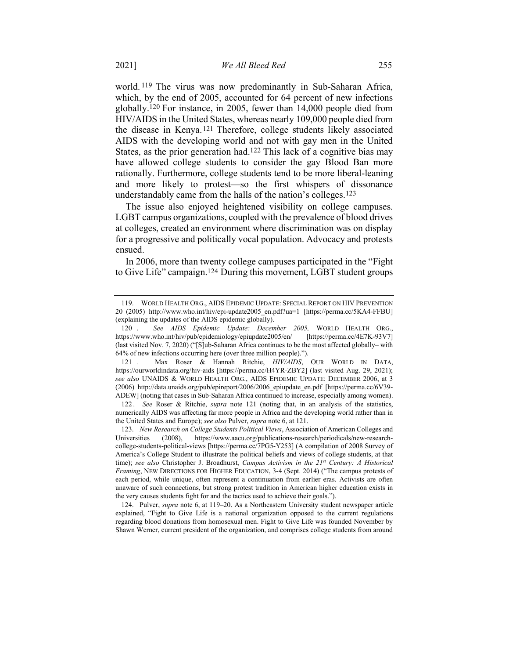world. 119 The virus was now predominantly in Sub-Saharan Africa, which, by the end of 2005, accounted for 64 percent of new infections globally.120 For instance, in 2005, fewer than 14,000 people died from HIV/AIDS in the United States, whereas nearly 109,000 people died from the disease in Kenya.121 Therefore, college students likely associated AIDS with the developing world and not with gay men in the United States, as the prior generation had.122 This lack of a cognitive bias may have allowed college students to consider the gay Blood Ban more rationally. Furthermore, college students tend to be more liberal-leaning and more likely to protest—so the first whispers of dissonance understandably came from the halls of the nation's colleges.123

The issue also enjoyed heightened visibility on college campuses. LGBT campus organizations, coupled with the prevalence of blood drives at colleges, created an environment where discrimination was on display for a progressive and politically vocal population. Advocacy and protests ensued.

In 2006, more than twenty college campuses participated in the "Fight to Give Life" campaign.124 During this movement, LGBT student groups

122. See Roser & Ritchie, *supra* note 121 (noting that, in an analysis of the statistics, numerically AIDS was affecting far more people in Africa and the developing world rather than in the United States and Europe); see also Pulver, supra note 6, at 121.

<sup>119.</sup> WORLD HEALTH ORG., AIDS EPIDEMIC UPDATE: SPECIAL REPORT ON HIV PREVENTION 20 (2005) http://www.who.int/hiv/epi-update2005\_en.pdf?ua=1 [https://perma.cc/5KA4-FFBU] (explaining the updates of the AIDS epidemic globally).

<sup>120 .</sup> See AIDS Epidemic Update: December 2005, WORLD HEALTH ORG.,<br>ttps://www.who.int/hiv/pub/epidemiology/epiupdate2005/en/ [https://perma.cc/4E7K-93V7] https://www.who.int/hiv/pub/epidemiology/epiupdate2005/en/ (last visited Nov. 7, 2020) ("[S]ub-Saharan Africa continues to be the most affected globally– with 64% of new infections occurring here (over three million people).").

<sup>121 .</sup> Max Roser & Hannah Ritchie, HIV/AIDS, OUR WORLD IN DATA, https://ourworldindata.org/hiv-aids [https://perma.cc/H4YR-ZBY2] (last visited Aug. 29, 2021); see also UNAIDS & WORLD HEALTH ORG., AIDS EPIDEMIC UPDATE: DECEMBER 2006, at 3 (2006) http://data.unaids.org/pub/epireport/2006/2006\_epiupdate\_en.pdf [https://perma.cc/6V39- ADEW] (noting that cases in Sub-Saharan Africa continued to increase, especially among women).

<sup>123.</sup> New Research on College Students Political Views, Association of American Colleges and Universities (2008), https://www.aacu.org/publications-research/periodicals/new-researchcollege-students-political-views [https://perma.cc/7PG5-Y253] (A compilation of 2008 Survey of America's College Student to illustrate the political beliefs and views of college students, at that time); see also Christopher J. Broadhurst, Campus Activism in the  $21<sup>st</sup>$  Century: A Historical Framing, NEW DIRECTIONS FOR HIGHER EDUCATION, 3-4 (Sept. 2014) ("The campus protests of each period, while unique, often represent a continuation from earlier eras. Activists are often unaware of such connections, but strong protest tradition in American higher education exists in the very causes students fight for and the tactics used to achieve their goals.").

<sup>124.</sup> Pulver, supra note 6, at 119–20. As a Northeastern University student newspaper article explained, "Fight to Give Life is a national organization opposed to the current regulations regarding blood donations from homosexual men. Fight to Give Life was founded November by Shawn Werner, current president of the organization, and comprises college students from around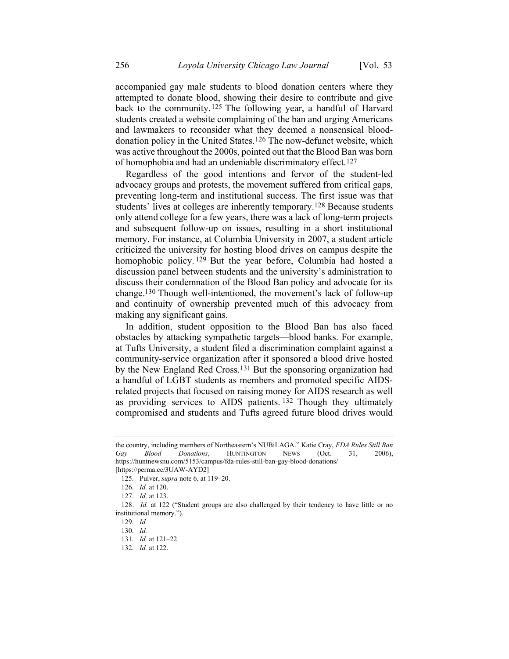accompanied gay male students to blood donation centers where they attempted to donate blood, showing their desire to contribute and give back to the community.125 The following year, a handful of Harvard students created a website complaining of the ban and urging Americans and lawmakers to reconsider what they deemed a nonsensical blooddonation policy in the United States.126 The now-defunct website, which was active throughout the 2000s, pointed out that the Blood Ban was born of homophobia and had an undeniable discriminatory effect.127

Regardless of the good intentions and fervor of the student-led advocacy groups and protests, the movement suffered from critical gaps, preventing long-term and institutional success. The first issue was that students' lives at colleges are inherently temporary.128 Because students only attend college for a few years, there was a lack of long-term projects and subsequent follow-up on issues, resulting in a short institutional memory. For instance, at Columbia University in 2007, a student article criticized the university for hosting blood drives on campus despite the homophobic policy. 129 But the year before, Columbia had hosted a discussion panel between students and the university's administration to discuss their condemnation of the Blood Ban policy and advocate for its change.130 Though well-intentioned, the movement's lack of follow-up and continuity of ownership prevented much of this advocacy from making any significant gains.

In addition, student opposition to the Blood Ban has also faced obstacles by attacking sympathetic targets—blood banks. For example, at Tufts University, a student filed a discrimination complaint against a community-service organization after it sponsored a blood drive hosted by the New England Red Cross.131 But the sponsoring organization had a handful of LGBT students as members and promoted specific AIDSrelated projects that focused on raising money for AIDS research as well as providing services to AIDS patients. 132 Though they ultimately compromised and students and Tufts agreed future blood drives would

the country, including members of Northeastern's NUBiLAGA." Katie Cray, FDA Rules Still Ban<br>
Gay Blood Donations, HUNTINGTON NEWS (Oct. 31, 2006), Gay Blood Donations, HUNTINGTON NEWS (Oct. 31, 2006), https://huntnewsnu.com/5153/campus/fda-rules-still-ban-gay-blood-donations/ [https://perma.cc/3UAW-AYD2]

<sup>125.</sup> Pulver, supra note 6, at 119–20.

<sup>126.</sup> Id. at 120.

<sup>127.</sup> Id. at 123.

<sup>128.</sup> Id. at 122 ("Student groups are also challenged by their tendency to have little or no institutional memory.").

<sup>129.</sup> Id.

<sup>130.</sup> Id.

<sup>131.</sup> Id. at 121–22.

<sup>132.</sup> Id. at 122.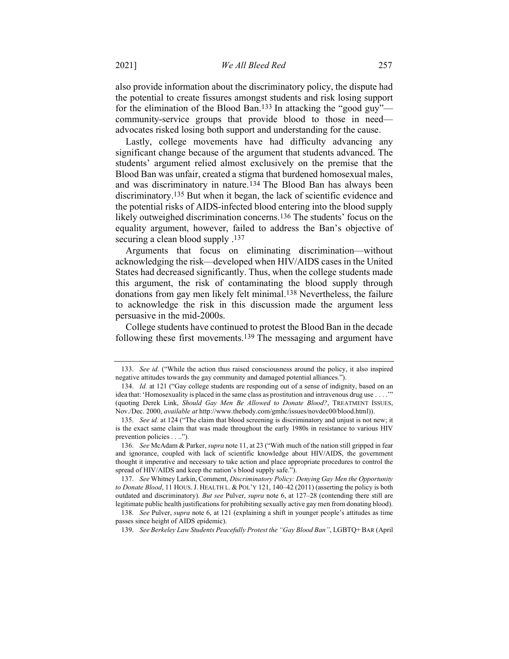also provide information about the discriminatory policy, the dispute had the potential to create fissures amongst students and risk losing support for the elimination of the Blood Ban.<sup>133</sup> In attacking the "good guy" community-service groups that provide blood to those in need advocates risked losing both support and understanding for the cause.

Lastly, college movements have had difficulty advancing any significant change because of the argument that students advanced. The students' argument relied almost exclusively on the premise that the Blood Ban was unfair, created a stigma that burdened homosexual males, and was discriminatory in nature.134 The Blood Ban has always been discriminatory.135 But when it began, the lack of scientific evidence and the potential risks of AIDS-infected blood entering into the blood supply likely outweighed discrimination concerns.136 The students' focus on the equality argument, however, failed to address the Ban's objective of securing a clean blood supply .137

Arguments that focus on eliminating discrimination—without acknowledging the risk—developed when HIV/AIDS cases in the United States had decreased significantly. Thus, when the college students made this argument, the risk of contaminating the blood supply through donations from gay men likely felt minimal.138 Nevertheless, the failure to acknowledge the risk in this discussion made the argument less persuasive in the mid-2000s.

College students have continued to protest the Blood Ban in the decade following these first movements.139 The messaging and argument have

<sup>133.</sup> See id. ("While the action thus raised consciousness around the policy, it also inspired negative attitudes towards the gay community and damaged potential alliances.").

<sup>134.</sup> Id. at 121 ("Gay college students are responding out of a sense of indignity, based on an idea that: 'Homosexuality is placed in the same class as prostitution and intravenous drug use . . . .'" (quoting Derek Link, Should Gay Men Be Allowed to Donate Blood?, TREATMENT ISSUES, Nov./Dec. 2000, available at http://www.thebody.com/gmhc/issues/novdec00/blood.html)).

<sup>135.</sup> See id. at 124 ("The claim that blood screening is discriminatory and unjust is not new; it is the exact same claim that was made throughout the early 1980s in resistance to various HIV prevention policies . . ..").

<sup>136.</sup> See McAdam & Parker, *supra* note 11, at 23 ("With much of the nation still gripped in fear and ignorance, coupled with lack of scientific knowledge about HIV/AIDS, the government thought it imperative and necessary to take action and place appropriate procedures to control the spread of HIV/AIDS and keep the nation's blood supply safe.").

<sup>137.</sup> See Whitney Larkin, Comment, Discriminatory Policy: Denying Gay Men the Opportunity to Donate Blood, 11 HOUS. J. HEALTH L. & POL'Y 121, 140–42 (2011) (asserting the policy is both outdated and discriminatory). But see Pulver, supra note 6, at 127–28 (contending there still are legitimate public health justifications for prohibiting sexually active gay men from donating blood).

<sup>138.</sup> See Pulver, supra note 6, at 121 (explaining a shift in younger people's attitudes as time passes since height of AIDS epidemic).

<sup>139.</sup> See Berkeley Law Students Peacefully Protest the "Gay Blood Ban", LGBTQ+ BAR (April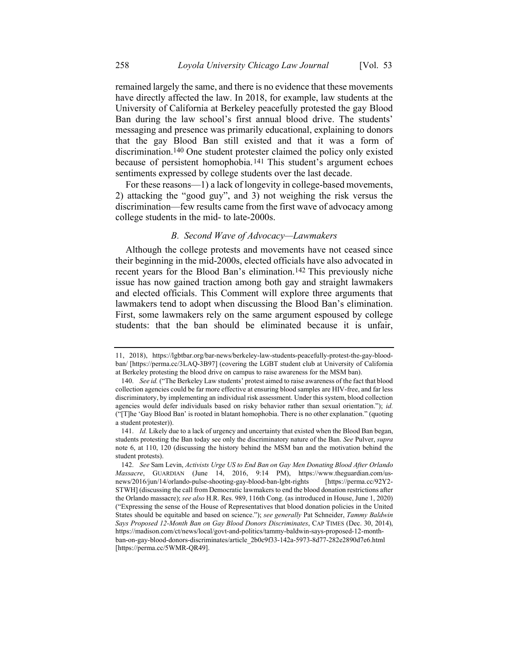remained largely the same, and there is no evidence that these movements have directly affected the law. In 2018, for example, law students at the University of California at Berkeley peacefully protested the gay Blood Ban during the law school's first annual blood drive. The students' messaging and presence was primarily educational, explaining to donors that the gay Blood Ban still existed and that it was a form of discrimination.140 One student protester claimed the policy only existed because of persistent homophobia.141 This student's argument echoes sentiments expressed by college students over the last decade.

For these reasons—1) a lack of longevity in college-based movements, 2) attacking the "good guy", and 3) not weighing the risk versus the discrimination—few results came from the first wave of advocacy among college students in the mid- to late-2000s.

## B. Second Wave of Advocacy—Lawmakers

Although the college protests and movements have not ceased since their beginning in the mid-2000s, elected officials have also advocated in recent years for the Blood Ban's elimination.142 This previously niche issue has now gained traction among both gay and straight lawmakers and elected officials. This Comment will explore three arguments that lawmakers tend to adopt when discussing the Blood Ban's elimination. First, some lawmakers rely on the same argument espoused by college students: that the ban should be eliminated because it is unfair,

<sup>11, 2018),</sup> https://lgbtbar.org/bar-news/berkeley-law-students-peacefully-protest-the-gay-bloodban/ [https://perma.cc/3LAQ-3B97] (covering the LGBT student club at University of California at Berkeley protesting the blood drive on campus to raise awareness for the MSM ban).

<sup>140.</sup> See id. ("The Berkeley Law students' protest aimed to raise awareness of the fact that blood collection agencies could be far more effective at ensuring blood samples are HIV-free, and far less discriminatory, by implementing an individual risk assessment. Under this system, blood collection agencies would defer individuals based on risky behavior rather than sexual orientation."); id. ("[T]he 'Gay Blood Ban' is rooted in blatant homophobia. There is no other explanation." (quoting a student protester)).

<sup>141.</sup> Id. Likely due to a lack of urgency and uncertainty that existed when the Blood Ban began, students protesting the Ban today see only the discriminatory nature of the Ban. See Pulver, supra note 6, at 110, 120 (discussing the history behind the MSM ban and the motivation behind the student protests).

<sup>142.</sup> See Sam Levin, Activists Urge US to End Ban on Gay Men Donating Blood After Orlando Massacre, GUARDIAN (June 14, 2016, 9:14 PM), https://www.theguardian.com/usnews/2016/jun/14/orlando-pulse-shooting-gay-blood-ban-lgbt-rights [https://perma.cc/92Y2- STWH] (discussing the call from Democratic lawmakers to end the blood donation restrictions after the Orlando massacre); see also H.R. Res. 989, 116th Cong. (as introduced in House, June 1, 2020) ("Expressing the sense of the House of Representatives that blood donation policies in the United States should be equitable and based on science."); see generally Pat Schneider, Tammy Baldwin Says Proposed 12-Month Ban on Gay Blood Donors Discriminates, CAP TIMES (Dec. 30, 2014), https://madison.com/ct/news/local/govt-and-politics/tammy-baldwin-says-proposed-12-monthban-on-gay-blood-donors-discriminates/article\_2b0c9f33-142a-5973-8d77-282e2890d7e6.html [https://perma.cc/5WMR-QR49].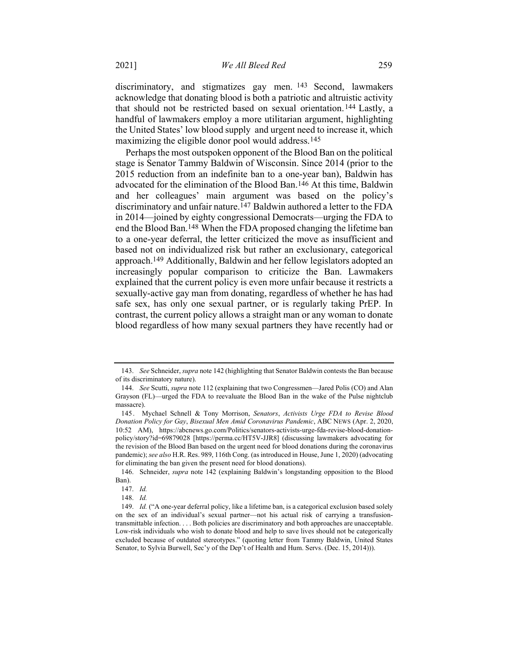discriminatory, and stigmatizes gay men. 143 Second, lawmakers acknowledge that donating blood is both a patriotic and altruistic activity that should not be restricted based on sexual orientation.144 Lastly, a handful of lawmakers employ a more utilitarian argument, highlighting the United States' low blood supply and urgent need to increase it, which maximizing the eligible donor pool would address.<sup>145</sup>

Perhaps the most outspoken opponent of the Blood Ban on the political stage is Senator Tammy Baldwin of Wisconsin. Since 2014 (prior to the 2015 reduction from an indefinite ban to a one-year ban), Baldwin has advocated for the elimination of the Blood Ban.146 At this time, Baldwin and her colleagues' main argument was based on the policy's discriminatory and unfair nature.147 Baldwin authored a letter to the FDA in 2014—joined by eighty congressional Democrats—urging the FDA to end the Blood Ban.148 When the FDA proposed changing the lifetime ban to a one-year deferral, the letter criticized the move as insufficient and based not on individualized risk but rather an exclusionary, categorical approach.149 Additionally, Baldwin and her fellow legislators adopted an increasingly popular comparison to criticize the Ban. Lawmakers explained that the current policy is even more unfair because it restricts a sexually-active gay man from donating, regardless of whether he has had safe sex, has only one sexual partner, or is regularly taking PrEP. In contrast, the current policy allows a straight man or any woman to donate blood regardless of how many sexual partners they have recently had or

<sup>143.</sup> See Schneider, supra note 142 (highlighting that Senator Baldwin contests the Ban because of its discriminatory nature).

<sup>144.</sup> See Scutti, supra note 112 (explaining that two Congressmen—Jared Polis (CO) and Alan Grayson (FL)—urged the FDA to reevaluate the Blood Ban in the wake of the Pulse nightclub massacre).

<sup>145.</sup> Mychael Schnell & Tony Morrison, Senators, Activists Urge FDA to Revise Blood Donation Policy for Gay, Bisexual Men Amid Coronavirus Pandemic, ABC NEWS (Apr. 2, 2020, 10:52 AM), https://abcnews.go.com/Politics/senators-activists-urge-fda-revise-blood-donationpolicy/story?id=69879028 [https://perma.cc/HT5V-JJR8] (discussing lawmakers advocating for the revision of the Blood Ban based on the urgent need for blood donations during the coronavirus pandemic); see also H.R. Res. 989, 116th Cong. (as introduced in House, June 1, 2020) (advocating for eliminating the ban given the present need for blood donations).

<sup>146.</sup> Schneider, supra note 142 (explaining Baldwin's longstanding opposition to the Blood Ban).

<sup>147.</sup> Id.

<sup>148.</sup> Id.

<sup>149.</sup> Id. ("A one-year deferral policy, like a lifetime ban, is a categorical exclusion based solely on the sex of an individual's sexual partner—not his actual risk of carrying a transfusiontransmittable infection. . . . Both policies are discriminatory and both approaches are unacceptable. Low-risk individuals who wish to donate blood and help to save lives should not be categorically excluded because of outdated stereotypes." (quoting letter from Tammy Baldwin, United States Senator, to Sylvia Burwell, Sec'y of the Dep't of Health and Hum. Servs. (Dec. 15, 2014))).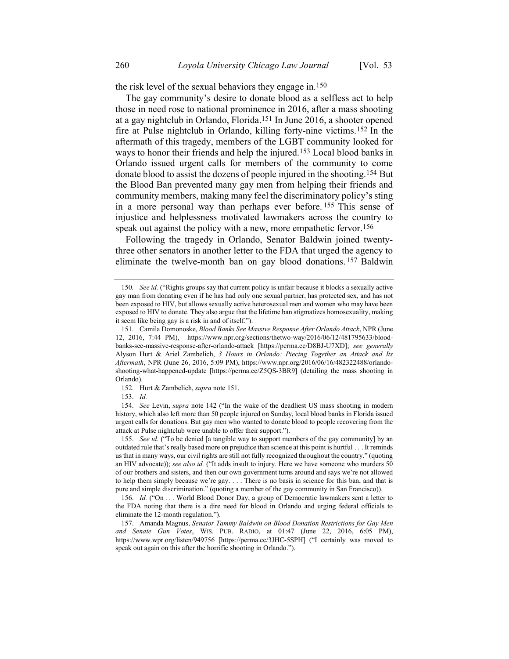the risk level of the sexual behaviors they engage in.150

The gay community's desire to donate blood as a selfless act to help those in need rose to national prominence in 2016, after a mass shooting at a gay nightclub in Orlando, Florida.151 In June 2016, a shooter opened fire at Pulse nightclub in Orlando, killing forty-nine victims.152 In the aftermath of this tragedy, members of the LGBT community looked for ways to honor their friends and help the injured.153 Local blood banks in Orlando issued urgent calls for members of the community to come donate blood to assist the dozens of people injured in the shooting.154 But the Blood Ban prevented many gay men from helping their friends and community members, making many feel the discriminatory policy's sting in a more personal way than perhaps ever before. 155 This sense of injustice and helplessness motivated lawmakers across the country to speak out against the policy with a new, more empathetic fervor.<sup>156</sup>

Following the tragedy in Orlando, Senator Baldwin joined twentythree other senators in another letter to the FDA that urged the agency to eliminate the twelve-month ban on gay blood donations. 157 Baldwin

<sup>150.</sup> See id. ("Rights groups say that current policy is unfair because it blocks a sexually active gay man from donating even if he has had only one sexual partner, has protected sex, and has not been exposed to HIV, but allows sexually active heterosexual men and women who may have been exposed to HIV to donate. They also argue that the lifetime ban stigmatizes homosexuality, making it seem like being gay is a risk in and of itself.").

<sup>151.</sup> Camila Domonoske, Blood Banks See Massive Response After Orlando Attack, NPR (June 12, 2016, 7:44 PM), https://www.npr.org/sections/thetwo-way/2016/06/12/481795633/bloodbanks-see-massive-response-after-orlando-attack [https://perma.cc/D8BJ-U7XD]; see generally Alyson Hurt & Ariel Zambelich, 3 Hours in Orlando: Piecing Together an Attack and Its Aftermath, NPR (June 26, 2016, 5:09 PM), https://www.npr.org/2016/06/16/482322488/orlandoshooting-what-happened-update [https://perma.cc/Z5QS-3BR9] (detailing the mass shooting in Orlando).

<sup>152.</sup> Hurt & Zambelich, supra note 151.

<sup>153.</sup> Id.

<sup>154.</sup> See Levin, supra note 142 ("In the wake of the deadliest US mass shooting in modern history, which also left more than 50 people injured on Sunday, local blood banks in Florida issued urgent calls for donations. But gay men who wanted to donate blood to people recovering from the attack at Pulse nightclub were unable to offer their support.").

<sup>155.</sup> See id. ("To be denied [a tangible way to support members of the gay community] by an outdated rule that's really based more on prejudice than science at this point is hurtful . . . It reminds us that in many ways, our civil rights are still not fully recognized throughout the country." (quoting an HIV advocate)); see also id. ("It adds insult to injury. Here we have someone who murders 50 of our brothers and sisters, and then our own government turns around and says we're not allowed to help them simply because we're gay. . . . There is no basis in science for this ban, and that is pure and simple discrimination." (quoting a member of the gay community in San Francisco)).

<sup>156.</sup> Id. ("On . . . World Blood Donor Day, a group of Democratic lawmakers sent a letter to the FDA noting that there is a dire need for blood in Orlando and urging federal officials to eliminate the 12-month regulation.").

<sup>157.</sup> Amanda Magnus, Senator Tammy Baldwin on Blood Donation Restrictions for Gay Men and Senate Gun Votes, WIS. PUB. RADIO, at 01:47 (June 22, 2016, 6:05 PM), https://www.wpr.org/listen/949756 [https://perma.cc/3JHC-5SPH] ("I certainly was moved to speak out again on this after the horrific shooting in Orlando.").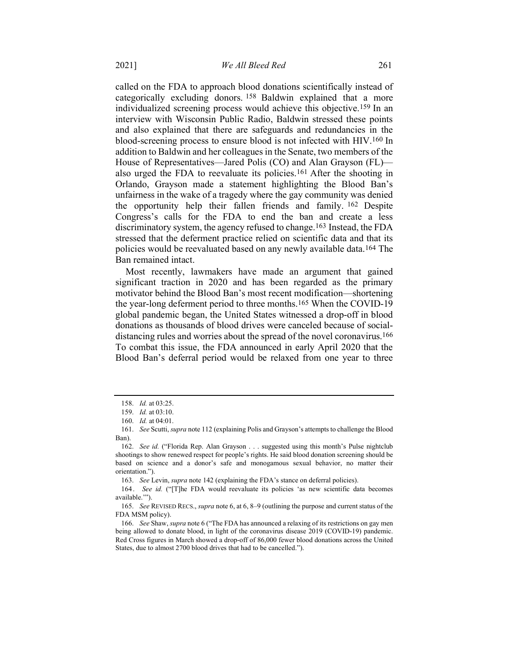called on the FDA to approach blood donations scientifically instead of categorically excluding donors. 158 Baldwin explained that a more individualized screening process would achieve this objective.159 In an interview with Wisconsin Public Radio, Baldwin stressed these points and also explained that there are safeguards and redundancies in the blood-screening process to ensure blood is not infected with HIV.160 In addition to Baldwin and her colleagues in the Senate, two members of the House of Representatives—Jared Polis (CO) and Alan Grayson (FL) also urged the FDA to reevaluate its policies.161 After the shooting in Orlando, Grayson made a statement highlighting the Blood Ban's unfairness in the wake of a tragedy where the gay community was denied the opportunity help their fallen friends and family. 162 Despite Congress's calls for the FDA to end the ban and create a less discriminatory system, the agency refused to change.163 Instead, the FDA stressed that the deferment practice relied on scientific data and that its policies would be reevaluated based on any newly available data.164 The Ban remained intact.

Most recently, lawmakers have made an argument that gained significant traction in 2020 and has been regarded as the primary motivator behind the Blood Ban's most recent modification—shortening the year-long deferment period to three months.165 When the COVID-19 global pandemic began, the United States witnessed a drop-off in blood donations as thousands of blood drives were canceled because of socialdistancing rules and worries about the spread of the novel coronavirus.<sup>166</sup> To combat this issue, the FDA announced in early April 2020 that the Blood Ban's deferral period would be relaxed from one year to three

<sup>158.</sup> Id. at 03:25.

<sup>159.</sup> Id. at 03:10.

<sup>160.</sup> Id. at 04:01.

<sup>161.</sup> See Scutti, supra note 112 (explaining Polis and Grayson's attempts to challenge the Blood Ban).

<sup>162.</sup> See id. ("Florida Rep. Alan Grayson . . . suggested using this month's Pulse nightclub shootings to show renewed respect for people's rights. He said blood donation screening should be based on science and a donor's safe and monogamous sexual behavior, no matter their orientation.").

<sup>163.</sup> See Levin, supra note 142 (explaining the FDA's stance on deferral policies).

<sup>164.</sup> See id. ("[T]he FDA would reevaluate its policies 'as new scientific data becomes available.'").

<sup>165.</sup> See REVISED RECS., supra note 6, at 6, 8–9 (outlining the purpose and current status of the FDA MSM policy).

<sup>166.</sup> See Shaw, *supra* note 6 ("The FDA has announced a relaxing of its restrictions on gay men being allowed to donate blood, in light of the coronavirus disease 2019 (COVID-19) pandemic. Red Cross figures in March showed a drop-off of 86,000 fewer blood donations across the United States, due to almost 2700 blood drives that had to be cancelled.").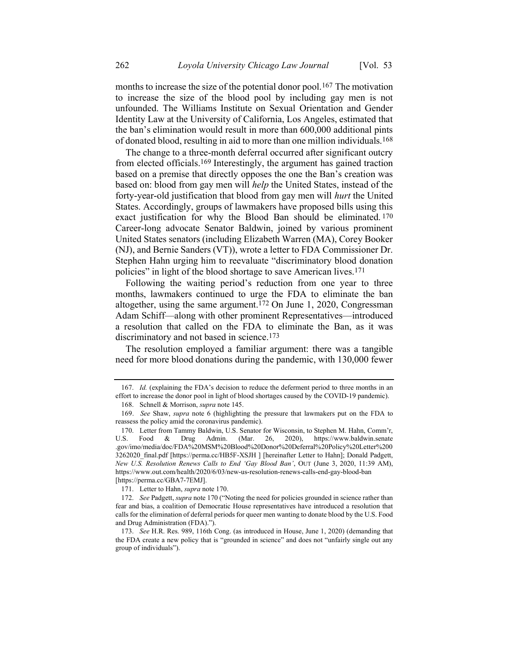months to increase the size of the potential donor pool.167 The motivation to increase the size of the blood pool by including gay men is not unfounded. The Williams Institute on Sexual Orientation and Gender Identity Law at the University of California, Los Angeles, estimated that the ban's elimination would result in more than 600,000 additional pints of donated blood, resulting in aid to more than one million individuals.168

The change to a three-month deferral occurred after significant outcry from elected officials.169 Interestingly, the argument has gained traction based on a premise that directly opposes the one the Ban's creation was based on: blood from gay men will help the United States, instead of the forty-year-old justification that blood from gay men will hurt the United States. Accordingly, groups of lawmakers have proposed bills using this exact justification for why the Blood Ban should be eliminated. 170 Career-long advocate Senator Baldwin, joined by various prominent United States senators (including Elizabeth Warren (MA), Corey Booker (NJ), and Bernie Sanders (VT)), wrote a letter to FDA Commissioner Dr. Stephen Hahn urging him to reevaluate "discriminatory blood donation policies" in light of the blood shortage to save American lives.171

Following the waiting period's reduction from one year to three months, lawmakers continued to urge the FDA to eliminate the ban altogether, using the same argument.<sup>172</sup> On June 1, 2020, Congressman Adam Schiff—along with other prominent Representatives—introduced a resolution that called on the FDA to eliminate the Ban, as it was discriminatory and not based in science.<sup>173</sup>

The resolution employed a familiar argument: there was a tangible need for more blood donations during the pandemic, with 130,000 fewer

<sup>167.</sup> Id. (explaining the FDA's decision to reduce the deferment period to three months in an effort to increase the donor pool in light of blood shortages caused by the COVID-19 pandemic).

<sup>168.</sup> Schnell & Morrison, supra note 145.

<sup>169.</sup> See Shaw, supra note 6 (highlighting the pressure that lawmakers put on the FDA to reassess the policy amid the coronavirus pandemic).

<sup>170.</sup> Letter from Tammy Baldwin, U.S. Senator for Wisconsin, to Stephen M. Hahn, Comm'r, U.S. Food & Drug Admin. (Mar. 26, 2020), https://www.baldwin.senate .gov/imo/media/doc/FDA%20MSM%20Blood%20Donor%20Deferral%20Policy%20Letter%200 3262020\_final.pdf [https://perma.cc/HB5F-XSJH ] [hereinafter Letter to Hahn]; Donald Padgett, New U.S. Resolution Renews Calls to End 'Gay Blood Ban', OUT (June 3, 2020, 11:39 AM), https://www.out.com/health/2020/6/03/new-us-resolution-renews-calls-end-gay-blood-ban [https://perma.cc/GBA7-7EMJ].

<sup>171.</sup> Letter to Hahn, supra note 170.

<sup>172.</sup> See Padgett, supra note 170 ("Noting the need for policies grounded in science rather than fear and bias, a coalition of Democratic House representatives have introduced a resolution that calls for the elimination of deferral periods for queer men wanting to donate blood by the U.S. Food and Drug Administration (FDA).").

<sup>173.</sup> See H.R. Res. 989, 116th Cong. (as introduced in House, June 1, 2020) (demanding that the FDA create a new policy that is "grounded in science" and does not "unfairly single out any group of individuals").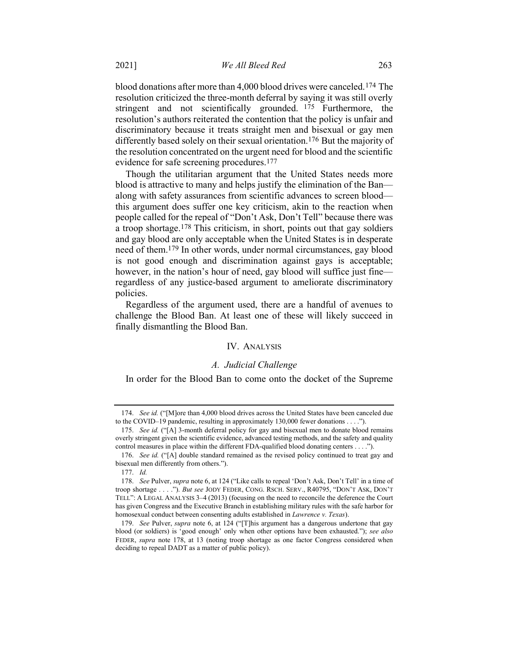blood donations after more than 4,000 blood drives were canceled.174 The resolution criticized the three-month deferral by saying it was still overly stringent and not scientifically grounded. 175 Furthermore, the resolution's authors reiterated the contention that the policy is unfair and discriminatory because it treats straight men and bisexual or gay men differently based solely on their sexual orientation.176 But the majority of the resolution concentrated on the urgent need for blood and the scientific evidence for safe screening procedures.177

Though the utilitarian argument that the United States needs more blood is attractive to many and helps justify the elimination of the Ban along with safety assurances from scientific advances to screen blood this argument does suffer one key criticism, akin to the reaction when people called for the repeal of "Don't Ask, Don't Tell" because there was a troop shortage.178 This criticism, in short, points out that gay soldiers and gay blood are only acceptable when the United States is in desperate need of them.179 In other words, under normal circumstances, gay blood is not good enough and discrimination against gays is acceptable; however, in the nation's hour of need, gay blood will suffice just fine regardless of any justice-based argument to ameliorate discriminatory policies.

Regardless of the argument used, there are a handful of avenues to challenge the Blood Ban. At least one of these will likely succeed in finally dismantling the Blood Ban.

#### IV. ANALYSIS

#### A. Judicial Challenge

In order for the Blood Ban to come onto the docket of the Supreme

<sup>174.</sup> See id. ("[M]ore than 4,000 blood drives across the United States have been canceled due to the COVID–19 pandemic, resulting in approximately 130,000 fewer donations . . . .").

<sup>175.</sup> See id. ("[A] 3-month deferral policy for gay and bisexual men to donate blood remains overly stringent given the scientific evidence, advanced testing methods, and the safety and quality control measures in place within the different FDA-qualified blood donating centers . . . .").

<sup>176.</sup> See id. ("[A] double standard remained as the revised policy continued to treat gay and bisexual men differently from others.").

<sup>177.</sup> Id.

<sup>178.</sup> See Pulver, supra note 6, at 124 ("Like calls to repeal 'Don't Ask, Don't Tell' in a time of troop shortage . . . ."). But see JODY FEDER, CONG. RSCH. SERV., R40795, "DON'T ASK, DON'T TELL": A LEGAL ANALYSIS 3–4 (2013) (focusing on the need to reconcile the deference the Court has given Congress and the Executive Branch in establishing military rules with the safe harbor for homosexual conduct between consenting adults established in *Lawrence v. Texas*).

<sup>179.</sup> See Pulver, *supra* note 6, at 124 ("[T]his argument has a dangerous undertone that gay blood (or soldiers) is 'good enough' only when other options have been exhausted."); see also FEDER, supra note 178, at 13 (noting troop shortage as one factor Congress considered when deciding to repeal DADT as a matter of public policy).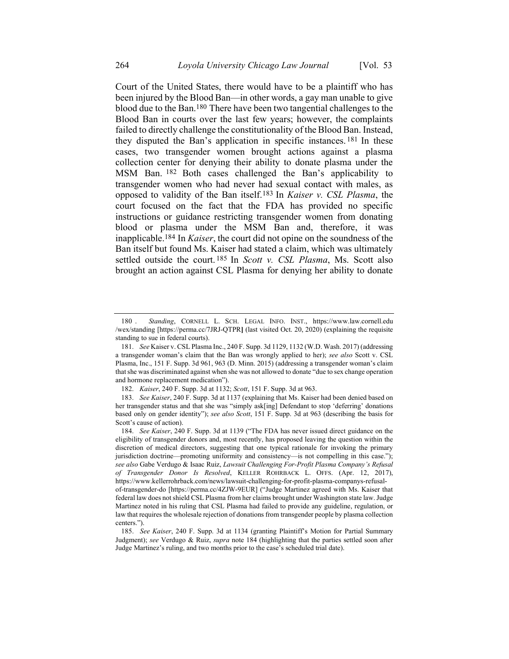Court of the United States, there would have to be a plaintiff who has been injured by the Blood Ban—in other words, a gay man unable to give blood due to the Ban.180 There have been two tangential challenges to the Blood Ban in courts over the last few years; however, the complaints failed to directly challenge the constitutionality of the Blood Ban. Instead, they disputed the Ban's application in specific instances. 181 In these cases, two transgender women brought actions against a plasma collection center for denying their ability to donate plasma under the MSM Ban. 182 Both cases challenged the Ban's applicability to transgender women who had never had sexual contact with males, as opposed to validity of the Ban itself.<sup>183</sup> In *Kaiser v. CSL Plasma*, the court focused on the fact that the FDA has provided no specific instructions or guidance restricting transgender women from donating blood or plasma under the MSM Ban and, therefore, it was inapplicable.184 In Kaiser, the court did not opine on the soundness of the Ban itself but found Ms. Kaiser had stated a claim, which was ultimately settled outside the court.  $185$  In Scott v. CSL Plasma, Ms. Scott also brought an action against CSL Plasma for denying her ability to donate

<sup>180 .</sup> Standing, CORNELL L. SCH. LEGAL INFO. INST., https://www.law.cornell.edu /wex/standing [https://perma.cc/7JRJ-QTPR] (last visited Oct. 20, 2020) (explaining the requisite standing to sue in federal courts).

<sup>181.</sup> See Kaiser v. CSL Plasma Inc., 240 F. Supp. 3d 1129, 1132 (W.D. Wash. 2017) (addressing a transgender woman's claim that the Ban was wrongly applied to her); see also Scott v. CSL Plasma, Inc., 151 F. Supp. 3d 961, 963 (D. Minn. 2015) (addressing a transgender woman's claim that she was discriminated against when she was not allowed to donate "due to sex change operation and hormone replacement medication").

<sup>182.</sup> Kaiser, 240 F. Supp. 3d at 1132; Scott, 151 F. Supp. 3d at 963.

<sup>183.</sup> See Kaiser, 240 F. Supp. 3d at 1137 (explaining that Ms. Kaiser had been denied based on her transgender status and that she was "simply ask[ing] Defendant to stop 'deferring' donations based only on gender identity"); see also Scott, 151 F. Supp. 3d at 963 (describing the basis for Scott's cause of action).

<sup>184.</sup> See Kaiser, 240 F. Supp. 3d at 1139 ("The FDA has never issued direct guidance on the eligibility of transgender donors and, most recently, has proposed leaving the question within the discretion of medical directors, suggesting that one typical rationale for invoking the primary jurisdiction doctrine—promoting uniformity and consistency—is not compelling in this case."); see also Gabe Verdugo & Isaac Ruiz, Lawsuit Challenging For-Profit Plasma Company's Refusal of Transgender Donor Is Resolved, KELLER ROHRBACK L. OFFS. (Apr. 12, 2017), https://www.kellerrohrback.com/news/lawsuit-challenging-for-profit-plasma-companys-refusalof-transgender-do [https://perma.cc/4ZJW-9EUR] ("Judge Martinez agreed with Ms. Kaiser that federal law does not shield CSL Plasma from her claims brought under Washington state law. Judge Martinez noted in his ruling that CSL Plasma had failed to provide any guideline, regulation, or law that requires the wholesale rejection of donations from transgender people by plasma collection centers.").

<sup>185.</sup> See Kaiser, 240 F. Supp. 3d at 1134 (granting Plaintiff's Motion for Partial Summary Judgment); see Verdugo & Ruiz, supra note 184 (highlighting that the parties settled soon after Judge Martinez's ruling, and two months prior to the case's scheduled trial date).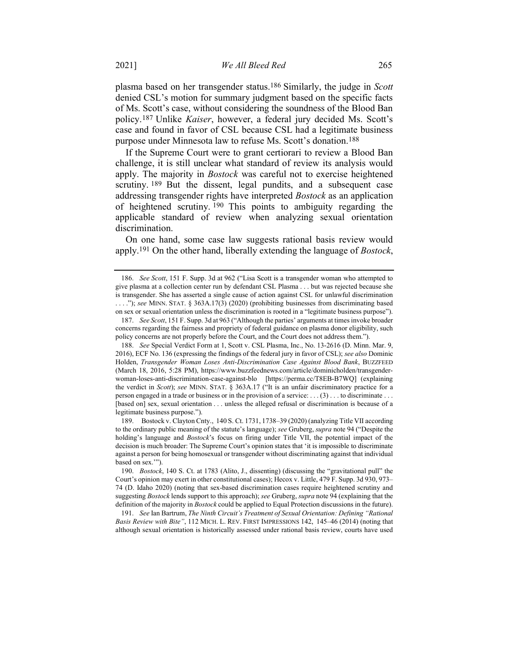plasma based on her transgender status.186 Similarly, the judge in Scott denied CSL's motion for summary judgment based on the specific facts of Ms. Scott's case, without considering the soundness of the Blood Ban policy.187 Unlike Kaiser, however, a federal jury decided Ms. Scott's case and found in favor of CSL because CSL had a legitimate business purpose under Minnesota law to refuse Ms. Scott's donation.188

If the Supreme Court were to grant certiorari to review a Blood Ban challenge, it is still unclear what standard of review its analysis would apply. The majority in *Bostock* was careful not to exercise heightened scrutiny. <sup>189</sup> But the dissent, legal pundits, and a subsequent case addressing transgender rights have interpreted Bostock as an application of heightened scrutiny. 190 This points to ambiguity regarding the applicable standard of review when analyzing sexual orientation discrimination.

On one hand, some case law suggests rational basis review would apply.<sup>191</sup> On the other hand, liberally extending the language of *Bostock*,

191. See Ian Bartrum, The Ninth Circuit's Treatment of Sexual Orientation: Defining "Rational Basis Review with Bite", 112 MICH. L. REV. FIRST IMPRESSIONS 142, 145-46 (2014) (noting that although sexual orientation is historically assessed under rational basis review, courts have used

<sup>186.</sup> See Scott, 151 F. Supp. 3d at 962 ("Lisa Scott is a transgender woman who attempted to give plasma at a collection center run by defendant CSL Plasma . . . but was rejected because she is transgender. She has asserted a single cause of action against CSL for unlawful discrimination . . . ."); see MINN. STAT. § 363A.17(3) (2020) (prohibiting businesses from discriminating based on sex or sexual orientation unless the discrimination is rooted in a "legitimate business purpose").

<sup>187.</sup> See Scott, 151 F. Supp. 3d at 963 ("Although the parties' arguments at times invoke broader concerns regarding the fairness and propriety of federal guidance on plasma donor eligibility, such policy concerns are not properly before the Court, and the Court does not address them.").

<sup>188.</sup> See Special Verdict Form at 1, Scott v. CSL Plasma, Inc., No. 13-2616 (D. Minn. Mar. 9, 2016), ECF No. 136 (expressing the findings of the federal jury in favor of CSL); see also Dominic Holden, Transgender Woman Loses Anti-Discrimination Case Against Blood Bank, BUZZFEED (March 18, 2016, 5:28 PM), https://www.buzzfeednews.com/article/dominicholden/transgenderwoman-loses-anti-discrimination-case-against-blo [https://perma.cc/T8EB-B7WQ] (explaining the verdict in Scott); see MINN. STAT. § 363A.17 ("It is an unfair discriminatory practice for a person engaged in a trade or business or in the provision of a service: . . . (3) . . . to discriminate . . . [based on] sex, sexual orientation . . . unless the alleged refusal or discrimination is because of a legitimate business purpose.").

<sup>189.</sup> Bostock v. Clayton Cnty., 140 S. Ct. 1731, 1738–39 (2020) (analyzing Title VII according to the ordinary public meaning of the statute's language); see Gruberg, supra note 94 ("Despite the holding's language and *Bostock's* focus on firing under Title VII, the potential impact of the decision is much broader: The Supreme Court's opinion states that 'it is impossible to discriminate against a person for being homosexual or transgender without discriminating against that individual based on sex.'").

<sup>190.</sup> Bostock, 140 S. Ct. at 1783 (Alito, J., dissenting) (discussing the "gravitational pull" the Court's opinion may exert in other constitutional cases); Hecox v. Little, 479 F. Supp. 3d 930, 973– 74 (D. Idaho 2020) (noting that sex-based discrimination cases require heightened scrutiny and suggesting Bostock lends support to this approach); see Gruberg, supra note 94 (explaining that the definition of the majority in Bostock could be applied to Equal Protection discussions in the future).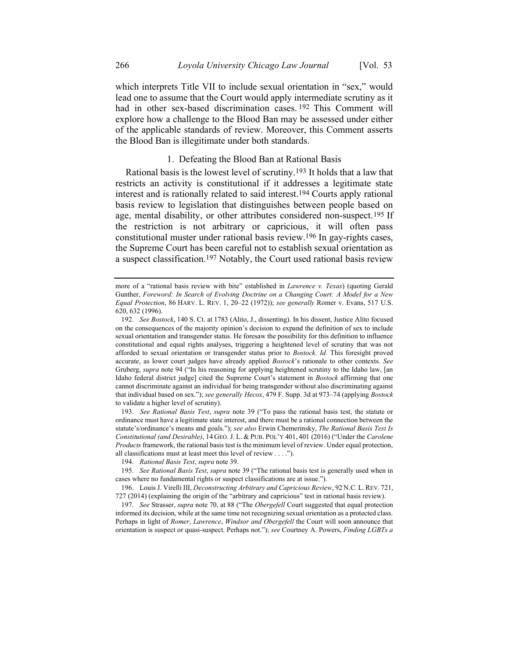which interprets Title VII to include sexual orientation in "sex," would lead one to assume that the Court would apply intermediate scrutiny as it had in other sex-based discrimination cases. 192 This Comment will explore how a challenge to the Blood Ban may be assessed under either of the applicable standards of review. Moreover, this Comment asserts the Blood Ban is illegitimate under both standards.

#### 1. Defeating the Blood Ban at Rational Basis

Rational basis is the lowest level of scrutiny.193 It holds that a law that restricts an activity is constitutional if it addresses a legitimate state interest and is rationally related to said interest.194 Courts apply rational basis review to legislation that distinguishes between people based on age, mental disability, or other attributes considered non-suspect.<sup>195</sup> If the restriction is not arbitrary or capricious, it will often pass constitutional muster under rational basis review.196 In gay-rights cases, the Supreme Court has been careful not to establish sexual orientation as a suspect classification.197 Notably, the Court used rational basis review

193. See Rational Basis Test, supra note 39 ("To pass the rational basis test, the statute or ordinance must have a legitimate state interest, and there must be a rational connection between the statute's/ordinance's means and goals."); see also Erwin Chemerinsky, The Rational Basis Test Is Constitutional (and Desirable), 14 GEO. J. L. & PUB. POL'Y 401, 401 (2016) ("Under the Carolene Products framework, the rational basis test is the minimum level of review. Under equal protection, all classifications must at least meet this level of review . . . .").

more of a "rational basis review with bite" established in Lawrence v. Texas) (quoting Gerald Gunther, Foreword: In Search of Evolving Doctrine on a Changing Court: A Model for a New Equal Protection, 86 HARV. L. REV. 1, 20–22 (1972)); see generally Romer v. Evans, 517 U.S. 620, 632 (1996).

<sup>192.</sup> See Bostock, 140 S. Ct. at 1783 (Alito, J., dissenting). In his dissent, Justice Alito focused on the consequences of the majority opinion's decision to expand the definition of sex to include sexual orientation and transgender status. He foresaw the possibility for this definition to influence constitutional and equal rights analyses, triggering a heightened level of scrutiny that was not afforded to sexual orientation or transgender status prior to Bostock. Id. This foresight proved accurate, as lower court judges have already applied Bostock's rationale to other contexts. See Gruberg, supra note 94 ("In his reasoning for applying heightened scrutiny to the Idaho law, [an Idaho federal district judge] cited the Supreme Court's statement in *Bostock* affirming that one cannot discriminate against an individual for being transgender without also discriminating against that individual based on sex."); see generally Hecox, 479 F. Supp. 3d at 973-74 (applying Bostock to validate a higher level of scrutiny).

<sup>194.</sup> Rational Basis Test, supra note 39.

<sup>195.</sup> See Rational Basis Test, supra note 39 ("The rational basis test is generally used when in cases where no fundamental rights or suspect classifications are at issue.").

<sup>196.</sup> Louis J. Virelli III, Deconstructing Arbitrary and Capricious Review, 92 N.C. L. REV. 721, 727 (2014) (explaining the origin of the "arbitrary and capricious" test in rational basis review).

<sup>197.</sup> See Strasser, *supra* note 70, at 88 ("The *Obergefell* Court suggested that equal protection informed its decision, while at the same time not recognizing sexual orientation as a protected class. Perhaps in light of Romer, Lawrence, Windsor and Obergefell the Court will soon announce that orientation is suspect or quasi-suspect. Perhaps not."); see Courtney A. Powers, Finding LGBTs a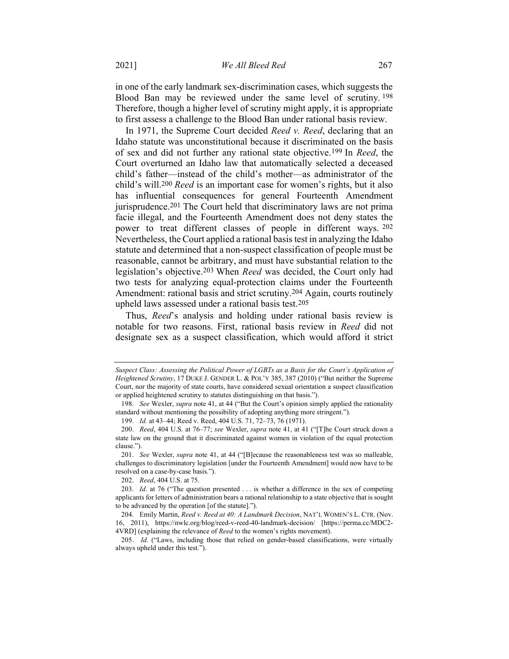in one of the early landmark sex-discrimination cases, which suggests the Blood Ban may be reviewed under the same level of scrutiny. 198 Therefore, though a higher level of scrutiny might apply, it is appropriate to first assess a challenge to the Blood Ban under rational basis review.

In 1971, the Supreme Court decided Reed v. Reed, declaring that an Idaho statute was unconstitutional because it discriminated on the basis of sex and did not further any rational state objective.199 In Reed, the Court overturned an Idaho law that automatically selected a deceased child's father—instead of the child's mother—as administrator of the child's will.<sup>200</sup> Reed is an important case for women's rights, but it also has influential consequences for general Fourteenth Amendment jurisprudence.201 The Court held that discriminatory laws are not prima facie illegal, and the Fourteenth Amendment does not deny states the power to treat different classes of people in different ways. 202 Nevertheless, the Court applied a rational basis test in analyzing the Idaho statute and determined that a non-suspect classification of people must be reasonable, cannot be arbitrary, and must have substantial relation to the legislation's objective.203 When Reed was decided, the Court only had two tests for analyzing equal-protection claims under the Fourteenth Amendment: rational basis and strict scrutiny.204 Again, courts routinely upheld laws assessed under a rational basis test.205

Thus, Reed's analysis and holding under rational basis review is notable for two reasons. First, rational basis review in Reed did not designate sex as a suspect classification, which would afford it strict

Suspect Class: Assessing the Political Power of LGBTs as a Basis for the Court's Application of Heightened Scrutiny, 17 DUKE J. GENDER L. & POL'Y 385, 387 (2010) ("But neither the Supreme Court, nor the majority of state courts, have considered sexual orientation a suspect classification or applied heightened scrutiny to statutes distinguishing on that basis.").

<sup>198.</sup> See Wexler, *supra* note 41, at 44 ("But the Court's opinion simply applied the rationality standard without mentioning the possibility of adopting anything more stringent.").

<sup>199.</sup> Id. at 43–44; Reed v. Reed, 404 U.S. 71, 72–73, 76 (1971).

<sup>200.</sup> Reed, 404 U.S. at 76–77; see Wexler, supra note 41, at 41 ("[T]he Court struck down a state law on the ground that it discriminated against women in violation of the equal protection clause.").

<sup>201.</sup> See Wexler, *supra* note 41, at 44 ("[Blecause the reasonableness test was so malleable, challenges to discriminatory legislation [under the Fourteenth Amendment] would now have to be resolved on a case-by-case basis.").

<sup>202.</sup> Reed, 404 U.S. at 75.

<sup>203.</sup> Id. at 76 ("The question presented . . . is whether a difference in the sex of competing applicants for letters of administration bears a rational relationship to a state objective that is sought to be advanced by the operation [of the statute].").

<sup>204.</sup> Emily Martin, Reed v. Reed at 40: A Landmark Decision, NAT'L WOMEN'S L. CTR. (Nov. 16, 2011), https://nwlc.org/blog/reed-v-reed-40-landmark-decision/ [https://perma.cc/MDC2- 4VRD] (explaining the relevance of *Reed* to the women's rights movement).

<sup>205.</sup> Id. ("Laws, including those that relied on gender-based classifications, were virtually always upheld under this test.").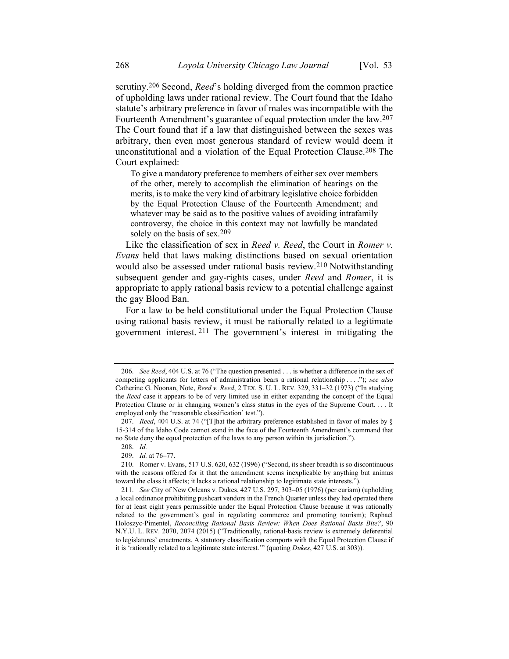scrutiny.<sup>206</sup> Second, *Reed's* holding diverged from the common practice of upholding laws under rational review. The Court found that the Idaho statute's arbitrary preference in favor of males was incompatible with the Fourteenth Amendment's guarantee of equal protection under the law.207 The Court found that if a law that distinguished between the sexes was arbitrary, then even most generous standard of review would deem it unconstitutional and a violation of the Equal Protection Clause.208 The Court explained:

To give a mandatory preference to members of either sex over members of the other, merely to accomplish the elimination of hearings on the merits, is to make the very kind of arbitrary legislative choice forbidden by the Equal Protection Clause of the Fourteenth Amendment; and whatever may be said as to the positive values of avoiding intrafamily controversy, the choice in this context may not lawfully be mandated solely on the basis of sex.209

Like the classification of sex in *Reed v. Reed*, the Court in *Romer v.* Evans held that laws making distinctions based on sexual orientation would also be assessed under rational basis review.210 Notwithstanding subsequent gender and gay-rights cases, under Reed and Romer, it is appropriate to apply rational basis review to a potential challenge against the gay Blood Ban.

For a law to be held constitutional under the Equal Protection Clause using rational basis review, it must be rationally related to a legitimate government interest. 211 The government's interest in mitigating the

<sup>206.</sup> See Reed, 404 U.S. at 76 ("The question presented . . . is whether a difference in the sex of competing applicants for letters of administration bears a rational relationship . . . ."); see also Catherine G. Noonan, Note, Reed v. Reed, 2 TEX. S. U. L. REV. 329, 331–32 (1973) ("In studying the Reed case it appears to be of very limited use in either expanding the concept of the Equal Protection Clause or in changing women's class status in the eyes of the Supreme Court. . . . It employed only the 'reasonable classification' test.").

<sup>207.</sup> Reed, 404 U.S. at 74 ("[T]hat the arbitrary preference established in favor of males by § 15-314 of the Idaho Code cannot stand in the face of the Fourteenth Amendment's command that no State deny the equal protection of the laws to any person within its jurisdiction.").

<sup>208.</sup> Id.

<sup>209.</sup> Id. at 76–77.

<sup>210.</sup> Romer v. Evans, 517 U.S. 620, 632 (1996) ("Second, its sheer breadth is so discontinuous with the reasons offered for it that the amendment seems inexplicable by anything but animus toward the class it affects; it lacks a rational relationship to legitimate state interests.").

<sup>211.</sup> See City of New Orleans v. Dukes, 427 U.S. 297, 303–05 (1976) (per curiam) (upholding a local ordinance prohibiting pushcart vendors in the French Quarter unless they had operated there for at least eight years permissible under the Equal Protection Clause because it was rationally related to the government's goal in regulating commerce and promoting tourism); Raphael Holoszyc-Pimentel, Reconciling Rational Basis Review: When Does Rational Basis Bite?, 90 N.Y.U. L. REV. 2070, 2074 (2015) ("Traditionally, rational-basis review is extremely deferential to legislatures' enactments. A statutory classification comports with the Equal Protection Clause if it is 'rationally related to a legitimate state interest.'" (quoting Dukes, 427 U.S. at 303)).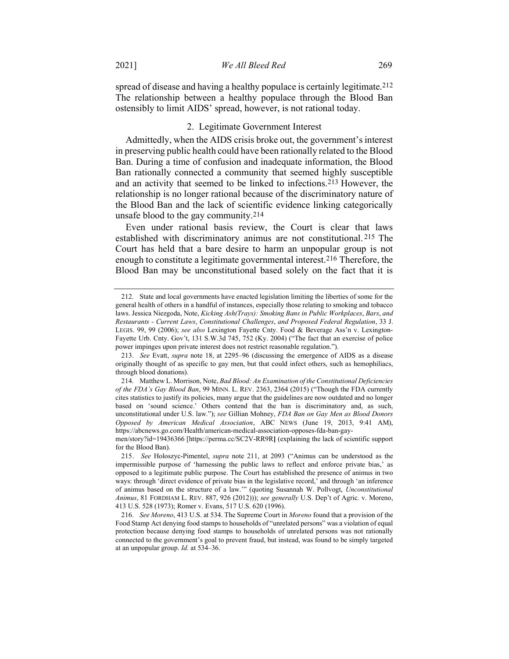spread of disease and having a healthy populace is certainly legitimate.<sup>212</sup> The relationship between a healthy populace through the Blood Ban ostensibly to limit AIDS' spread, however, is not rational today.

#### 2. Legitimate Government Interest

Admittedly, when the AIDS crisis broke out, the government's interest in preserving public health could have been rationally related to the Blood Ban. During a time of confusion and inadequate information, the Blood Ban rationally connected a community that seemed highly susceptible and an activity that seemed to be linked to infections.213 However, the relationship is no longer rational because of the discriminatory nature of the Blood Ban and the lack of scientific evidence linking categorically unsafe blood to the gay community.214

Even under rational basis review, the Court is clear that laws established with discriminatory animus are not constitutional. 215 The Court has held that a bare desire to harm an unpopular group is not enough to constitute a legitimate governmental interest.216 Therefore, the Blood Ban may be unconstitutional based solely on the fact that it is

<sup>212.</sup> State and local governments have enacted legislation limiting the liberties of some for the general health of others in a handful of instances, especially those relating to smoking and tobacco laws. Jessica Niezgoda, Note, Kicking Ash(Trays): Smoking Bans in Public Workplaces, Bars, and Restaurants - Current Laws, Constitutional Challenges, and Proposed Federal Regulation, 33 J. LEGIS. 99, 99 (2006); see also Lexington Fayette Cnty. Food & Beverage Ass'n v. Lexington-Fayette Urb. Cnty. Gov't, 131 S.W.3d 745, 752 (Ky. 2004) ("The fact that an exercise of police power impinges upon private interest does not restrict reasonable regulation.").

<sup>213.</sup> See Evatt, supra note 18, at 2295–96 (discussing the emergence of AIDS as a disease originally thought of as specific to gay men, but that could infect others, such as hemophiliacs, through blood donations).

<sup>214.</sup> Matthew L. Morrison, Note, Bad Blood: An Examination of the Constitutional Deficiencies of the FDA's Gay Blood Ban, 99 MINN. L. REV. 2363, 2364 (2015) ("Though the FDA currently cites statistics to justify its policies, many argue that the guidelines are now outdated and no longer based on 'sound science.' Others contend that the ban is discriminatory and, as such, unconstitutional under U.S. law."); see Gillian Mohney, FDA Ban on Gay Men as Blood Donors Opposed by American Medical Association, ABC NEWS (June 19, 2013, 9:41 AM), https://abcnews.go.com/Health/american-medical-association-opposes-fda-ban-gay-

men/story?id=19436366 [https://perma.cc/SC2V-RR9R] (explaining the lack of scientific support for the Blood Ban).

<sup>215.</sup> See Holoszyc-Pimentel, supra note 211, at 2093 ("Animus can be understood as the impermissible purpose of 'harnessing the public laws to reflect and enforce private bias,' as opposed to a legitimate public purpose. The Court has established the presence of animus in two ways: through 'direct evidence of private bias in the legislative record,' and through 'an inference of animus based on the structure of a law.'" (quoting Susannah W. Pollvogt, Unconstitutional Animus, 81 FORDHAM L. REV. 887, 926 (2012))); see generally U.S. Dep't of Agric. v. Moreno, 413 U.S. 528 (1973); Romer v. Evans, 517 U.S. 620 (1996).

<sup>216.</sup> See Moreno, 413 U.S. at 534. The Supreme Court in Moreno found that a provision of the Food Stamp Act denying food stamps to households of "unrelated persons" was a violation of equal protection because denying food stamps to households of unrelated persons was not rationally connected to the government's goal to prevent fraud, but instead, was found to be simply targeted at an unpopular group. Id. at 534–36.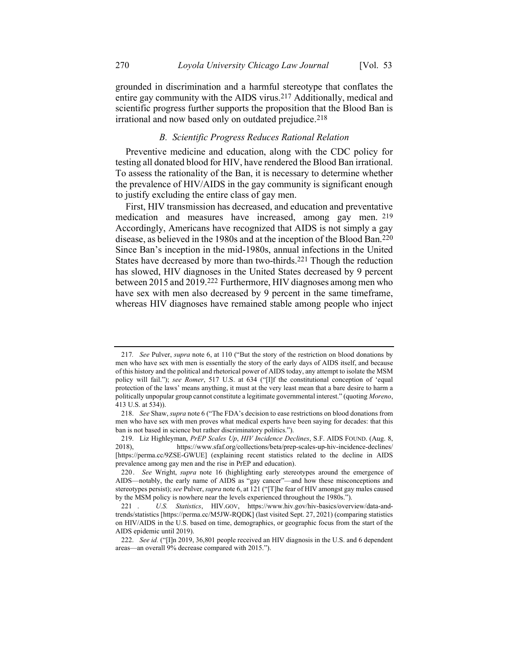grounded in discrimination and a harmful stereotype that conflates the entire gay community with the AIDS virus.217 Additionally, medical and scientific progress further supports the proposition that the Blood Ban is irrational and now based only on outdated prejudice.<sup>218</sup>

## B. Scientific Progress Reduces Rational Relation

Preventive medicine and education, along with the CDC policy for testing all donated blood for HIV, have rendered the Blood Ban irrational. To assess the rationality of the Ban, it is necessary to determine whether the prevalence of HIV/AIDS in the gay community is significant enough to justify excluding the entire class of gay men.

First, HIV transmission has decreased, and education and preventative medication and measures have increased, among gay men. 219 Accordingly, Americans have recognized that AIDS is not simply a gay disease, as believed in the 1980s and at the inception of the Blood Ban.220 Since Ban's inception in the mid-1980s, annual infections in the United States have decreased by more than two-thirds.221 Though the reduction has slowed, HIV diagnoses in the United States decreased by 9 percent between 2015 and 2019.222 Furthermore, HIV diagnoses among men who have sex with men also decreased by 9 percent in the same timeframe, whereas HIV diagnoses have remained stable among people who inject

<sup>217</sup>. See Pulver, supra note 6, at 110 ("But the story of the restriction on blood donations by men who have sex with men is essentially the story of the early days of AIDS itself, and because of this history and the political and rhetorical power of AIDS today, any attempt to isolate the MSM policy will fail."); see Romer, 517 U.S. at 634 ("[I]f the constitutional conception of 'equal protection of the laws' means anything, it must at the very least mean that a bare desire to harm a politically unpopular group cannot constitute a legitimate governmental interest." (quoting Moreno, 413 U.S. at 534)).

<sup>218.</sup> See Shaw, supra note 6 ("The FDA's decision to ease restrictions on blood donations from men who have sex with men proves what medical experts have been saying for decades: that this ban is not based in science but rather discriminatory politics.").

<sup>219.</sup> Liz Highleyman, PrEP Scales Up, HIV Incidence Declines, S.F. AIDS FOUND. (Aug. 8, 2018), https://www.sfaf.org/collections/beta/prep-scales-up-hiv-incidence-declines/ [https://perma.cc/9ZSE-GWUE] (explaining recent statistics related to the decline in AIDS prevalence among gay men and the rise in PrEP and education).

<sup>220.</sup> See Wright, *supra* note 16 (highlighting early stereotypes around the emergence of AIDS—notably, the early name of AIDS as "gay cancer"—and how these misconceptions and stereotypes persist); see Pulver, supra note 6, at 121 ("[T]he fear of HIV amongst gay males caused by the MSM policy is nowhere near the levels experienced throughout the 1980s.").

<sup>221 .</sup> U.S. Statistics, HIV.GOV, https://www.hiv.gov/hiv-basics/overview/data-andtrends/statistics [https://perma.cc/M5JW-RQDK] (last visited Sept. 27, 2021) (comparing statistics on HIV/AIDS in the U.S. based on time, demographics, or geographic focus from the start of the AIDS epidemic until 2019).

<sup>222.</sup> See id. ("[I]n 2019, 36,801 people received an HIV diagnosis in the U.S. and 6 dependent areas—an overall 9% decrease compared with 2015.").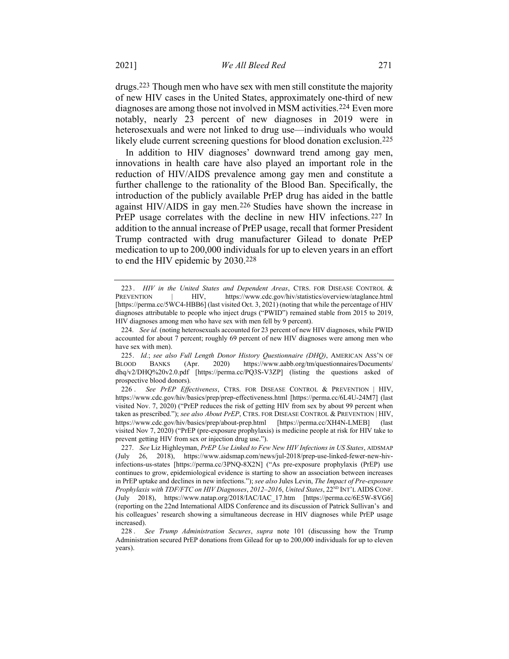drugs.223 Though men who have sex with men still constitute the majority of new HIV cases in the United States, approximately one-third of new diagnoses are among those not involved in MSM activities.224 Even more notably, nearly 23 percent of new diagnoses in 2019 were in heterosexuals and were not linked to drug use—individuals who would likely elude current screening questions for blood donation exclusion.<sup>225</sup>

In addition to HIV diagnoses' downward trend among gay men, innovations in health care have also played an important role in the reduction of HIV/AIDS prevalence among gay men and constitute a further challenge to the rationality of the Blood Ban. Specifically, the introduction of the publicly available PrEP drug has aided in the battle against HIV/AIDS in gay men.226 Studies have shown the increase in PrEP usage correlates with the decline in new HIV infections.<sup>227</sup> In addition to the annual increase of PrEP usage, recall that former President Trump contracted with drug manufacturer Gilead to donate PrEP medication to up to 200,000 individuals for up to eleven years in an effort to end the HIV epidemic by 2030.228

<sup>223.</sup> HIV in the United States and Dependent Areas, CTRS. FOR DISEASE CONTROL & PREVENTION | HIV, https://www.cdc.gov/hiv/statistics/overview/ataglance.html [https://perma.cc/5WC4-HBB6] (last visited Oct. 3, 2021) (noting that while the percentage of HIV diagnoses attributable to people who inject drugs ("PWID") remained stable from 2015 to 2019, HIV diagnoses among men who have sex with men fell by 9 percent).

<sup>224.</sup> See id. (noting heterosexuals accounted for 23 percent of new HIV diagnoses, while PWID accounted for about 7 percent; roughly 69 percent of new HIV diagnoses were among men who have sex with men).

<sup>225.</sup> Id.; see also Full Length Donor History Questionnaire (DHQ), AMERICAN ASS'N OF BLOOD BANKS (Apr. 2020) https://www.aabb.org/tm/questionnaires/Documents/ dhq/v2/DHQ%20v2.0.pdf [https://perma.cc/PQ3S-V3ZP] (listing the questions asked of prospective blood donors).

<sup>226 .</sup> See PrEP Effectiveness, CTRS. FOR DISEASE CONTROL & PREVENTION | HIV, https://www.cdc.gov/hiv/basics/prep/prep-effectiveness.html [https://perma.cc/6L4U-24M7] (last visited Nov. 7, 2020) ("PrEP reduces the risk of getting HIV from sex by about 99 percent when taken as prescribed."); see also About PrEP, CTRS. FOR DISEASE CONTROL & PREVENTION | HIV, https://www.cdc.gov/hiv/basics/prep/about-prep.html [https://perma.cc/XH4N-LMEB] (last visited Nov 7, 2020) ("PrEP (pre-exposure prophylaxis) is medicine people at risk for HIV take to prevent getting HIV from sex or injection drug use.").

<sup>227.</sup> See Liz Highleyman, PrEP Use Linked to Few New HIV Infections in US States, AIDSMAP (July 26, 2018), https://www.aidsmap.com/news/jul-2018/prep-use-linked-fewer-new-hivinfections-us-states [https://perma.cc/3PNQ-8X2N] ("As pre-exposure prophylaxis (PrEP) use continues to grow, epidemiological evidence is starting to show an association between increases in PrEP uptake and declines in new infections."); see also Jules Levin, The Impact of Pre-exposure Prophylaxis with TDF/FTC on HIV Diagnoses, 2012–2016, United States, 22<sup>ND</sup> INT'L AIDS CONF. (July 2018), https://www.natap.org/2018/IAC/IAC\_17.htm [https://perma.cc/6E5W-8VG6] (reporting on the 22nd International AIDS Conference and its discussion of Patrick Sullivan's and his colleagues' research showing a simultaneous decrease in HIV diagnoses while PrEP usage increased).

<sup>228 .</sup> See Trump Administration Secures, supra note 101 (discussing how the Trump Administration secured PrEP donations from Gilead for up to 200,000 individuals for up to eleven years).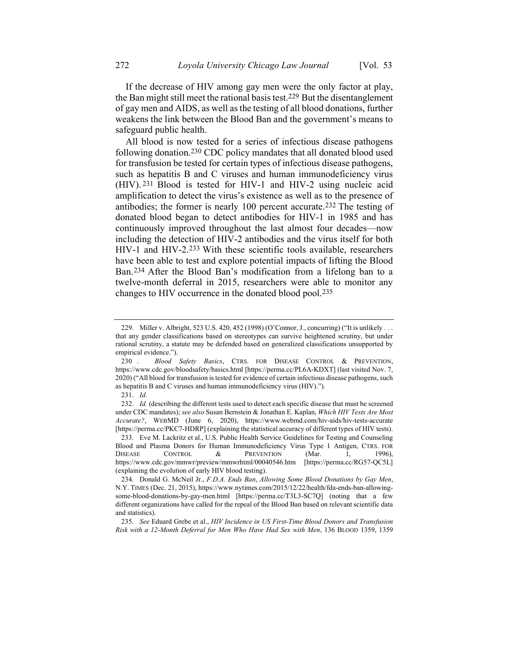If the decrease of HIV among gay men were the only factor at play, the Ban might still meet the rational basis test.229 But the disentanglement of gay men and AIDS, as well as the testing of all blood donations, further weakens the link between the Blood Ban and the government's means to safeguard public health.

All blood is now tested for a series of infectious disease pathogens following donation.230 CDC policy mandates that all donated blood used for transfusion be tested for certain types of infectious disease pathogens, such as hepatitis B and C viruses and human immunodeficiency virus (HIV). 231 Blood is tested for HIV-1 and HIV-2 using nucleic acid amplification to detect the virus's existence as well as to the presence of antibodies; the former is nearly 100 percent accurate.232 The testing of donated blood began to detect antibodies for HIV-1 in 1985 and has continuously improved throughout the last almost four decades—now including the detection of HIV-2 antibodies and the virus itself for both HIV-1 and HIV-2.233 With these scientific tools available, researchers have been able to test and explore potential impacts of lifting the Blood Ban.234 After the Blood Ban's modification from a lifelong ban to a twelve-month deferral in 2015, researchers were able to monitor any changes to HIV occurrence in the donated blood pool.235

<sup>229.</sup> Miller v. Albright, 523 U.S. 420, 452 (1998) (O'Connor, J., concurring) ("It is unlikely . . . that any gender classifications based on stereotypes can survive heightened scrutiny, but under rational scrutiny, a statute may be defended based on generalized classifications unsupported by empirical evidence.").

<sup>230 .</sup> Blood Safety Basics, CTRS. FOR DISEASE CONTROL & PREVENTION, https://www.cdc.gov/bloodsafety/basics.html [https://perma.cc/PL6A-KDXT] (last visited Nov. 7, 2020) ("All blood for transfusion is tested for evidence of certain infectious disease pathogens, such as hepatitis B and C viruses and human immunodeficiency virus (HIV).").

<sup>231.</sup> Id.

<sup>232.</sup> Id. (describing the different tests used to detect each specific disease that must be screened under CDC mandates); see also Susan Bernstein & Jonathan E. Kaplan, Which HIV Tests Are Most Accurate?, WEBMD (June 6, 2020), https://www.webmd.com/hiv-aids/hiv-tests-accurate [https://perma.cc/PKC7-HDRP] (explaining the statistical accuracy of different types of HIV tests).

<sup>233.</sup> Eve M. Lackritz et al., U.S. Public Health Service Guidelines for Testing and Counseling Blood and Plasma Donors for Human Immunodeficiency Virus Type 1 Antigen, CTRS. FOR DISEASE CONTROL & PREVENTION (Mar. 1, 1996), https://www.cdc.gov/mmwr/preview/mmwrhtml/00040546.htm [https://perma.cc/RG57-QC5L] (explaining the evolution of early HIV blood testing).

<sup>234.</sup> Donald G. McNeil Jr., F.D.A. Ends Ban, Allowing Some Blood Donations by Gay Men, N.Y. TIMES (Dec. 21, 2015), https://www.nytimes.com/2015/12/22/health/fda-ends-ban-allowingsome-blood-donations-by-gay-men.html [https://perma.cc/T3L3-SC7Q] (noting that a few different organizations have called for the repeal of the Blood Ban based on relevant scientific data and statistics).

<sup>235.</sup> See Eduard Grebe et al., HIV Incidence in US First-Time Blood Donors and Transfusion Risk with a 12-Month Deferral for Men Who Have Had Sex with Men, 136 BLOOD 1359, 1359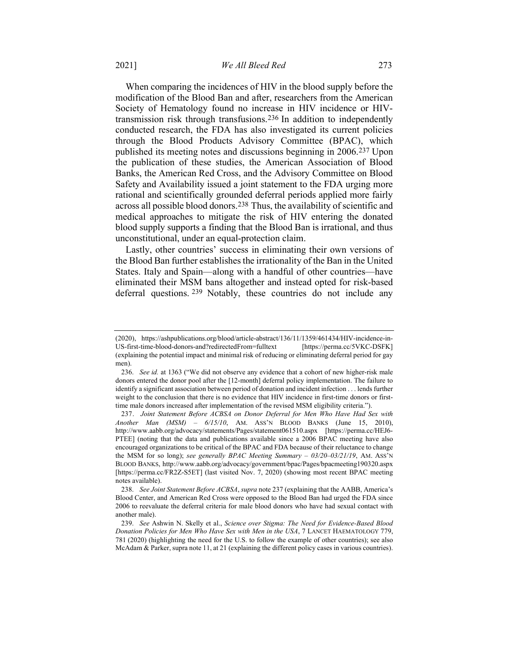When comparing the incidences of HIV in the blood supply before the modification of the Blood Ban and after, researchers from the American Society of Hematology found no increase in HIV incidence or HIVtransmission risk through transfusions.236 In addition to independently conducted research, the FDA has also investigated its current policies through the Blood Products Advisory Committee (BPAC), which published its meeting notes and discussions beginning in 2006.237 Upon the publication of these studies, the American Association of Blood Banks, the American Red Cross, and the Advisory Committee on Blood Safety and Availability issued a joint statement to the FDA urging more rational and scientifically grounded deferral periods applied more fairly across all possible blood donors.238 Thus, the availability of scientific and medical approaches to mitigate the risk of HIV entering the donated blood supply supports a finding that the Blood Ban is irrational, and thus unconstitutional, under an equal-protection claim.

Lastly, other countries' success in eliminating their own versions of the Blood Ban further establishes the irrationality of the Ban in the United States. Italy and Spain—along with a handful of other countries—have eliminated their MSM bans altogether and instead opted for risk-based deferral questions. 239 Notably, these countries do not include any

<sup>(2020),</sup> https://ashpublications.org/blood/article-abstract/136/11/1359/461434/HIV-incidence-in-US-first-time-blood-donors-and?redirectedFrom=fulltext [https://perma.cc/5VKC-DSFK] (explaining the potential impact and minimal risk of reducing or eliminating deferral period for gay men).

<sup>236.</sup> See id. at 1363 ("We did not observe any evidence that a cohort of new higher-risk male donors entered the donor pool after the [12-month] deferral policy implementation. The failure to identify a significant association between period of donation and incident infection . . . lends further weight to the conclusion that there is no evidence that HIV incidence in first-time donors or firsttime male donors increased after implementation of the revised MSM eligibility criteria.").

<sup>237.</sup> Joint Statement Before ACBSA on Donor Deferral for Men Who Have Had Sex with Another Man  $(MSM)$  –  $6/15/10$ , AM. ASS'N BLOOD BANKS (June 15, 2010), http://www.aabb.org/advocacy/statements/Pages/statement061510.aspx [https://perma.cc/HEJ6-PTEE] (noting that the data and publications available since a 2006 BPAC meeting have also encouraged organizations to be critical of the BPAC and FDA because of their reluctance to change the MSM for so long); see generally BPAC Meeting Summary  $-03/20-03/21/19$ , AM. ASS'N BLOOD BANKS, http://www.aabb.org/advocacy/government/bpac/Pages/bpacmeeting190320.aspx [https://perma.cc/FR2Z-S5ET] (last visited Nov. 7, 2020) (showing most recent BPAC meeting notes available).

<sup>238.</sup> See Joint Statement Before ACBSA, supra note 237 (explaining that the AABB, America's Blood Center, and American Red Cross were opposed to the Blood Ban had urged the FDA since 2006 to reevaluate the deferral criteria for male blood donors who have had sexual contact with another male).

<sup>239.</sup> See Ashwin N. Skelly et al., Science over Stigma: The Need for Evidence-Based Blood Donation Policies for Men Who Have Sex with Men in the USA, 7 LANCET HAEMATOLOGY 779, 781 (2020) (highlighting the need for the U.S. to follow the example of other countries); see also McAdam & Parker, supra note 11, at 21 (explaining the different policy cases in various countries).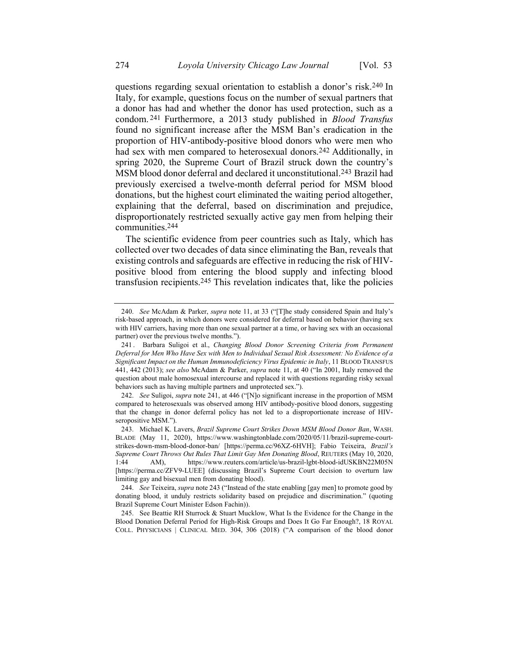questions regarding sexual orientation to establish a donor's risk.240 In Italy, for example, questions focus on the number of sexual partners that a donor has had and whether the donor has used protection, such as a condom. 241 Furthermore, a 2013 study published in Blood Transfus found no significant increase after the MSM Ban's eradication in the proportion of HIV-antibody-positive blood donors who were men who had sex with men compared to heterosexual donors.<sup>242</sup> Additionally, in spring 2020, the Supreme Court of Brazil struck down the country's MSM blood donor deferral and declared it unconstitutional.243 Brazil had previously exercised a twelve-month deferral period for MSM blood donations, but the highest court eliminated the waiting period altogether, explaining that the deferral, based on discrimination and prejudice, disproportionately restricted sexually active gay men from helping their communities.244

The scientific evidence from peer countries such as Italy, which has collected over two decades of data since eliminating the Ban, reveals that existing controls and safeguards are effective in reducing the risk of HIVpositive blood from entering the blood supply and infecting blood transfusion recipients.245 This revelation indicates that, like the policies

<sup>240.</sup> See McAdam & Parker, supra note 11, at 33 ("[T]he study considered Spain and Italy's risk-based approach, in which donors were considered for deferral based on behavior (having sex with HIV carriers, having more than one sexual partner at a time, or having sex with an occasional partner) over the previous twelve months.").

<sup>241 .</sup> Barbara Suligoi et al., Changing Blood Donor Screening Criteria from Permanent Deferral for Men Who Have Sex with Men to Individual Sexual Risk Assessment: No Evidence of a Significant Impact on the Human Immunodeficiency Virus Epidemic in Italy, 11 BLOOD TRANSFUS 441, 442 (2013); see also McAdam & Parker, supra note 11, at 40 ("In 2001, Italy removed the question about male homosexual intercourse and replaced it with questions regarding risky sexual behaviors such as having multiple partners and unprotected sex.").

<sup>242.</sup> See Suligoi, *supra* note 241, at 446 ("[N]o significant increase in the proportion of MSM compared to heterosexuals was observed among HIV antibody-positive blood donors, suggesting that the change in donor deferral policy has not led to a disproportionate increase of HIVseropositive MSM.").

<sup>243.</sup> Michael K. Lavers, Brazil Supreme Court Strikes Down MSM Blood Donor Ban, WASH. BLADE (May 11, 2020), https://www.washingtonblade.com/2020/05/11/brazil-supreme-courtstrikes-down-msm-blood-donor-ban/ [https://perma.cc/96XZ-6HVH]; Fabio Teixeira, Brazil's Supreme Court Throws Out Rules That Limit Gay Men Donating Blood, REUTERS (May 10, 2020, 1:44 AM), https://www.reuters.com/article/us-brazil-lgbt-blood-idUSKBN22M05N [https://perma.cc/ZFV9-LUEE] (discussing Brazil's Supreme Court decision to overturn law limiting gay and bisexual men from donating blood).

<sup>244.</sup> See Teixeira, *supra* note 243 ("Instead of the state enabling [gay men] to promote good by donating blood, it unduly restricts solidarity based on prejudice and discrimination." (quoting Brazil Supreme Court Minister Edson Fachin)).

<sup>245.</sup> See Beattie RH Sturrock & Stuart Mucklow, What Is the Evidence for the Change in the Blood Donation Deferral Period for High-Risk Groups and Does It Go Far Enough?, 18 ROYAL COLL. PHYSICIANS | CLINICAL MED. 304, 306 (2018) ("A comparison of the blood donor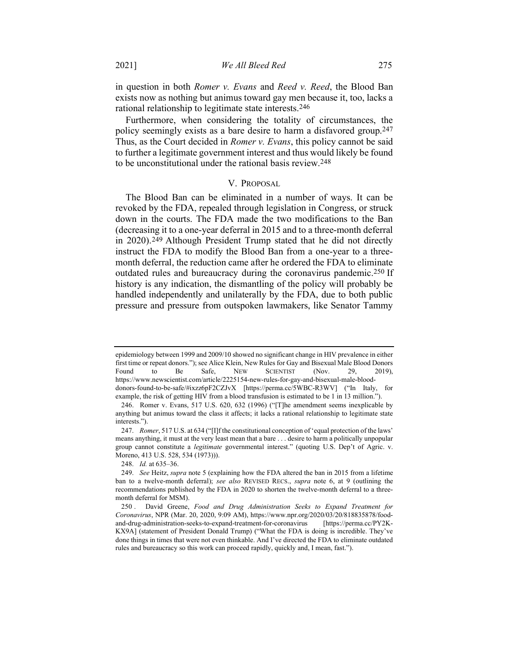in question in both Romer v. Evans and Reed v. Reed, the Blood Ban exists now as nothing but animus toward gay men because it, too, lacks a rational relationship to legitimate state interests.246

Furthermore, when considering the totality of circumstances, the policy seemingly exists as a bare desire to harm a disfavored group.247 Thus, as the Court decided in Romer v. Evans, this policy cannot be said to further a legitimate government interest and thus would likely be found to be unconstitutional under the rational basis review.248

## V. PROPOSAL

The Blood Ban can be eliminated in a number of ways. It can be revoked by the FDA, repealed through legislation in Congress, or struck down in the courts. The FDA made the two modifications to the Ban (decreasing it to a one-year deferral in 2015 and to a three-month deferral in 2020).249 Although President Trump stated that he did not directly instruct the FDA to modify the Blood Ban from a one-year to a threemonth deferral, the reduction came after he ordered the FDA to eliminate outdated rules and bureaucracy during the coronavirus pandemic.250 If history is any indication, the dismantling of the policy will probably be handled independently and unilaterally by the FDA, due to both public pressure and pressure from outspoken lawmakers, like Senator Tammy

248. Id. at 635–36.

epidemiology between 1999 and 2009/10 showed no significant change in HIV prevalence in either first time or repeat donors."); see Alice Klein, New Rules for Gay and Bisexual Male Blood Donors Found to Be Safe, NEW SCIENTIST (Nov. 29, 2019), https://www.newscientist.com/article/2225154-new-rules-for-gay-and-bisexual-male-blooddonors-found-to-be-safe/#ixzz6pF2CZJvX [https://perma.cc/5WBC-R3WV] ("In Italy, for example, the risk of getting HIV from a blood transfusion is estimated to be 1 in 13 million.").

<sup>246.</sup> Romer v. Evans, 517 U.S. 620, 632 (1996) ("[T]he amendment seems inexplicable by anything but animus toward the class it affects; it lacks a rational relationship to legitimate state interests.").

<sup>247.</sup> Romer, 517 U.S. at 634 ("[I]f the constitutional conception of 'equal protection of the laws' means anything, it must at the very least mean that a bare . . . desire to harm a politically unpopular group cannot constitute a *legitimate* governmental interest." (quoting U.S. Dep't of Agric. v. Moreno, 413 U.S. 528, 534 (1973))).

<sup>249.</sup> See Heitz, *supra* note 5 (explaining how the FDA altered the ban in 2015 from a lifetime ban to a twelve-month deferral); see also REVISED RECS., supra note 6, at 9 (outlining the recommendations published by the FDA in 2020 to shorten the twelve-month deferral to a threemonth deferral for MSM).

<sup>250 .</sup> David Greene, Food and Drug Administration Seeks to Expand Treatment for Coronavirus, NPR (Mar. 20, 2020, 9:09 AM), https://www.npr.org/2020/03/20/818835878/foodand-drug-administration-seeks-to-expand-treatment-for-coronavirus [https://perma.cc/PY2K-KX9A] (statement of President Donald Trump) ("What the FDA is doing is incredible. They've done things in times that were not even thinkable. And I've directed the FDA to eliminate outdated rules and bureaucracy so this work can proceed rapidly, quickly and, I mean, fast.").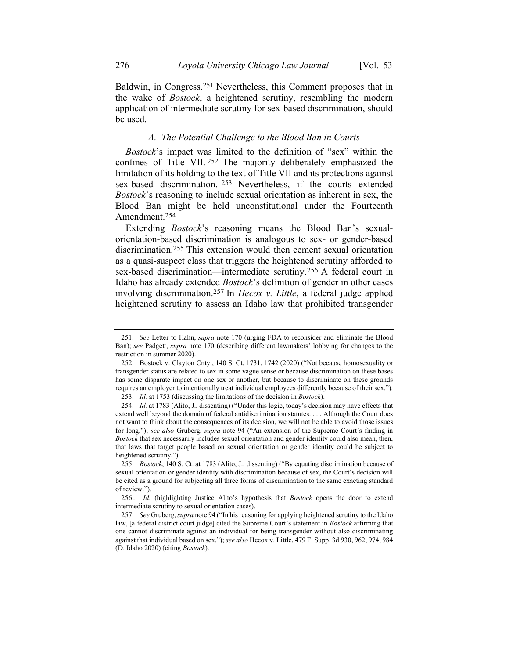Baldwin, in Congress.251 Nevertheless, this Comment proposes that in the wake of Bostock, a heightened scrutiny, resembling the modern application of intermediate scrutiny for sex-based discrimination, should be used.

## A. The Potential Challenge to the Blood Ban in Courts

Bostock's impact was limited to the definition of "sex" within the confines of Title VII. 252 The majority deliberately emphasized the limitation of its holding to the text of Title VII and its protections against sex-based discrimination. 253 Nevertheless, if the courts extended Bostock's reasoning to include sexual orientation as inherent in sex, the Blood Ban might be held unconstitutional under the Fourteenth Amendment.254

Extending Bostock's reasoning means the Blood Ban's sexualorientation-based discrimination is analogous to sex- or gender-based discrimination.255 This extension would then cement sexual orientation as a quasi-suspect class that triggers the heightened scrutiny afforded to sex-based discrimination—intermediate scrutiny.256 A federal court in Idaho has already extended Bostock's definition of gender in other cases involving discrimination.<sup>257</sup> In *Hecox v. Little*, a federal judge applied heightened scrutiny to assess an Idaho law that prohibited transgender

<sup>251.</sup> See Letter to Hahn, supra note 170 (urging FDA to reconsider and eliminate the Blood Ban); see Padgett, supra note 170 (describing different lawmakers' lobbying for changes to the restriction in summer 2020).

<sup>252.</sup> Bostock v. Clayton Cnty., 140 S. Ct. 1731, 1742 (2020) ("Not because homosexuality or transgender status are related to sex in some vague sense or because discrimination on these bases has some disparate impact on one sex or another, but because to discriminate on these grounds requires an employer to intentionally treat individual employees differently because of their sex.").

<sup>253.</sup> Id. at 1753 (discussing the limitations of the decision in Bostock).

<sup>254.</sup> Id. at 1783 (Alito, J., dissenting) ("Under this logic, today's decision may have effects that extend well beyond the domain of federal antidiscrimination statutes. . . . Although the Court does not want to think about the consequences of its decision, we will not be able to avoid those issues for long."); see also Gruberg, supra note 94 ("An extension of the Supreme Court's finding in Bostock that sex necessarily includes sexual orientation and gender identity could also mean, then, that laws that target people based on sexual orientation or gender identity could be subject to heightened scrutiny.").

<sup>255.</sup> Bostock, 140 S. Ct. at 1783 (Alito, J., dissenting) ("By equating discrimination because of sexual orientation or gender identity with discrimination because of sex, the Court's decision will be cited as a ground for subjecting all three forms of discrimination to the same exacting standard of review.").

<sup>256.</sup> Id. (highlighting Justice Alito's hypothesis that Bostock opens the door to extend intermediate scrutiny to sexual orientation cases).

<sup>257.</sup> See Gruberg, supra note 94 ("In his reasoning for applying heightened scrutiny to the Idaho law, [a federal district court judge] cited the Supreme Court's statement in Bostock affirming that one cannot discriminate against an individual for being transgender without also discriminating against that individual based on sex."); see also Hecox v. Little, 479 F. Supp. 3d 930, 962, 974, 984 (D. Idaho 2020) (citing Bostock).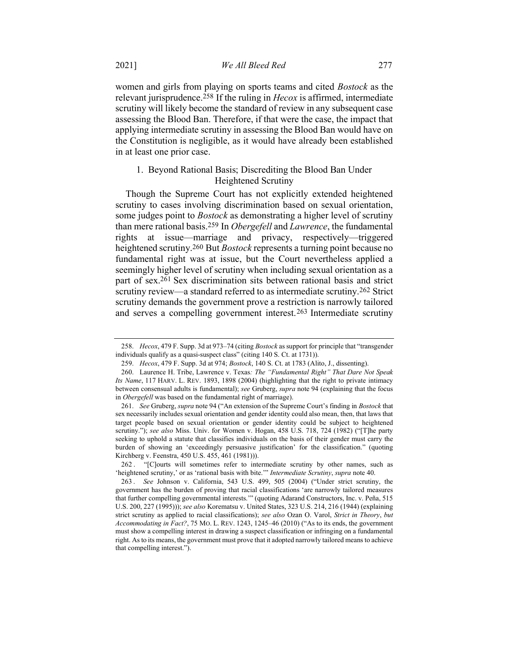women and girls from playing on sports teams and cited Bostock as the relevant jurisprudence.<sup>258</sup> If the ruling in *Hecox* is affirmed, intermediate scrutiny will likely become the standard of review in any subsequent case assessing the Blood Ban. Therefore, if that were the case, the impact that applying intermediate scrutiny in assessing the Blood Ban would have on the Constitution is negligible, as it would have already been established in at least one prior case.

# 1. Beyond Rational Basis; Discrediting the Blood Ban Under Heightened Scrutiny

Though the Supreme Court has not explicitly extended heightened scrutiny to cases involving discrimination based on sexual orientation, some judges point to *Bostock* as demonstrating a higher level of scrutiny than mere rational basis.259 In Obergefell and Lawrence, the fundamental rights at issue—marriage and privacy, respectively—triggered heightened scrutiny.<sup>260</sup> But *Bostock* represents a turning point because no fundamental right was at issue, but the Court nevertheless applied a seemingly higher level of scrutiny when including sexual orientation as a part of sex.261 Sex discrimination sits between rational basis and strict scrutiny review—a standard referred to as intermediate scrutiny.262 Strict scrutiny demands the government prove a restriction is narrowly tailored and serves a compelling government interest.263 Intermediate scrutiny

<sup>258.</sup> Hecox, 479 F. Supp. 3d at 973–74 (citing *Bostock* as support for principle that "transgender individuals qualify as a quasi-suspect class" (citing 140 S. Ct. at 1731)).

<sup>259.</sup> Hecox, 479 F. Supp. 3d at 974; Bostock, 140 S. Ct. at 1783 (Alito, J., dissenting).

<sup>260.</sup> Laurence H. Tribe, Lawrence v. Texas: The "Fundamental Right" That Dare Not Speak Its Name, 117 HARV. L. REV. 1893, 1898 (2004) (highlighting that the right to private intimacy between consensual adults is fundamental); see Gruberg, supra note 94 (explaining that the focus in Obergefell was based on the fundamental right of marriage).

<sup>261.</sup> See Gruberg, supra note 94 ("An extension of the Supreme Court's finding in Bostock that sex necessarily includes sexual orientation and gender identity could also mean, then, that laws that target people based on sexual orientation or gender identity could be subject to heightened scrutiny."); see also Miss. Univ. for Women v. Hogan, 458 U.S. 718, 724 (1982) ("[T]he party seeking to uphold a statute that classifies individuals on the basis of their gender must carry the burden of showing an 'exceedingly persuasive justification' for the classification." (quoting Kirchberg v. Feenstra, 450 U.S. 455, 461 (1981))).

<sup>262 . &</sup>quot;[C]ourts will sometimes refer to intermediate scrutiny by other names, such as 'heightened scrutiny,' or as 'rational basis with bite.'" Intermediate Scrutiny, supra note 40.

<sup>263 .</sup> See Johnson v. California, 543 U.S. 499, 505 (2004) ("Under strict scrutiny, the government has the burden of proving that racial classifications 'are narrowly tailored measures that further compelling governmental interests.'" (quoting Adarand Constructors, Inc. v. Peña, 515 U.S. 200, 227 (1995))); see also Korematsu v. United States, 323 U.S. 214, 216 (1944) (explaining strict scrutiny as applied to racial classifications); see also Ozan O. Varol, Strict in Theory, but Accommodating in Fact?, 75 MO. L. REV. 1243, 1245–46 (2010) ("As to its ends, the government must show a compelling interest in drawing a suspect classification or infringing on a fundamental right. As to its means, the government must prove that it adopted narrowly tailored means to achieve that compelling interest.").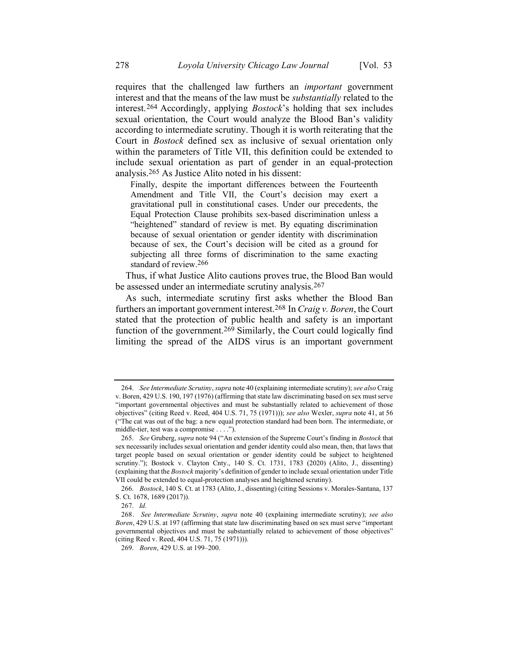requires that the challenged law furthers an important government interest and that the means of the law must be substantially related to the interest.264 Accordingly, applying Bostock's holding that sex includes sexual orientation, the Court would analyze the Blood Ban's validity according to intermediate scrutiny. Though it is worth reiterating that the Court in Bostock defined sex as inclusive of sexual orientation only within the parameters of Title VII, this definition could be extended to include sexual orientation as part of gender in an equal-protection analysis.265 As Justice Alito noted in his dissent:

Finally, despite the important differences between the Fourteenth Amendment and Title VII, the Court's decision may exert a gravitational pull in constitutional cases. Under our precedents, the Equal Protection Clause prohibits sex-based discrimination unless a "heightened" standard of review is met. By equating discrimination because of sexual orientation or gender identity with discrimination because of sex, the Court's decision will be cited as a ground for subjecting all three forms of discrimination to the same exacting standard of review.266

Thus, if what Justice Alito cautions proves true, the Blood Ban would be assessed under an intermediate scrutiny analysis.<sup>267</sup>

As such, intermediate scrutiny first asks whether the Blood Ban furthers an important government interest.268 In Craig v. Boren, the Court stated that the protection of public health and safety is an important function of the government.269 Similarly, the Court could logically find limiting the spread of the AIDS virus is an important government

<sup>264.</sup> See Intermediate Scrutiny, supra note 40 (explaining intermediate scrutiny); see also Craig v. Boren, 429 U.S. 190, 197 (1976) (affirming that state law discriminating based on sex must serve "important governmental objectives and must be substantially related to achievement of those objectives" (citing Reed v. Reed, 404 U.S. 71, 75 (1971))); see also Wexler, supra note 41, at 56 ("The cat was out of the bag: a new equal protection standard had been born. The intermediate, or middle-tier, test was a compromise . . . .").

<sup>265.</sup> See Gruberg, supra note 94 ("An extension of the Supreme Court's finding in Bostock that sex necessarily includes sexual orientation and gender identity could also mean, then, that laws that target people based on sexual orientation or gender identity could be subject to heightened scrutiny."); Bostock v. Clayton Cnty., 140 S. Ct. 1731, 1783 (2020) (Alito, J., dissenting) (explaining that the Bostock majority's definition of gender to include sexual orientation under Title VII could be extended to equal-protection analyses and heightened scrutiny).

<sup>266.</sup> Bostock, 140 S. Ct. at 1783 (Alito, J., dissenting) (citing Sessions v. Morales-Santana, 137 S. Ct. 1678, 1689 (2017)).

<sup>267.</sup> Id.

<sup>268.</sup> See Intermediate Scrutiny, supra note 40 (explaining intermediate scrutiny); see also Boren, 429 U.S. at 197 (affirming that state law discriminating based on sex must serve "important governmental objectives and must be substantially related to achievement of those objectives" (citing Reed v. Reed, 404 U.S. 71, 75 (1971))).

<sup>269.</sup> Boren, 429 U.S. at 199–200.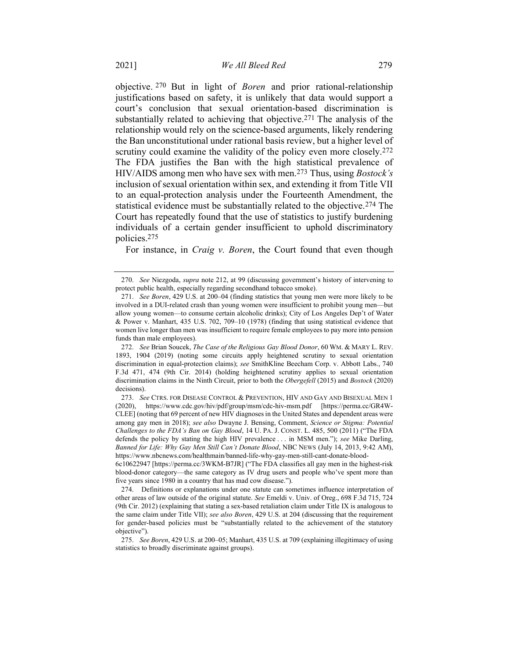objective. 270 But in light of Boren and prior rational-relationship justifications based on safety, it is unlikely that data would support a court's conclusion that sexual orientation-based discrimination is substantially related to achieving that objective.271 The analysis of the relationship would rely on the science-based arguments, likely rendering the Ban unconstitutional under rational basis review, but a higher level of scrutiny could examine the validity of the policy even more closely.<sup>272</sup> The FDA justifies the Ban with the high statistical prevalence of HIV/AIDS among men who have sex with men.273 Thus, using Bostock's inclusion of sexual orientation within sex, and extending it from Title VII to an equal-protection analysis under the Fourteenth Amendment, the statistical evidence must be substantially related to the objective.274 The Court has repeatedly found that the use of statistics to justify burdening individuals of a certain gender insufficient to uphold discriminatory policies.275

For instance, in *Craig v. Boren*, the Court found that even though

<sup>270.</sup> See Niezgoda, supra note 212, at 99 (discussing government's history of intervening to protect public health, especially regarding secondhand tobacco smoke).

<sup>271.</sup> See Boren, 429 U.S. at 200–04 (finding statistics that young men were more likely to be involved in a DUI-related crash than young women were insufficient to prohibit young men—but allow young women—to consume certain alcoholic drinks); City of Los Angeles Dep't of Water & Power v. Manhart, 435 U.S. 702, 709–10 (1978) (finding that using statistical evidence that women live longer than men was insufficient to require female employees to pay more into pension funds than male employees).

<sup>272.</sup> See Brian Soucek, The Case of the Religious Gay Blood Donor, 60 WM. & MARY L. REV. 1893, 1904 (2019) (noting some circuits apply heightened scrutiny to sexual orientation discrimination in equal-protection claims); see SmithKline Beecham Corp. v. Abbott Labs., 740 F.3d 471, 474 (9th Cir. 2014) (holding heightened scrutiny applies to sexual orientation discrimination claims in the Ninth Circuit, prior to both the Obergefell (2015) and Bostock (2020) decisions).

<sup>273.</sup> See CTRS. FOR DISEASE CONTROL & PREVENTION, HIV AND GAY AND BISEXUAL MEN 1 (2020), https://www.cdc.gov/hiv/pdf/group/msm/cdc-hiv-msm.pdf [https://perma.cc/GR4W-CLEE] (noting that 69 percent of new HIV diagnoses in the United States and dependent areas were among gay men in 2018); see also Dwayne J. Bensing, Comment, Science or Stigma: Potential Challenges to the FDA's Ban on Gay Blood, 14 U. PA. J. CONST. L. 485, 500 (2011) ("The FDA defends the policy by stating the high HIV prevalence . . . in MSM men."); see Mike Darling, Banned for Life: Why Gay Men Still Can't Donate Blood, NBC NEWS (July 14, 2013, 9:42 AM), https://www.nbcnews.com/healthmain/banned-life-why-gay-men-still-cant-donate-blood-

<sup>6</sup>c10622947 [https://perma.cc/3WKM-B7JR] ("The FDA classifies all gay men in the highest-risk blood-donor category—the same category as IV drug users and people who've spent more than five years since 1980 in a country that has mad cow disease.").

<sup>274.</sup> Definitions or explanations under one statute can sometimes influence interpretation of other areas of law outside of the original statute. See Emeldi v. Univ. of Oreg., 698 F.3d 715, 724 (9th Cir. 2012) (explaining that stating a sex-based retaliation claim under Title IX is analogous to the same claim under Title VII); see also Boren, 429 U.S. at 204 (discussing that the requirement for gender-based policies must be "substantially related to the achievement of the statutory objective").

<sup>275.</sup> See Boren, 429 U.S. at 200–05; Manhart, 435 U.S. at 709 (explaining illegitimacy of using statistics to broadly discriminate against groups).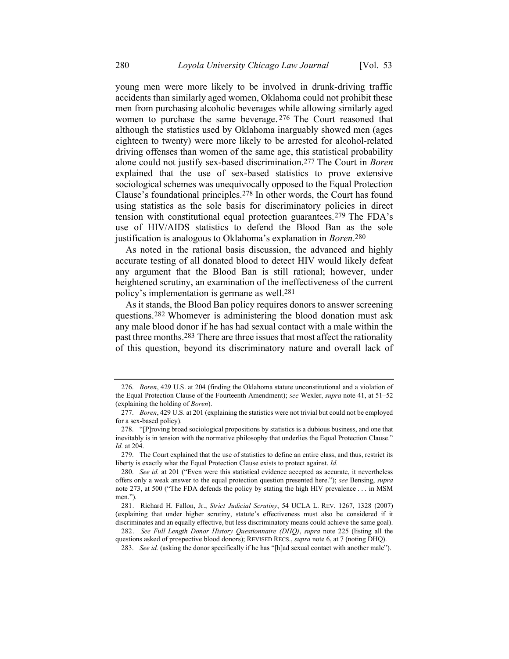young men were more likely to be involved in drunk-driving traffic accidents than similarly aged women, Oklahoma could not prohibit these men from purchasing alcoholic beverages while allowing similarly aged women to purchase the same beverage. 276 The Court reasoned that although the statistics used by Oklahoma inarguably showed men (ages eighteen to twenty) were more likely to be arrested for alcohol-related driving offenses than women of the same age, this statistical probability alone could not justify sex-based discrimination.277 The Court in Boren explained that the use of sex-based statistics to prove extensive sociological schemes was unequivocally opposed to the Equal Protection Clause's foundational principles.278 In other words, the Court has found using statistics as the sole basis for discriminatory policies in direct tension with constitutional equal protection guarantees.279 The FDA's use of HIV/AIDS statistics to defend the Blood Ban as the sole justification is analogous to Oklahoma's explanation in Boren.<sup>280</sup>

As noted in the rational basis discussion, the advanced and highly accurate testing of all donated blood to detect HIV would likely defeat any argument that the Blood Ban is still rational; however, under heightened scrutiny, an examination of the ineffectiveness of the current policy's implementation is germane as well.281

As it stands, the Blood Ban policy requires donors to answer screening questions.282 Whomever is administering the blood donation must ask any male blood donor if he has had sexual contact with a male within the past three months.283 There are three issues that most affect the rationality of this question, beyond its discriminatory nature and overall lack of

<sup>276.</sup> Boren, 429 U.S. at 204 (finding the Oklahoma statute unconstitutional and a violation of the Equal Protection Clause of the Fourteenth Amendment); see Wexler, supra note 41, at 51–52 (explaining the holding of Boren).

<sup>277.</sup> Boren, 429 U.S. at 201 (explaining the statistics were not trivial but could not be employed for a sex-based policy).

<sup>278. &</sup>quot;[P]roving broad sociological propositions by statistics is a dubious business, and one that inevitably is in tension with the normative philosophy that underlies the Equal Protection Clause." Id. at 204.

<sup>279.</sup> The Court explained that the use of statistics to define an entire class, and thus, restrict its liberty is exactly what the Equal Protection Clause exists to protect against. Id.

<sup>280.</sup> See id. at 201 ("Even were this statistical evidence accepted as accurate, it nevertheless offers only a weak answer to the equal protection question presented here."); see Bensing, supra note 273, at 500 ("The FDA defends the policy by stating the high HIV prevalence . . . in MSM men.").

<sup>281.</sup> Richard H. Fallon, Jr., Strict Judicial Scrutiny, 54 UCLA L. REV. 1267, 1328 (2007) (explaining that under higher scrutiny, statute's effectiveness must also be considered if it discriminates and an equally effective, but less discriminatory means could achieve the same goal).

<sup>282.</sup> See Full Length Donor History Questionnaire (DHQ), supra note 225 (listing all the questions asked of prospective blood donors); REVISED RECS., *supra* note 6, at 7 (noting DHQ).

<sup>283.</sup> See id. (asking the donor specifically if he has "[h]ad sexual contact with another male").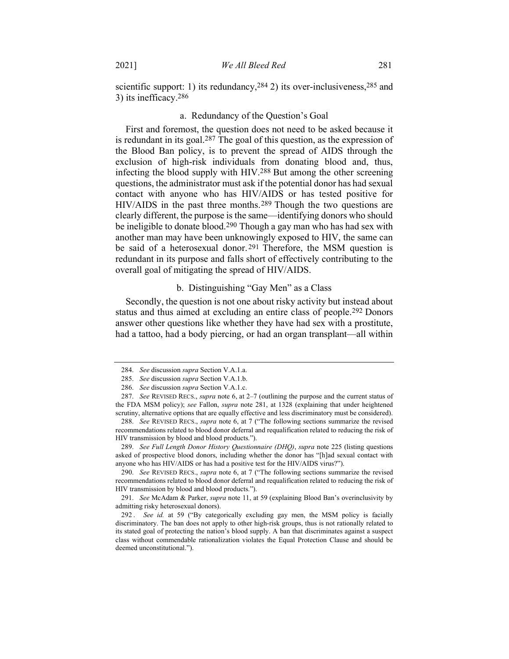scientific support: 1) its redundancy,  $284$  2) its over-inclusiveness,  $285$  and 3) its inefficacy.286

#### a. Redundancy of the Question's Goal

First and foremost, the question does not need to be asked because it is redundant in its goal.<sup>287</sup> The goal of this question, as the expression of the Blood Ban policy, is to prevent the spread of AIDS through the exclusion of high-risk individuals from donating blood and, thus, infecting the blood supply with HIV.288 But among the other screening questions, the administrator must ask if the potential donor has had sexual contact with anyone who has HIV/AIDS or has tested positive for HIV/AIDS in the past three months.289 Though the two questions are clearly different, the purpose is the same—identifying donors who should be ineligible to donate blood.290 Though a gay man who has had sex with another man may have been unknowingly exposed to HIV, the same can be said of a heterosexual donor.<sup>291</sup> Therefore, the MSM question is redundant in its purpose and falls short of effectively contributing to the overall goal of mitigating the spread of HIV/AIDS.

## b. Distinguishing "Gay Men" as a Class

Secondly, the question is not one about risky activity but instead about status and thus aimed at excluding an entire class of people.292 Donors answer other questions like whether they have had sex with a prostitute, had a tattoo, had a body piercing, or had an organ transplant—all within

289. See Full Length Donor History Questionnaire (DHQ), supra note 225 (listing questions asked of prospective blood donors, including whether the donor has "[h]ad sexual contact with anyone who has HIV/AIDS or has had a positive test for the HIV/AIDS virus?").

290. See REVISED RECS., *supra* note 6, at 7 ("The following sections summarize the revised recommendations related to blood donor deferral and requalification related to reducing the risk of HIV transmission by blood and blood products.").

<sup>284.</sup> See discussion supra Section V.A.1.a.

<sup>285.</sup> See discussion supra Section V.A.1.b.

<sup>286.</sup> See discussion supra Section V.A.1.c.

<sup>287.</sup> See REVISED RECS., supra note 6, at 2-7 (outlining the purpose and the current status of the FDA MSM policy); see Fallon, supra note 281, at 1328 (explaining that under heightened scrutiny, alternative options that are equally effective and less discriminatory must be considered).

<sup>288.</sup> See REVISED RECS., *supra* note 6, at 7 ("The following sections summarize the revised recommendations related to blood donor deferral and requalification related to reducing the risk of HIV transmission by blood and blood products.").

<sup>291.</sup> See McAdam & Parker, supra note 11, at 59 (explaining Blood Ban's overinclusivity by admitting risky heterosexual donors).

<sup>292.</sup> See id. at 59 ("By categorically excluding gay men, the MSM policy is facially discriminatory. The ban does not apply to other high-risk groups, thus is not rationally related to its stated goal of protecting the nation's blood supply. A ban that discriminates against a suspect class without commendable rationalization violates the Equal Protection Clause and should be deemed unconstitutional.").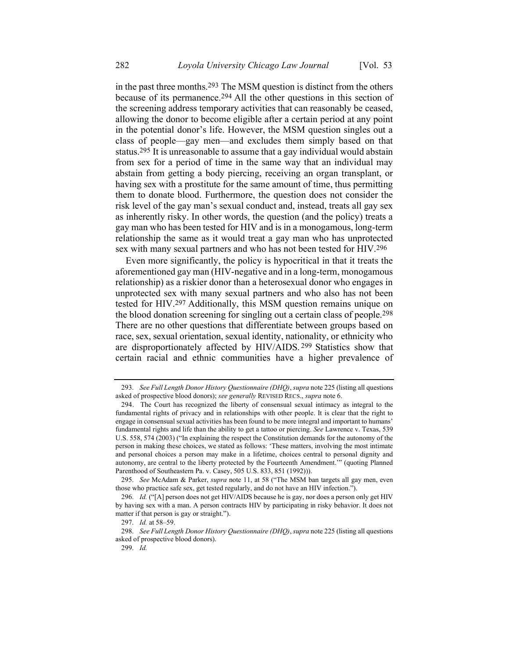in the past three months.293 The MSM question is distinct from the others because of its permanence.294 All the other questions in this section of the screening address temporary activities that can reasonably be ceased, allowing the donor to become eligible after a certain period at any point in the potential donor's life. However, the MSM question singles out a class of people—gay men—and excludes them simply based on that status.295 It is unreasonable to assume that a gay individual would abstain from sex for a period of time in the same way that an individual may abstain from getting a body piercing, receiving an organ transplant, or having sex with a prostitute for the same amount of time, thus permitting them to donate blood. Furthermore, the question does not consider the risk level of the gay man's sexual conduct and, instead, treats all gay sex as inherently risky. In other words, the question (and the policy) treats a gay man who has been tested for HIV and is in a monogamous, long-term relationship the same as it would treat a gay man who has unprotected sex with many sexual partners and who has not been tested for HIV.296

Even more significantly, the policy is hypocritical in that it treats the aforementioned gay man (HIV-negative and in a long-term, monogamous relationship) as a riskier donor than a heterosexual donor who engages in unprotected sex with many sexual partners and who also has not been tested for HIV.297 Additionally, this MSM question remains unique on the blood donation screening for singling out a certain class of people.298 There are no other questions that differentiate between groups based on race, sex, sexual orientation, sexual identity, nationality, or ethnicity who are disproportionately affected by HIV/AIDS. 299 Statistics show that certain racial and ethnic communities have a higher prevalence of

<sup>293.</sup> See Full Length Donor History Questionnaire (DHQ), supra note 225 (listing all questions asked of prospective blood donors); see generally REVISED RECS., supra note 6.

<sup>294.</sup> The Court has recognized the liberty of consensual sexual intimacy as integral to the fundamental rights of privacy and in relationships with other people. It is clear that the right to engage in consensual sexual activities has been found to be more integral and important to humans' fundamental rights and life than the ability to get a tattoo or piercing. See Lawrence v. Texas, 539 U.S. 558, 574 (2003) ("In explaining the respect the Constitution demands for the autonomy of the person in making these choices, we stated as follows: 'These matters, involving the most intimate and personal choices a person may make in a lifetime, choices central to personal dignity and autonomy, are central to the liberty protected by the Fourteenth Amendment.'" (quoting Planned Parenthood of Southeastern Pa. v. Casey, 505 U.S. 833, 851 (1992))).

<sup>295.</sup> See McAdam & Parker, supra note 11, at 58 ("The MSM ban targets all gay men, even those who practice safe sex, get tested regularly, and do not have an HIV infection.").

<sup>296.</sup> Id. ("[A] person does not get HIV/AIDS because he is gay, nor does a person only get HIV by having sex with a man. A person contracts HIV by participating in risky behavior. It does not matter if that person is gay or straight.").

<sup>297.</sup> Id. at 58–59.

<sup>298.</sup> See Full Length Donor History Questionnaire (DHQ), supra note 225 (listing all questions asked of prospective blood donors).

<sup>299.</sup> Id.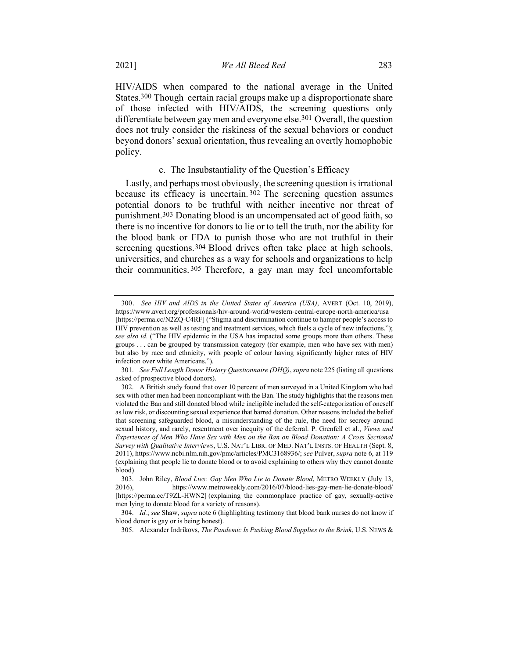HIV/AIDS when compared to the national average in the United States.300 Though certain racial groups make up a disproportionate share of those infected with HIV/AIDS, the screening questions only differentiate between gay men and everyone else.301 Overall, the question does not truly consider the riskiness of the sexual behaviors or conduct beyond donors' sexual orientation, thus revealing an overtly homophobic policy.

## c. The Insubstantiality of the Question's Efficacy

Lastly, and perhaps most obviously, the screening question is irrational because its efficacy is uncertain. 302 The screening question assumes potential donors to be truthful with neither incentive nor threat of punishment.303 Donating blood is an uncompensated act of good faith, so there is no incentive for donors to lie or to tell the truth, nor the ability for the blood bank or FDA to punish those who are not truthful in their screening questions.<sup>304</sup> Blood drives often take place at high schools, universities, and churches as a way for schools and organizations to help their communities. 305 Therefore, a gay man may feel uncomfortable

<sup>300.</sup> See HIV and AIDS in the United States of America (USA), AVERT (Oct. 10, 2019), https://www.avert.org/professionals/hiv-around-world/western-central-europe-north-america/usa [https://perma.cc/N2ZQ-C4RF] ("Stigma and discrimination continue to hamper people's access to HIV prevention as well as testing and treatment services, which fuels a cycle of new infections."); see also id. ("The HIV epidemic in the USA has impacted some groups more than others. These groups . . . can be grouped by transmission category (for example, men who have sex with men) but also by race and ethnicity, with people of colour having significantly higher rates of HIV infection over white Americans.").

<sup>301.</sup> See Full Length Donor History Questionnaire (DHQ), supra note 225 (listing all questions asked of prospective blood donors).

<sup>302.</sup> A British study found that over 10 percent of men surveyed in a United Kingdom who had sex with other men had been noncompliant with the Ban. The study highlights that the reasons men violated the Ban and still donated blood while ineligible included the self-categorization of oneself as low risk, or discounting sexual experience that barred donation. Other reasons included the belief that screening safeguarded blood, a misunderstanding of the rule, the need for secrecy around sexual history, and rarely, resentment over inequity of the deferral. P. Grenfell et al., Views and Experiences of Men Who Have Sex with Men on the Ban on Blood Donation: A Cross Sectional Survey with Qualitative Interviews, U.S. NAT'L LIBR. OF MED. NAT'L INSTS. OF HEALTH (Sept. 8, 2011), https://www.ncbi.nlm.nih.gov/pmc/articles/PMC3168936/; see Pulver, supra note 6, at 119 (explaining that people lie to donate blood or to avoid explaining to others why they cannot donate blood).

<sup>303.</sup> John Riley, Blood Lies: Gay Men Who Lie to Donate Blood, METRO WEEKLY (July 13, 2016), https://www.metroweekly.com/2016/07/blood-lies-gay-men-lie-donate-blood/ [https://perma.cc/T9ZL-HWN2] (explaining the commonplace practice of gay, sexually-active men lying to donate blood for a variety of reasons).

<sup>304.</sup> Id.; see Shaw, supra note 6 (highlighting testimony that blood bank nurses do not know if blood donor is gay or is being honest).

<sup>305.</sup> Alexander Indrikovs, The Pandemic Is Pushing Blood Supplies to the Brink, U.S. NEWS &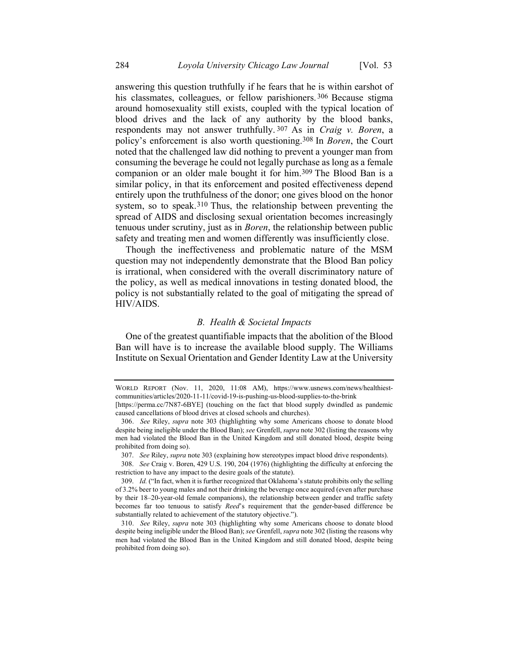answering this question truthfully if he fears that he is within earshot of his classmates, colleagues, or fellow parishioners. 306 Because stigma around homosexuality still exists, coupled with the typical location of blood drives and the lack of any authority by the blood banks, respondents may not answer truthfully.  $307$  As in Craig v. Boren, a policy's enforcement is also worth questioning.<sup>308</sup> In *Boren*, the Court noted that the challenged law did nothing to prevent a younger man from consuming the beverage he could not legally purchase as long as a female companion or an older male bought it for him.<sup>309</sup> The Blood Ban is a similar policy, in that its enforcement and posited effectiveness depend entirely upon the truthfulness of the donor; one gives blood on the honor system, so to speak.<sup>310</sup> Thus, the relationship between preventing the spread of AIDS and disclosing sexual orientation becomes increasingly tenuous under scrutiny, just as in Boren, the relationship between public safety and treating men and women differently was insufficiently close.

Though the ineffectiveness and problematic nature of the MSM question may not independently demonstrate that the Blood Ban policy is irrational, when considered with the overall discriminatory nature of the policy, as well as medical innovations in testing donated blood, the policy is not substantially related to the goal of mitigating the spread of HIV/AIDS.

## B. Health & Societal Impacts

One of the greatest quantifiable impacts that the abolition of the Blood Ban will have is to increase the available blood supply. The Williams Institute on Sexual Orientation and Gender Identity Law at the University

WORLD REPORT (Nov. 11, 2020, 11:08 AM), https://www.usnews.com/news/healthiestcommunities/articles/2020-11-11/covid-19-is-pushing-us-blood-supplies-to-the-brink

<sup>[</sup>https://perma.cc/7N87-6BYE] (touching on the fact that blood supply dwindled as pandemic caused cancellations of blood drives at closed schools and churches).

<sup>306.</sup> See Riley, supra note 303 (highlighting why some Americans choose to donate blood despite being ineligible under the Blood Ban); see Grenfell, supra note 302 (listing the reasons why men had violated the Blood Ban in the United Kingdom and still donated blood, despite being prohibited from doing so).

<sup>307.</sup> See Riley, *supra* note 303 (explaining how stereotypes impact blood drive respondents).

<sup>308.</sup> See Craig v. Boren, 429 U.S. 190, 204 (1976) (highlighting the difficulty at enforcing the restriction to have any impact to the desire goals of the statute).

<sup>309.</sup> Id. ("In fact, when it is further recognized that Oklahoma's statute prohibits only the selling of 3.2% beer to young males and not their drinking the beverage once acquired (even after purchase by their 18–20-year-old female companions), the relationship between gender and traffic safety becomes far too tenuous to satisfy Reed's requirement that the gender-based difference be substantially related to achievement of the statutory objective.").

<sup>310.</sup> See Riley, supra note 303 (highlighting why some Americans choose to donate blood despite being ineligible under the Blood Ban); see Grenfell, supra note 302 (listing the reasons why men had violated the Blood Ban in the United Kingdom and still donated blood, despite being prohibited from doing so).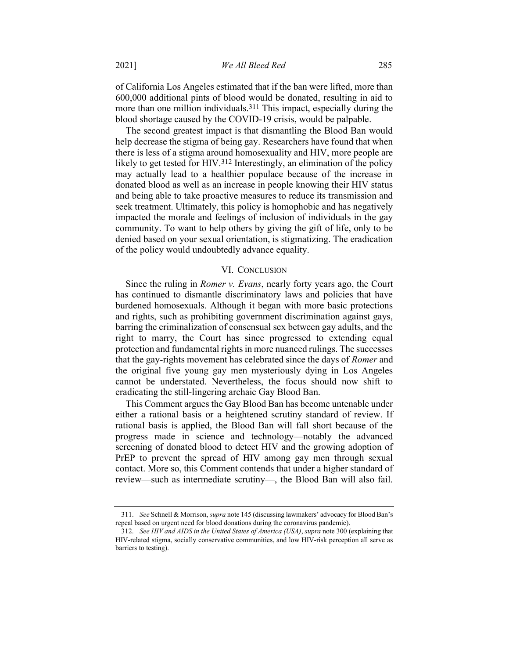of California Los Angeles estimated that if the ban were lifted, more than 600,000 additional pints of blood would be donated, resulting in aid to more than one million individuals.311 This impact, especially during the blood shortage caused by the COVID-19 crisis, would be palpable.

The second greatest impact is that dismantling the Blood Ban would help decrease the stigma of being gay. Researchers have found that when there is less of a stigma around homosexuality and HIV, more people are likely to get tested for HIV.<sup>312</sup> Interestingly, an elimination of the policy may actually lead to a healthier populace because of the increase in donated blood as well as an increase in people knowing their HIV status and being able to take proactive measures to reduce its transmission and seek treatment. Ultimately, this policy is homophobic and has negatively impacted the morale and feelings of inclusion of individuals in the gay community. To want to help others by giving the gift of life, only to be denied based on your sexual orientation, is stigmatizing. The eradication of the policy would undoubtedly advance equality.

#### VI. CONCLUSION

Since the ruling in Romer v. Evans, nearly forty years ago, the Court has continued to dismantle discriminatory laws and policies that have burdened homosexuals. Although it began with more basic protections and rights, such as prohibiting government discrimination against gays, barring the criminalization of consensual sex between gay adults, and the right to marry, the Court has since progressed to extending equal protection and fundamental rights in more nuanced rulings. The successes that the gay-rights movement has celebrated since the days of Romer and the original five young gay men mysteriously dying in Los Angeles cannot be understated. Nevertheless, the focus should now shift to eradicating the still-lingering archaic Gay Blood Ban.

This Comment argues the Gay Blood Ban has become untenable under either a rational basis or a heightened scrutiny standard of review. If rational basis is applied, the Blood Ban will fall short because of the progress made in science and technology—notably the advanced screening of donated blood to detect HIV and the growing adoption of PrEP to prevent the spread of HIV among gay men through sexual contact. More so, this Comment contends that under a higher standard of review—such as intermediate scrutiny—, the Blood Ban will also fail.

<sup>311.</sup> See Schnell & Morrison, supra note 145 (discussing lawmakers' advocacy for Blood Ban's repeal based on urgent need for blood donations during the coronavirus pandemic).

<sup>312.</sup> See HIV and AIDS in the United States of America (USA), supra note 300 (explaining that HIV-related stigma, socially conservative communities, and low HIV-risk perception all serve as barriers to testing).